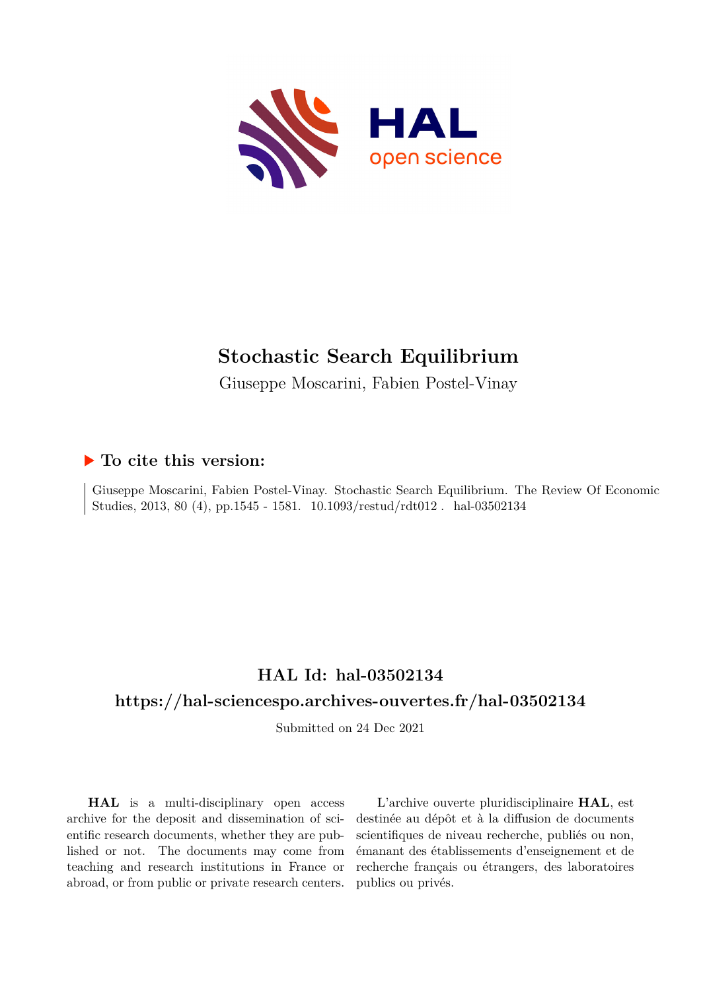

# **Stochastic Search Equilibrium**

Giuseppe Moscarini, Fabien Postel-Vinay

## **To cite this version:**

Giuseppe Moscarini, Fabien Postel-Vinay. Stochastic Search Equilibrium. The Review Of Economic Studies, 2013, 80 (4), pp.1545 - 1581. 10.1093/restud/rdt012. hal-03502134

## **HAL Id: hal-03502134**

## **<https://hal-sciencespo.archives-ouvertes.fr/hal-03502134>**

Submitted on 24 Dec 2021

**HAL** is a multi-disciplinary open access archive for the deposit and dissemination of scientific research documents, whether they are published or not. The documents may come from teaching and research institutions in France or abroad, or from public or private research centers.

L'archive ouverte pluridisciplinaire **HAL**, est destinée au dépôt et à la diffusion de documents scientifiques de niveau recherche, publiés ou non, émanant des établissements d'enseignement et de recherche français ou étrangers, des laboratoires publics ou privés.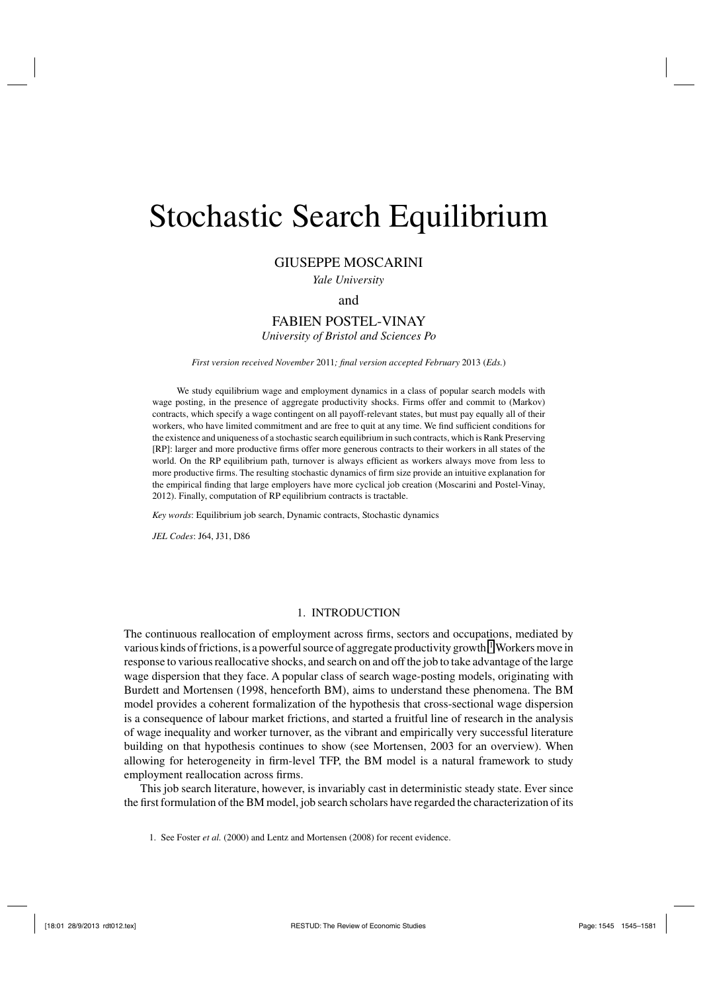# Stochastic Search Equilibrium

#### GIUSEPPE MOSCARINI

*Yale University*

and

## FABIEN POSTEL-VINAY

*University of Bristol and Sciences Po*

*First version received November* 2011*; final version accepted February* 2013 (*Eds.*)

We study equilibrium wage and employment dynamics in a class of popular search models with wage posting, in the presence of aggregate productivity shocks. Firms offer and commit to (Markov) contracts, which specify a wage contingent on all payoff-relevant states, but must pay equally all of their workers, who have limited commitment and are free to quit at any time. We find sufficient conditions for the existence and uniqueness of a stochastic search equilibrium in such contracts, which is Rank Preserving [RP]: larger and more productive firms offer more generous contracts to their workers in all states of the world. On the RP equilibrium path, turnover is always efficient as workers always move from less to more productive firms. The resulting stochastic dynamics of firm size provide an intuitive explanation for the empirical finding that large employers have more cyclical job creation (Moscarini and Postel-Vinay, 2012). Finally, computation of RP equilibrium contracts is tractable.

*Key words*: Equilibrium job search, Dynamic contracts, Stochastic dynamics

*JEL Codes*: J64, J31, D86

#### 1. INTRODUCTION

The continuous reallocation of employment across firms, sectors and occupations, mediated by various kinds of frictions, is a powerful source of aggregate productivity growth.<sup>1</sup> Workers move in response to various reallocative shocks, and search on and off the job to take advantage of the large wage dispersion that they face. A popular class of search wage-posting models, originating with Burdett and Mortensen (1998, henceforth BM), aims to understand these phenomena. The BM model provides a coherent formalization of the hypothesis that cross-sectional wage dispersion is a consequence of labour market frictions, and started a fruitful line of research in the analysis of wage inequality and worker turnover, as the vibrant and empirically very successful literature building on that hypothesis continues to show (see Mortensen, 2003 for an overview). When allowing for heterogeneity in firm-level TFP, the BM model is a natural framework to study employment reallocation across firms.

This job search literature, however, is invariably cast in deterministic steady state. Ever since the first formulation of the BM model, job search scholars have regarded the characterization of its

1. See Foster *et al.* (2000) and Lentz and Mortensen (2008) for recent evidence.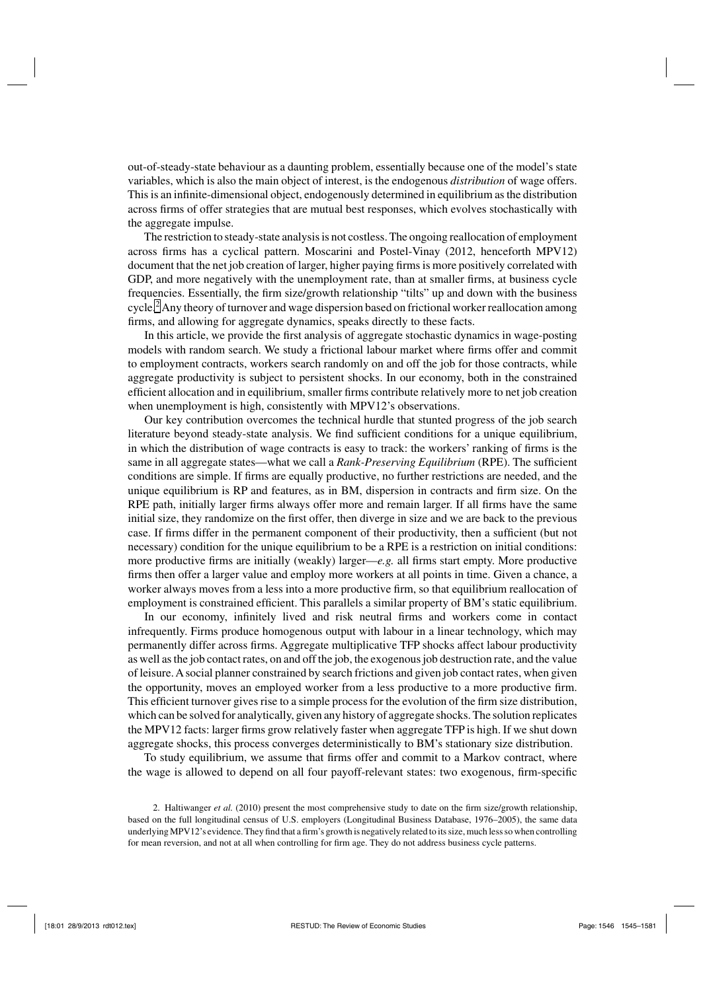out-of-steady-state behaviour as a daunting problem, essentially because one of the model's state variables, which is also the main object of interest, is the endogenous *distribution* of wage offers. This is an infinite-dimensional object, endogenously determined in equilibrium as the distribution across firms of offer strategies that are mutual best responses, which evolves stochastically with the aggregate impulse.

The restriction to steady-state analysis is not costless. The ongoing reallocation of employment across firms has a cyclical pattern. Moscarini and Postel-Vinay (2012, henceforth MPV12) document that the net job creation of larger, higher paying firms is more positively correlated with GDP, and more negatively with the unemployment rate, than at smaller firms, at business cycle frequencies. Essentially, the firm size/growth relationship "tilts" up and down with the business cycle.<sup>2</sup> Any theory of turnover and wage dispersion based on frictional worker reallocation among firms, and allowing for aggregate dynamics, speaks directly to these facts.

In this article, we provide the first analysis of aggregate stochastic dynamics in wage-posting models with random search. We study a frictional labour market where firms offer and commit to employment contracts, workers search randomly on and off the job for those contracts, while aggregate productivity is subject to persistent shocks. In our economy, both in the constrained efficient allocation and in equilibrium, smaller firms contribute relatively more to net job creation when unemployment is high, consistently with MPV12's observations.

Our key contribution overcomes the technical hurdle that stunted progress of the job search literature beyond steady-state analysis. We find sufficient conditions for a unique equilibrium, in which the distribution of wage contracts is easy to track: the workers' ranking of firms is the same in all aggregate states—what we call a *Rank-Preserving Equilibrium* (RPE). The sufficient conditions are simple. If firms are equally productive, no further restrictions are needed, and the unique equilibrium is RP and features, as in BM, dispersion in contracts and firm size. On the RPE path, initially larger firms always offer more and remain larger. If all firms have the same initial size, they randomize on the first offer, then diverge in size and we are back to the previous case. If firms differ in the permanent component of their productivity, then a sufficient (but not necessary) condition for the unique equilibrium to be a RPE is a restriction on initial conditions: more productive firms are initially (weakly) larger—*e.g.* all firms start empty. More productive firms then offer a larger value and employ more workers at all points in time. Given a chance, a worker always moves from a less into a more productive firm, so that equilibrium reallocation of employment is constrained efficient. This parallels a similar property of BM's static equilibrium.

In our economy, infinitely lived and risk neutral firms and workers come in contact infrequently. Firms produce homogenous output with labour in a linear technology, which may permanently differ across firms. Aggregate multiplicative TFP shocks affect labour productivity as well as the job contact rates, on and off the job, the exogenous job destruction rate, and the value of leisure. A social planner constrained by search frictions and given job contact rates, when given the opportunity, moves an employed worker from a less productive to a more productive firm. This efficient turnover gives rise to a simple process for the evolution of the firm size distribution, which can be solved for analytically, given any history of aggregate shocks. The solution replicates the MPV12 facts: larger firms grow relatively faster when aggregate TFP is high. If we shut down aggregate shocks, this process converges deterministically to BM's stationary size distribution.

To study equilibrium, we assume that firms offer and commit to a Markov contract, where the wage is allowed to depend on all four payoff-relevant states: two exogenous, firm-specific

2. Haltiwanger *et al.* (2010) present the most comprehensive study to date on the firm size/growth relationship, based on the full longitudinal census of U.S. employers (Longitudinal Business Database, 1976–2005), the same data underlying MPV12's evidence. They find that a firm's growth is negatively related to its size, much less so when controlling for mean reversion, and not at all when controlling for firm age. They do not address business cycle patterns.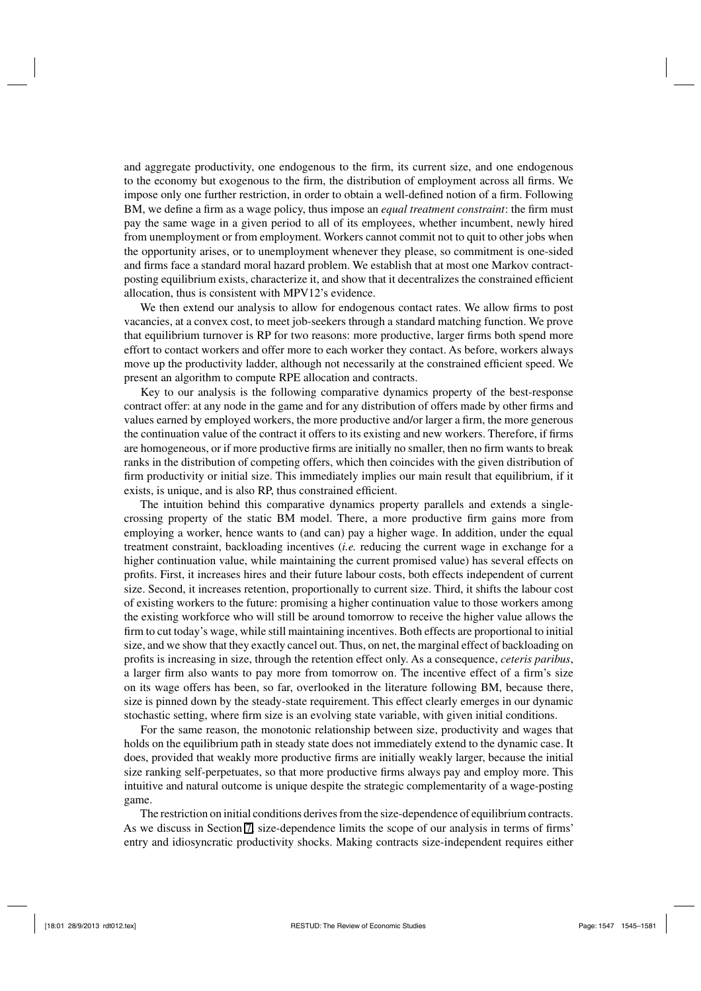and aggregate productivity, one endogenous to the firm, its current size, and one endogenous to the economy but exogenous to the firm, the distribution of employment across all firms. We impose only one further restriction, in order to obtain a well-defined notion of a firm. Following BM, we define a firm as a wage policy, thus impose an *equal treatment constraint*: the firm must pay the same wage in a given period to all of its employees, whether incumbent, newly hired from unemployment or from employment. Workers cannot commit not to quit to other jobs when the opportunity arises, or to unemployment whenever they please, so commitment is one-sided and firms face a standard moral hazard problem. We establish that at most one Markov contractposting equilibrium exists, characterize it, and show that it decentralizes the constrained efficient allocation, thus is consistent with MPV12's evidence.

We then extend our analysis to allow for endogenous contact rates. We allow firms to post vacancies, at a convex cost, to meet job-seekers through a standard matching function. We prove that equilibrium turnover is RP for two reasons: more productive, larger firms both spend more effort to contact workers and offer more to each worker they contact. As before, workers always move up the productivity ladder, although not necessarily at the constrained efficient speed. We present an algorithm to compute RPE allocation and contracts.

Key to our analysis is the following comparative dynamics property of the best-response contract offer: at any node in the game and for any distribution of offers made by other firms and values earned by employed workers, the more productive and/or larger a firm, the more generous the continuation value of the contract it offers to its existing and new workers. Therefore, if firms are homogeneous, or if more productive firms are initially no smaller, then no firm wants to break ranks in the distribution of competing offers, which then coincides with the given distribution of firm productivity or initial size. This immediately implies our main result that equilibrium, if it exists, is unique, and is also RP, thus constrained efficient.

The intuition behind this comparative dynamics property parallels and extends a singlecrossing property of the static BM model. There, a more productive firm gains more from employing a worker, hence wants to (and can) pay a higher wage. In addition, under the equal treatment constraint, backloading incentives (*i.e.* reducing the current wage in exchange for a higher continuation value, while maintaining the current promised value) has several effects on profits. First, it increases hires and their future labour costs, both effects independent of current size. Second, it increases retention, proportionally to current size. Third, it shifts the labour cost of existing workers to the future: promising a higher continuation value to those workers among the existing workforce who will still be around tomorrow to receive the higher value allows the firm to cut today's wage, while still maintaining incentives. Both effects are proportional to initial size, and we show that they exactly cancel out. Thus, on net, the marginal effect of backloading on profits is increasing in size, through the retention effect only. As a consequence, *ceteris paribus*, a larger firm also wants to pay more from tomorrow on. The incentive effect of a firm's size on its wage offers has been, so far, overlooked in the literature following BM, because there, size is pinned down by the steady-state requirement. This effect clearly emerges in our dynamic stochastic setting, where firm size is an evolving state variable, with given initial conditions.

For the same reason, the monotonic relationship between size, productivity and wages that holds on the equilibrium path in steady state does not immediately extend to the dynamic case. It does, provided that weakly more productive firms are initially weakly larger, because the initial size ranking self-perpetuates, so that more productive firms always pay and employ more. This intuitive and natural outcome is unique despite the strategic complementarity of a wage-posting game.

The restriction on initial conditions derives from the size-dependence of equilibrium contracts. As we discuss in Section 7, size-dependence limits the scope of our analysis in terms of firms' entry and idiosyncratic productivity shocks. Making contracts size-independent requires either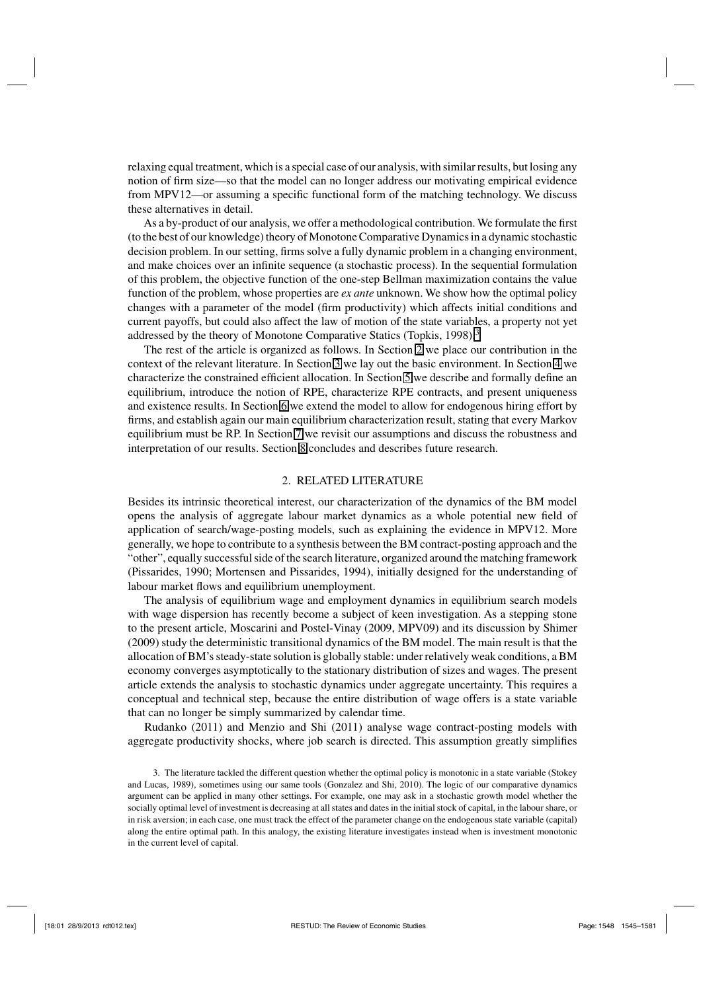relaxing equal treatment, which is a special case of our analysis, with similar results, but losing any notion of firm size—so that the model can no longer address our motivating empirical evidence from MPV12—or assuming a specific functional form of the matching technology. We discuss these alternatives in detail.

As a by-product of our analysis, we offer a methodological contribution. We formulate the first (to the best of our knowledge) theory of Monotone Comparative Dynamics in a dynamic stochastic decision problem. In our setting, firms solve a fully dynamic problem in a changing environment, and make choices over an infinite sequence (a stochastic process). In the sequential formulation of this problem, the objective function of the one-step Bellman maximization contains the value function of the problem, whose properties are *ex ante* unknown. We show how the optimal policy changes with a parameter of the model (firm productivity) which affects initial conditions and current payoffs, but could also affect the law of motion of the state variables, a property not yet addressed by the theory of Monotone Comparative Statics (Topkis, 1998).<sup>3</sup>

The rest of the article is organized as follows. In Section 2 we place our contribution in the context of the relevant literature. In Section 3 we lay out the basic environment. In Section 4 we characterize the constrained efficient allocation. In Section 5 we describe and formally define an equilibrium, introduce the notion of RPE, characterize RPE contracts, and present uniqueness and existence results. In Section 6 we extend the model to allow for endogenous hiring effort by firms, and establish again our main equilibrium characterization result, stating that every Markov equilibrium must be RP. In Section 7 we revisit our assumptions and discuss the robustness and interpretation of our results. Section 8 concludes and describes future research.

#### 2. RELATED LITERATURE

Besides its intrinsic theoretical interest, our characterization of the dynamics of the BM model opens the analysis of aggregate labour market dynamics as a whole potential new field of application of search/wage-posting models, such as explaining the evidence in MPV12. More generally, we hope to contribute to a synthesis between the BM contract-posting approach and the "other", equally successful side of the search literature, organized around the matching framework (Pissarides, 1990; Mortensen and Pissarides, 1994), initially designed for the understanding of labour market flows and equilibrium unemployment.

The analysis of equilibrium wage and employment dynamics in equilibrium search models with wage dispersion has recently become a subject of keen investigation. As a stepping stone to the present article, Moscarini and Postel-Vinay (2009, MPV09) and its discussion by Shimer (2009) study the deterministic transitional dynamics of the BM model. The main result is that the allocation of BM's steady-state solution is globally stable: under relatively weak conditions, a BM economy converges asymptotically to the stationary distribution of sizes and wages. The present article extends the analysis to stochastic dynamics under aggregate uncertainty. This requires a conceptual and technical step, because the entire distribution of wage offers is a state variable that can no longer be simply summarized by calendar time.

Rudanko (2011) and Menzio and Shi (2011) analyse wage contract-posting models with aggregate productivity shocks, where job search is directed. This assumption greatly simplifies

<sup>3.</sup> The literature tackled the different question whether the optimal policy is monotonic in a state variable (Stokey and Lucas, 1989), sometimes using our same tools (Gonzalez and Shi, 2010). The logic of our comparative dynamics argument can be applied in many other settings. For example, one may ask in a stochastic growth model whether the socially optimal level of investment is decreasing at all states and dates in the initial stock of capital, in the labour share, or in risk aversion; in each case, one must track the effect of the parameter change on the endogenous state variable (capital) along the entire optimal path. In this analogy, the existing literature investigates instead when is investment monotonic in the current level of capital.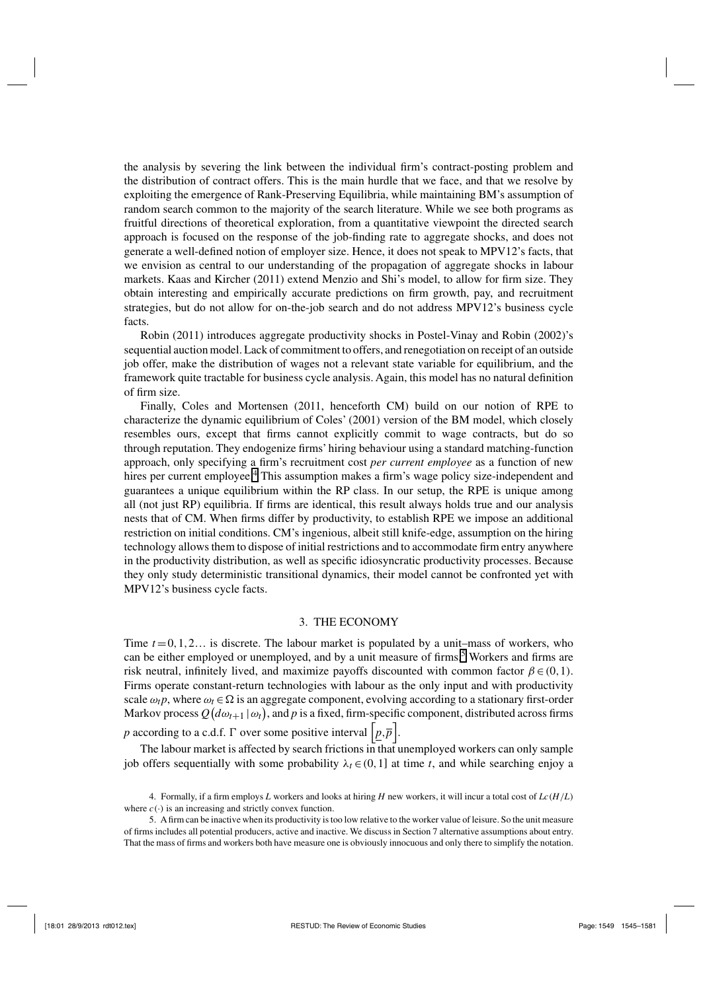the analysis by severing the link between the individual firm's contract-posting problem and the distribution of contract offers. This is the main hurdle that we face, and that we resolve by exploiting the emergence of Rank-Preserving Equilibria, while maintaining BM's assumption of random search common to the majority of the search literature. While we see both programs as fruitful directions of theoretical exploration, from a quantitative viewpoint the directed search approach is focused on the response of the job-finding rate to aggregate shocks, and does not generate a well-defined notion of employer size. Hence, it does not speak to MPV12's facts, that we envision as central to our understanding of the propagation of aggregate shocks in labour markets. Kaas and Kircher (2011) extend Menzio and Shi's model, to allow for firm size. They obtain interesting and empirically accurate predictions on firm growth, pay, and recruitment strategies, but do not allow for on-the-job search and do not address MPV12's business cycle facts.

Robin (2011) introduces aggregate productivity shocks in Postel-Vinay and Robin (2002)'s sequential auction model. Lack of commitment to offers, and renegotiation on receipt of an outside job offer, make the distribution of wages not a relevant state variable for equilibrium, and the framework quite tractable for business cycle analysis. Again, this model has no natural definition of firm size.

Finally, Coles and Mortensen (2011, henceforth CM) build on our notion of RPE to characterize the dynamic equilibrium of Coles' (2001) version of the BM model, which closely resembles ours, except that firms cannot explicitly commit to wage contracts, but do so through reputation. They endogenize firms' hiring behaviour using a standard matching-function approach, only specifying a firm's recruitment cost *per current employee* as a function of new hires per current employee.<sup>4</sup> This assumption makes a firm's wage policy size-independent and guarantees a unique equilibrium within the RP class. In our setup, the RPE is unique among all (not just RP) equilibria. If firms are identical, this result always holds true and our analysis nests that of CM. When firms differ by productivity, to establish RPE we impose an additional restriction on initial conditions. CM's ingenious, albeit still knife-edge, assumption on the hiring technology allows them to dispose of initial restrictions and to accommodate firm entry anywhere in the productivity distribution, as well as specific idiosyncratic productivity processes. Because they only study deterministic transitional dynamics, their model cannot be confronted yet with MPV12's business cycle facts.

#### 3. THE ECONOMY

Time  $t = 0, 1, 2...$  is discrete. The labour market is populated by a unit–mass of workers, who can be either employed or unemployed, and by a unit measure of firms.<sup>5</sup> Workers and firms are risk neutral, infinitely lived, and maximize payoffs discounted with common factor  $\beta \in (0,1)$ . Firms operate constant-return technologies with labour as the only input and with productivity scale  $\omega_t p$ , where  $\omega_t \in \Omega$  is an aggregate component, evolving according to a stationary first-order Markov process  $Q(d\omega_{t+1}|\omega_t)$ , and  $p$  is a fixed, firm-specific component, distributed across firms *p* according to a c.d.f.  $\Gamma$  over some positive interval  $\left[ p, \overline{p} \right]$ .

The labour market is affected by search frictions in that unemployed workers can only sample job offers sequentially with some probability  $\lambda_t \in (0,1]$  at time *t*, and while searching enjoy a

<sup>4.</sup> Formally, if a firm employs *L* workers and looks at hiring *H* new workers, it will incur a total cost of  $Lc(H/L)$ where  $c(\cdot)$  is an increasing and strictly convex function.

<sup>5.</sup> A firm can be inactive when its productivity is too low relative to the worker value of leisure. So the unit measure of firms includes all potential producers, active and inactive. We discuss in Section 7 alternative assumptions about entry. That the mass of firms and workers both have measure one is obviously innocuous and only there to simplify the notation.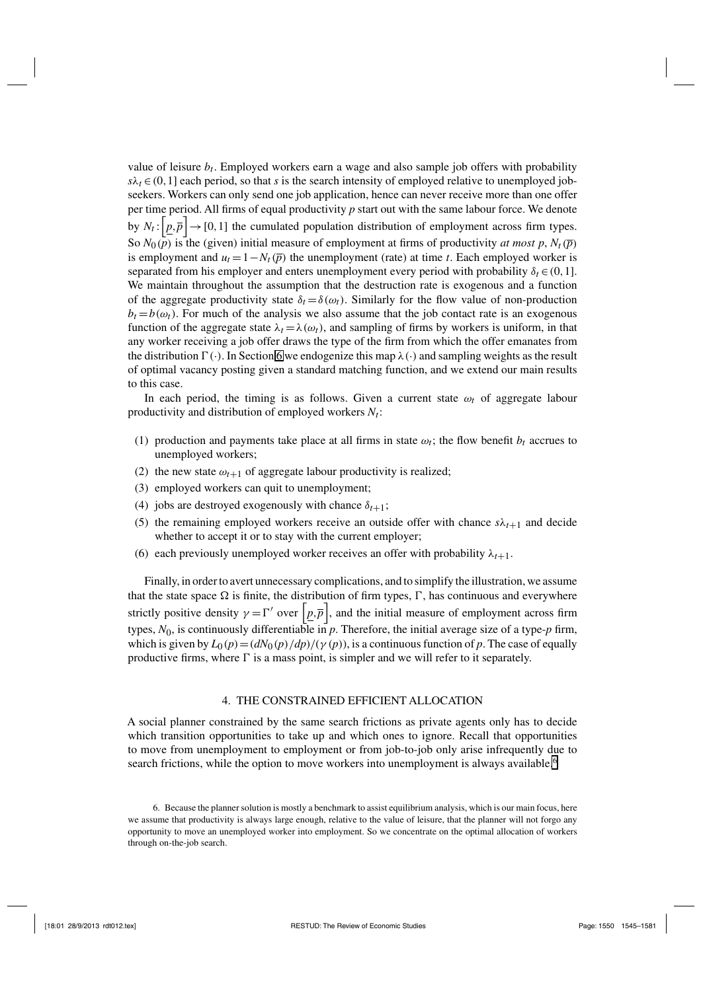value of leisure  $b_t$ . Employed workers earn a wage and also sample job offers with probability  $s\lambda_t \in (0,1]$  each period, so that *s* is the search intensity of employed relative to unemployed jobseekers. Workers can only send one job application, hence can never receive more than one offer per time period. All firms of equal productivity *p* start out with the same labour force. We denote by  $N_t$ :  $\left[ p, \overline{p} \right]$   $\rightarrow$  [0,1] the cumulated population distribution of employment across firm types. So  $N_0(p)$  is the (given) initial measure of employment at firms of productivity *at most p*,  $N_t(\bar{p})$ is employment and  $u_t = 1 - N_t(\bar{p})$  the unemployment (rate) at time *t*. Each employed worker is separated from his employer and enters unemployment every period with probability  $\delta_t \in (0,1]$ . We maintain throughout the assumption that the destruction rate is exogenous and a function of the aggregate productivity state  $\delta_t = \delta(\omega_t)$ . Similarly for the flow value of non-production  $b_t = b(\omega_t)$ . For much of the analysis we also assume that the job contact rate is an exogenous function of the aggregate state  $\lambda_t = \lambda(\omega_t)$ , and sampling of firms by workers is uniform, in that any worker receiving a job offer draws the type of the firm from which the offer emanates from the distribution  $\Gamma(\cdot)$ . In Section 6 we endogenize this map  $\lambda(\cdot)$  and sampling weights as the result of optimal vacancy posting given a standard matching function, and we extend our main results to this case.

In each period, the timing is as follows. Given a current state  $\omega_t$  of aggregate labour productivity and distribution of employed workers  $N_t$ :

- (1) production and payments take place at all firms in state  $\omega_t$ ; the flow benefit  $b_t$  accrues to unemployed workers;
- (2) the new state  $\omega_{t+1}$  of aggregate labour productivity is realized;
- (3) employed workers can quit to unemployment;
- (4) jobs are destroyed exogenously with chance  $\delta_{t+1}$ ;
- (5) the remaining employed workers receive an outside offer with chance  $s\lambda_{t+1}$  and decide whether to accept it or to stay with the current employer;
- (6) each previously unemployed worker receives an offer with probability  $\lambda_{t+1}$ .

Finally, in order to avert unnecessary complications, and to simplify the illustration, we assume that the state space  $\Omega$  is finite, the distribution of firm types,  $\Gamma$ , has continuous and everywhere strictly positive density  $\gamma = \Gamma'$  over  $\left[ p, \overline{p} \right]$ , and the initial measure of employment across firm types, *N*0, is continuously differentiable in *p*. Therefore, the initial average size of a type-*p* firm, which is given by  $L_0(p) = \frac{dN_0(p)}{dp} / (p(p))$ , is a continuous function of p. The case of equally productive firms, where  $\Gamma$  is a mass point, is simpler and we will refer to it separately.

#### 4. THE CONSTRAINED EFFICIENT ALLOCATION

A social planner constrained by the same search frictions as private agents only has to decide which transition opportunities to take up and which ones to ignore. Recall that opportunities to move from unemployment to employment or from job-to-job only arise infrequently due to search frictions, while the option to move workers into unemployment is always available.<sup>6</sup>

<sup>6.</sup> Because the planner solution is mostly a benchmark to assist equilibrium analysis, which is our main focus, here we assume that productivity is always large enough, relative to the value of leisure, that the planner will not forgo any opportunity to move an unemployed worker into employment. So we concentrate on the optimal allocation of workers through on-the-job search.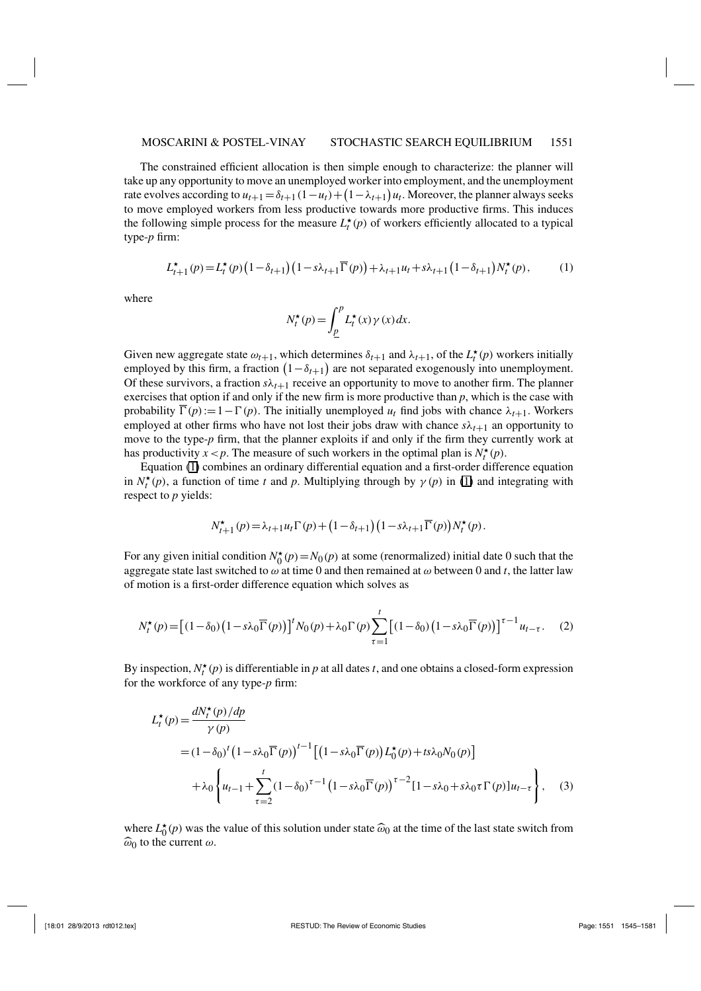The constrained efficient allocation is then simple enough to characterize: the planner will take up any opportunity to move an unemployed worker into employment, and the unemployment rate evolves according to  $u_{t+1} = \delta_{t+1} (1 - u_t) + (1 - \lambda_{t+1}) u_t$ . Moreover, the planner always seeks to move employed workers from less productive towards more productive firms. This induces the following simple process for the measure  $L_t^*(p)$  of workers efficiently allocated to a typical type-*p* firm:

$$
L_{t+1}^{\star}(p) = L_t^{\star}(p) \left(1 - \delta_{t+1}\right) \left(1 - s\lambda_{t+1}\overline{\Gamma}(p)\right) + \lambda_{t+1}u_t + s\lambda_{t+1}\left(1 - \delta_{t+1}\right)N_t^{\star}(p),\tag{1}
$$

where

$$
N_t^{\star}(p) = \int_{\underline{p}}^p L_t^{\star}(x) \gamma(x) dx.
$$

Given new aggregate state  $\omega_{t+1}$ , which determines  $\delta_{t+1}$  and  $\lambda_{t+1}$ , of the  $L_t^*(p)$  workers initially employed by this firm, a fraction  $(1 - \delta_{t+1})$  are not separated exogenously into unemployment. Of these survivors, a fraction  $s\lambda_{t+1}$  receive an opportunity to move to another firm. The planner exercises that option if and only if the new firm is more productive than *p*, which is the case with probability  $\Gamma(p):=1-\Gamma(p)$ . The initially unemployed  $u_t$  find jobs with chance  $\lambda_{t+1}$ . Workers employed at other firms who have not lost their jobs draw with chance  $s\lambda_{t+1}$  an opportunity to move to the type-*p* firm, that the planner exploits if and only if the firm they currently work at has productivity  $x < p$ . The measure of such workers in the optimal plan is  $N_t^*(p)$ .

Equation (1) combines an ordinary differential equation and a first-order difference equation in  $N_t^*(p)$ , a function of time *t* and *p*. Multiplying through by  $\gamma(p)$  in (1) and integrating with respect to *p* yields:

$$
N_{t+1}^{\star}(p) = \lambda_{t+1} u_t \Gamma(p) + \left(1 - \delta_{t+1}\right) \left(1 - s\lambda_{t+1} \overline{\Gamma}(p)\right) N_t^{\star}(p).
$$

For any given initial condition  $N_0^*(p) = N_0(p)$  at some (renormalized) initial date 0 such that the aggregate state last switched to  $\omega$  at time 0 and then remained at  $\omega$  between 0 and *t*, the latter law of motion is a first-order difference equation which solves as

$$
N_t^{\star}(p) = \left[ (1 - \delta_0) \left( 1 - s\lambda_0 \overline{\Gamma}(p) \right) \right]^t N_0(p) + \lambda_0 \Gamma(p) \sum_{\tau=1}^t \left[ (1 - \delta_0) \left( 1 - s\lambda_0 \overline{\Gamma}(p) \right) \right]^{\tau-1} u_{t-\tau}.
$$
 (2)

By inspection,  $N_t^{\star}(p)$  is differentiable in *p* at all dates *t*, and one obtains a closed-form expression for the workforce of any type-*p* firm:

$$
L_t^{\star}(p) = \frac{dN_t^{\star}(p)/dp}{\gamma(p)}
$$
  
=  $(1 - \delta_0)^t (1 - s\lambda_0 \overline{\Gamma}(p))^{t-1} [(1 - s\lambda_0 \overline{\Gamma}(p)) L_0^{\star}(p) + ts\lambda_0 N_0(p)]$   

$$
+ \lambda_0 \left\{ u_{t-1} + \sum_{\tau=2}^t (1 - \delta_0)^{\tau-1} (1 - s\lambda_0 \overline{\Gamma}(p))^{\tau-2} [1 - s\lambda_0 + s\lambda_0 \tau \Gamma(p)] u_{t-\tau} \right\}, \quad (3)
$$

where  $L_0^{\star}(p)$  was the value of this solution under state  $\widehat{\omega}_0$  at the time of the last state switch from  $\widehat{\omega}_0$  to the current  $\omega$ .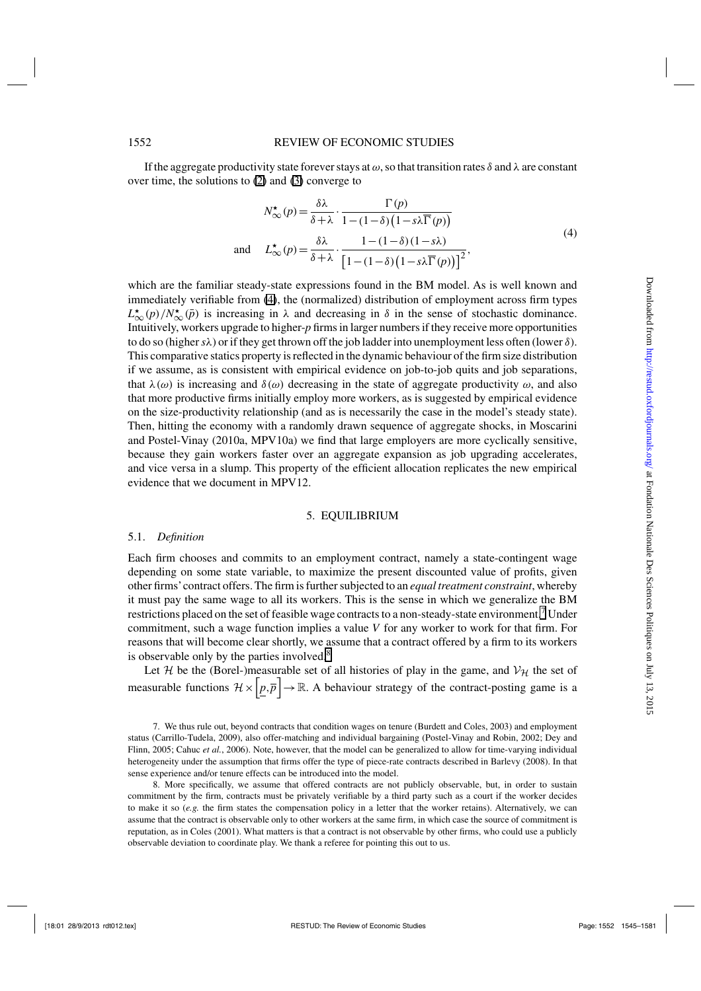If the aggregate productivity state forever stays at  $\omega$ , so that transition rates  $\delta$  and  $\lambda$  are constant over time, the solutions to (2) and (3) converge to

$$
N_{\infty}^{\star}(p) = \frac{\delta\lambda}{\delta + \lambda} \cdot \frac{\Gamma(p)}{1 - (1 - \delta)\left(1 - s\lambda\overline{\Gamma}(p)\right)}
$$
  
and 
$$
L_{\infty}^{\star}(p) = \frac{\delta\lambda}{\delta + \lambda} \cdot \frac{1 - (1 - \delta)(1 - s\lambda)}{\left[1 - (1 - \delta)\left(1 - s\lambda\overline{\Gamma}(p)\right)\right]^2},
$$
 (4)

which are the familiar steady-state expressions found in the BM model. As is well known and immediately verifiable from (4), the (normalized) distribution of employment across firm types  $L^{\star}_{\infty}(p)/N^{\star}_{\infty}(\bar{p})$  is increasing in  $\lambda$  and decreasing in  $\delta$  in the sense of stochastic dominance. Intuitively, workers upgrade to higher-*p* firms in larger numbers if they receive more opportunities to do so (higher*s*λ) or if they get thrown off the job ladder into unemployment less often (lower δ). This comparative statics property is reflected in the dynamic behaviour of the firm size distribution if we assume, as is consistent with empirical evidence on job-to-job quits and job separations, that  $\lambda(\omega)$  is increasing and  $\delta(\omega)$  decreasing in the state of aggregate productivity  $\omega$ , and also that more productive firms initially employ more workers, as is suggested by empirical evidence on the size-productivity relationship (and as is necessarily the case in the model's steady state). Then, hitting the economy with a randomly drawn sequence of aggregate shocks, in Moscarini and Postel-Vinay (2010a, MPV10a) we find that large employers are more cyclically sensitive, because they gain workers faster over an aggregate expansion as job upgrading accelerates, and vice versa in a slump. This property of the efficient allocation replicates the new empirical evidence that we document in MPV12.

#### 5. EQUILIBRIUM

#### 5.1. *Definition*

Each firm chooses and commits to an employment contract, namely a state-contingent wage depending on some state variable, to maximize the present discounted value of profits, given other firms'contract offers. The firm is further subjected to an *equal treatment constraint*, whereby it must pay the same wage to all its workers. This is the sense in which we generalize the BM restrictions placed on the set of feasible wage contracts to a non-steady-state environment.<sup>7</sup> Under commitment, such a wage function implies a value *V* for any worker to work for that firm. For reasons that will become clear shortly, we assume that a contract offered by a firm to its workers is observable only by the parties involved.<sup>8</sup>

Let H be the (Borel-)measurable set of all histories of play in the game, and  $V_H$  the set of measurable functions  $\mathcal{H} \times \left[ \underline{p}, \overline{p} \right] \to \mathbb{R}$ . A behaviour strategy of the contract-posting game is a

7. We thus rule out, beyond contracts that condition wages on tenure (Burdett and Coles, 2003) and employment status (Carrillo-Tudela, 2009), also offer-matching and individual bargaining (Postel-Vinay and Robin, 2002; Dey and Flinn, 2005; Cahuc *et al.*, 2006). Note, however, that the model can be generalized to allow for time-varying individual heterogeneity under the assumption that firms offer the type of piece-rate contracts described in Barlevy (2008). In that sense experience and/or tenure effects can be introduced into the model.

8. More specifically, we assume that offered contracts are not publicly observable, but, in order to sustain commitment by the firm, contracts must be privately verifiable by a third party such as a court if the worker decides to make it so (*e.g.* the firm states the compensation policy in a letter that the worker retains). Alternatively, we can assume that the contract is observable only to other workers at the same firm, in which case the source of commitment is reputation, as in Coles (2001). What matters is that a contract is not observable by other firms, who could use a publicly observable deviation to coordinate play. We thank a referee for pointing this out to us.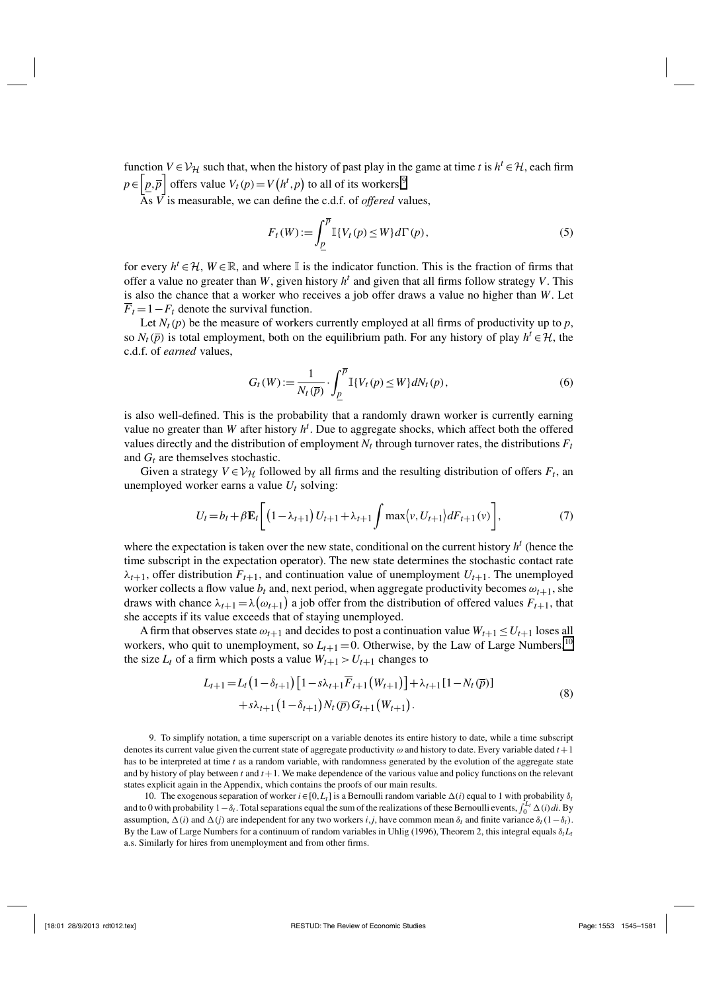function  $V \in V_H$  such that, when the history of past play in the game at time *t* is  $h^t \in H$ , each firm  $p \in \left[p, \overline{p}\right]$  offers value  $V_t(p) = V(h^t, p)$  to all of its workers.<sup>9</sup>

As *V* is measurable, we can define the c.d.f. of *offered* values,

$$
F_t(W) := \int_{\underline{p}}^{\overline{p}} \mathbb{I}\{V_t(p) \le W\} d\Gamma(p),\tag{5}
$$

for every  $h^t \in \mathcal{H}$ ,  $W \in \mathbb{R}$ , and where I is the indicator function. This is the fraction of firms that offer a value no greater than *W*, given history  $h<sup>t</sup>$  and given that all firms follow strategy *V*. This is also the chance that a worker who receives a job offer draws a value no higher than *W*. Let  $\overline{F}_t = 1 - F_t$  denote the survival function.

Let  $N_t(p)$  be the measure of workers currently employed at all firms of productivity up to  $p$ , so  $N_t(\bar{p})$  is total employment, both on the equilibrium path. For any history of play  $h^t \in \mathcal{H}$ , the c.d.f. of *earned* values,

$$
G_t(W) := \frac{1}{N_t(\overline{p})} \cdot \int_{\underline{p}}^{\overline{p}} \mathbb{I}\{V_t(p) \le W\} dN_t(p), \tag{6}
$$

is also well-defined. This is the probability that a randomly drawn worker is currently earning value no greater than *W* after history *h<sup>t</sup>* . Due to aggregate shocks, which affect both the offered values directly and the distribution of employment  $N_t$  through turnover rates, the distributions  $F_t$ and *Gt* are themselves stochastic.

Given a strategy  $V \in V_H$  followed by all firms and the resulting distribution of offers  $F_t$ , and unemployed worker earns a value  $U_t$  solving:

$$
U_t = b_t + \beta \mathbf{E}_t \left[ \left( 1 - \lambda_{t+1} \right) U_{t+1} + \lambda_{t+1} \int \max \langle v, U_{t+1} \rangle dF_{t+1}(v) \right],\tag{7}
$$

where the expectation is taken over the new state, conditional on the current history *h<sup>t</sup>* (hence the time subscript in the expectation operator). The new state determines the stochastic contact rate  $\lambda_{t+1}$ , offer distribution  $F_{t+1}$ , and continuation value of unemployment  $U_{t+1}$ . The unemployed worker collects a flow value  $b_t$  and, next period, when aggregate productivity becomes  $\omega_{t+1}$ , she draws with chance  $\lambda_{t+1} = \lambda(\omega_{t+1})$  a job offer from the distribution of offered values  $F_{t+1}$ , that she accepts if its value exceeds that of staying unemployed.

A firm that observes state  $\omega_{t+1}$  and decides to post a continuation value  $W_{t+1} \leq U_{t+1}$  loses all workers, who quit to unemployment, so  $L_{t+1} = 0$ . Otherwise, by the Law of Large Numbers,<sup>10</sup> the size  $L_t$  of a firm which posts a value  $W_{t+1} > U_{t+1}$  changes to

$$
L_{t+1} = L_t \left(1 - \delta_{t+1}\right) \left[1 - s\lambda_{t+1} \overline{F}_{t+1} \left(W_{t+1}\right)\right] + \lambda_{t+1} \left[1 - N_t \left(\overline{p}\right)\right] + s\lambda_{t+1} \left(1 - \delta_{t+1}\right) N_t \left(\overline{p}\right) G_{t+1} \left(W_{t+1}\right).
$$
\n(8)

9. To simplify notation, a time superscript on a variable denotes its entire history to date, while a time subscript denotes its current value given the current state of aggregate productivity  $\omega$  and history to date. Every variable dated  $t+1$ has to be interpreted at time *t* as a random variable, with randomness generated by the evolution of the aggregate state and by history of play between *t* and *t*+1. We make dependence of the various value and policy functions on the relevant states explicit again in the Appendix, which contains the proofs of our main results.

10. The exogenous separation of worker  $i \in [0, L_t]$  is a Bernoulli random variable  $\Delta(i)$  equal to 1 with probability  $\delta_t$ and to 0 with probability  $1-\delta_t$ . Total separations equal the sum of the realizations of these Bernoulli events,  $\int_0^{L_t} \Delta(i) di$ . By assumption,  $\Delta(i)$  and  $\Delta(j)$  are independent for any two workers *i*,*j*, have common mean  $\delta_t$  and finite variance  $\delta_t(1-\delta_t)$ . By the Law of Large Numbers for a continuum of random variables in Uhlig (1996), Theorem 2, this integral equals δ*tLt* a.s. Similarly for hires from unemployment and from other firms.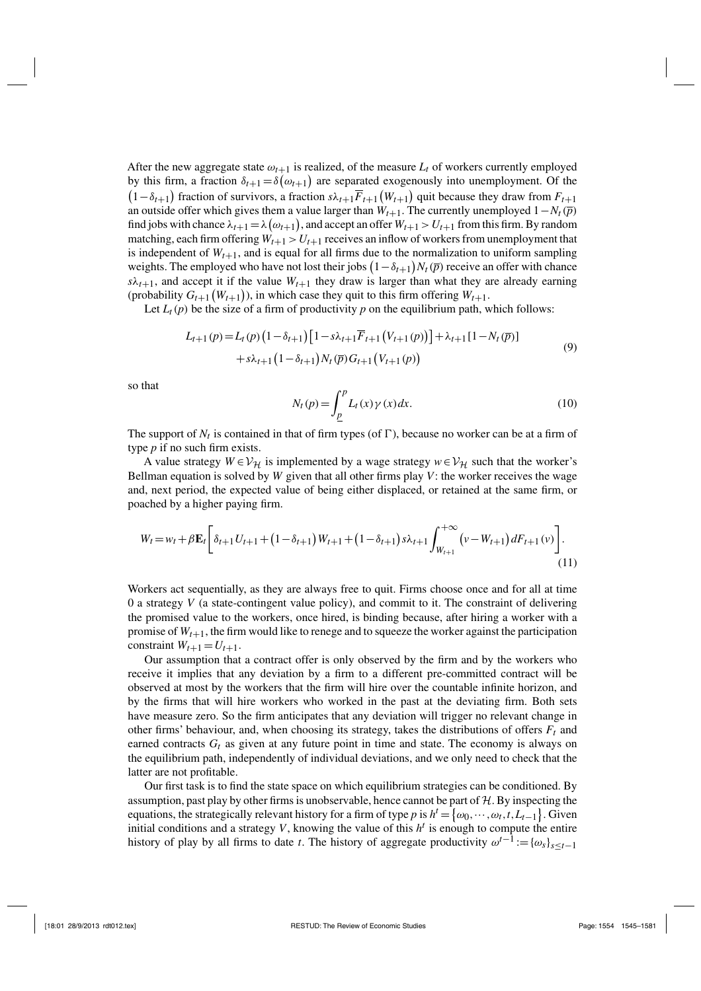After the new aggregate state  $\omega_{t+1}$  is realized, of the measure  $L_t$  of workers currently employed by this firm, a fraction  $\delta_{t+1} = \delta(\omega_{t+1})$  are separated exogenously into unemployment. Of the  $(1 - \delta_{t+1})$  fraction of survivors, a fraction  $s\lambda_{t+1}F_{t+1}(W_{t+1})$  quit because they draw from  $F_{t+1}$ an outside offer which gives them a value larger than  $W_{t+1}$ . The currently unemployed  $1 - N_t(\bar{p})$ find jobs with chance  $\lambda_{t+1} = \lambda(\omega_{t+1})$ , and accept an offer  $W_{t+1} > U_{t+1}$  from this firm. By random matching, each firm offering  $W_{t+1} > U_{t+1}$  receives an inflow of workers from unemployment that is independent of  $W_{t+1}$ , and is equal for all firms due to the normalization to uniform sampling weights. The employed who have not lost their jobs  $(1 - \delta_{t+1})N_t(\bar{p})$  receive an offer with chance  $s\lambda_{t+1}$ , and accept it if the value  $W_{t+1}$  they draw is larger than what they are already earning (probability  $G_{t+1}(W_{t+1})$ ), in which case they quit to this firm offering  $W_{t+1}$ .

Let  $L_t(p)$  be the size of a firm of productivity p on the equilibrium path, which follows:

$$
L_{t+1}(p) = L_t(p) \left(1 - \delta_{t+1}\right) \left[1 - s\lambda_{t+1} \overline{F}_{t+1}\left(V_{t+1}(p)\right)\right] + \lambda_{t+1} \left[1 - N_t(\overline{p})\right] + s\lambda_{t+1} \left(1 - \delta_{t+1}\right) N_t(\overline{p}) G_{t+1}\left(V_{t+1}(p)\right)
$$
\n(9)

so that

$$
N_t(p) = \int_{\underline{p}}^p L_t(x) \gamma(x) dx.
$$
 (10)

The support of  $N_t$  is contained in that of firm types (of  $\Gamma$ ), because no worker can be at a firm of type *p* if no such firm exists.

A value strategy  $W \in V_H$  is implemented by a wage strategy  $w \in V_H$  such that the worker's Bellman equation is solved by *W* given that all other firms play *V*: the worker receives the wage and, next period, the expected value of being either displaced, or retained at the same firm, or poached by a higher paying firm.

$$
W_{t} = w_{t} + \beta \mathbf{E}_{t} \left[ \delta_{t+1} U_{t+1} + (1 - \delta_{t+1}) W_{t+1} + (1 - \delta_{t+1}) s \lambda_{t+1} \int_{W_{t+1}}^{+\infty} (v - W_{t+1}) dF_{t+1}(v) \right].
$$
\n(11)

Workers act sequentially, as they are always free to quit. Firms choose once and for all at time 0 a strategy *V* (a state-contingent value policy), and commit to it. The constraint of delivering the promised value to the workers, once hired, is binding because, after hiring a worker with a promise of  $W_{t+1}$ , the firm would like to renege and to squeeze the worker against the participation constraint  $W_{t+1} = U_{t+1}$ .

Our assumption that a contract offer is only observed by the firm and by the workers who receive it implies that any deviation by a firm to a different pre-committed contract will be observed at most by the workers that the firm will hire over the countable infinite horizon, and by the firms that will hire workers who worked in the past at the deviating firm. Both sets have measure zero. So the firm anticipates that any deviation will trigger no relevant change in other firms' behaviour, and, when choosing its strategy, takes the distributions of offers  $F_t$  and earned contracts  $G_t$  as given at any future point in time and state. The economy is always on the equilibrium path, independently of individual deviations, and we only need to check that the latter are not profitable.

Our first task is to find the state space on which equilibrium strategies can be conditioned. By assumption, past play by other firms is unobservable, hence cannot be part of  $H$ . By inspecting the equations, the strategically relevant history for a firm of type *p* is  $h^t = \{\omega_0, \dots, \omega_t, t, L_{t-1}\}\.$  Given initial conditions and a strategy  $V$ , knowing the value of this  $h<sup>t</sup>$  is enough to compute the entire history of play by all firms to date *t*. The history of aggregate productivity  $\omega^{t-1} := {\{\omega_s\}}_{s \leq t-1}$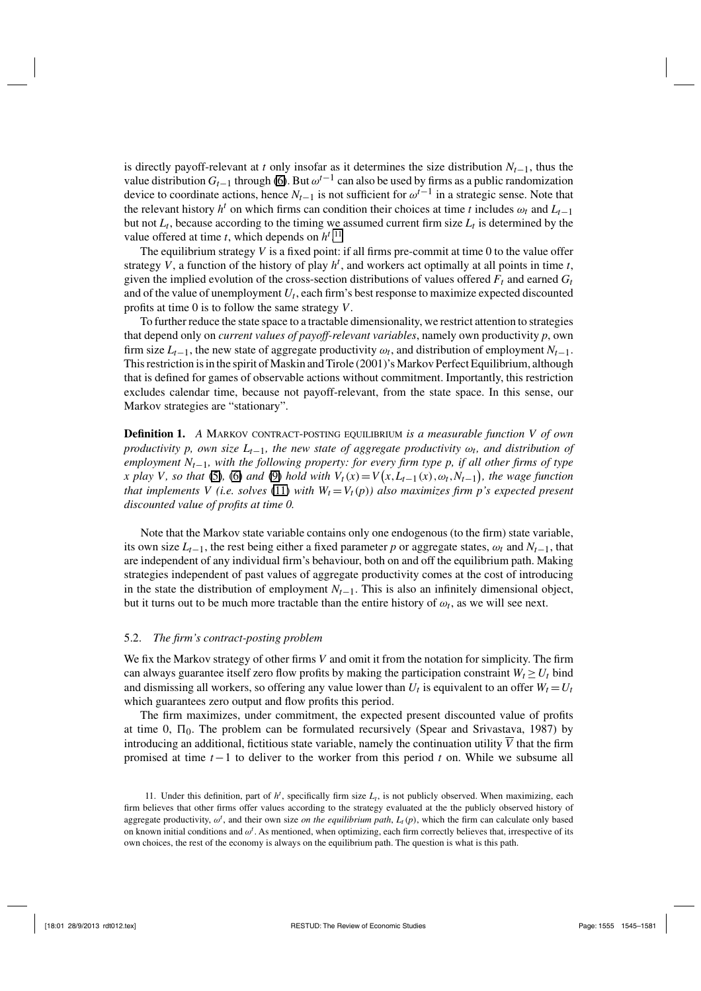is directly payoff-relevant at *t* only insofar as it determines the size distribution  $N_{t-1}$ , thus the value distribution *Gt*−<sup>1</sup> through (6). But ω*t*−<sup>1</sup> can also be used by firms as a public randomization device to coordinate actions, hence  $N_{t-1}$  is not sufficient for  $\omega^{t-1}$  in a strategic sense. Note that the relevant history *h<sup>t</sup>* on which firms can condition their choices at time *t* includes  $\omega_t$  and  $L_{t-1}$ but not  $L_t$ , because according to the timing we assumed current firm size  $L_t$  is determined by the value offered at time *t*, which depends on  $h^{t}$ .<sup>11</sup>

The equilibrium strategy  $V$  is a fixed point: if all firms pre-commit at time 0 to the value offer strategy *V*, a function of the history of play *h<sup>t</sup>* , and workers act optimally at all points in time *t*, given the implied evolution of the cross-section distributions of values offered  $F_t$  and earned  $G_t$ and of the value of unemployment  $U_t$ , each firm's best response to maximize expected discounted profits at time 0 is to follow the same strategy *V*.

To further reduce the state space to a tractable dimensionality, we restrict attention to strategies that depend only on *current values of payoff-relevant variables*, namely own productivity *p*, own firm size  $L_{t-1}$ , the new state of aggregate productivity  $\omega_t$ , and distribution of employment  $N_{t-1}$ . This restriction is in the spirit of Maskin and Tirole (2001)'s Markov Perfect Equilibrium, although that is defined for games of observable actions without commitment. Importantly, this restriction excludes calendar time, because not payoff-relevant, from the state space. In this sense, our Markov strategies are "stationary".

**Definition 1.** *A* MARKOV CONTRACT-POSTING EQUILIBRIUM is a measurable function V of own *productivity p, own size Lt*−1*, the new state of aggregate productivity* ω*t, and distribution of employment Nt*−1*, with the following property: for every firm type p, if all other firms of type x* play *V*, so that (5), (6) and (9) hold with  $V_t(x) = V(x, L_{t-1}(x), \omega_t, N_{t-1})$ , the wage function *that implements V (i.e. solves* (11) *with*  $W_t = V_t(p)$  *also maximizes firm p's expected present discounted value of profits at time 0.*

Note that the Markov state variable contains only one endogenous (to the firm) state variable, its own size  $L_{t-1}$ , the rest being either a fixed parameter *p* or aggregate states,  $\omega_t$  and  $N_{t-1}$ , that are independent of any individual firm's behaviour, both on and off the equilibrium path. Making strategies independent of past values of aggregate productivity comes at the cost of introducing in the state the distribution of employment  $N_{t-1}$ . This is also an infinitely dimensional object, but it turns out to be much more tractable than the entire history of  $\omega_t$ , as we will see next.

#### 5.2. *The firm's contract-posting problem*

We fix the Markov strategy of other firms *V* and omit it from the notation for simplicity. The firm can always guarantee itself zero flow profits by making the participation constraint  $W_t \ge U_t$  bind and dismissing all workers, so offering any value lower than  $U_t$  is equivalent to an offer  $W_t = U_t$ which guarantees zero output and flow profits this period.

The firm maximizes, under commitment, the expected present discounted value of profits at time 0,  $\Pi_0$ . The problem can be formulated recursively (Spear and Srivastava, 1987) by introducing an additional, fictitious state variable, namely the continuation utility  $\overline{V}$  that the firm promised at time *t*−1 to deliver to the worker from this period *t* on. While we subsume all

<sup>11.</sup> Under this definition, part of  $h<sup>t</sup>$ , specifically firm size  $L<sub>t</sub>$ , is not publicly observed. When maximizing, each firm believes that other firms offer values according to the strategy evaluated at the the publicly observed history of aggregate productivity,  $\omega^t$ , and their own size *on the equilibrium path*,  $L_t(p)$ , which the firm can calculate only based on known initial conditions and  $\omega^t$ . As mentioned, when optimizing, each firm correctly believes that, irrespective of its own choices, the rest of the economy is always on the equilibrium path. The question is what is this path.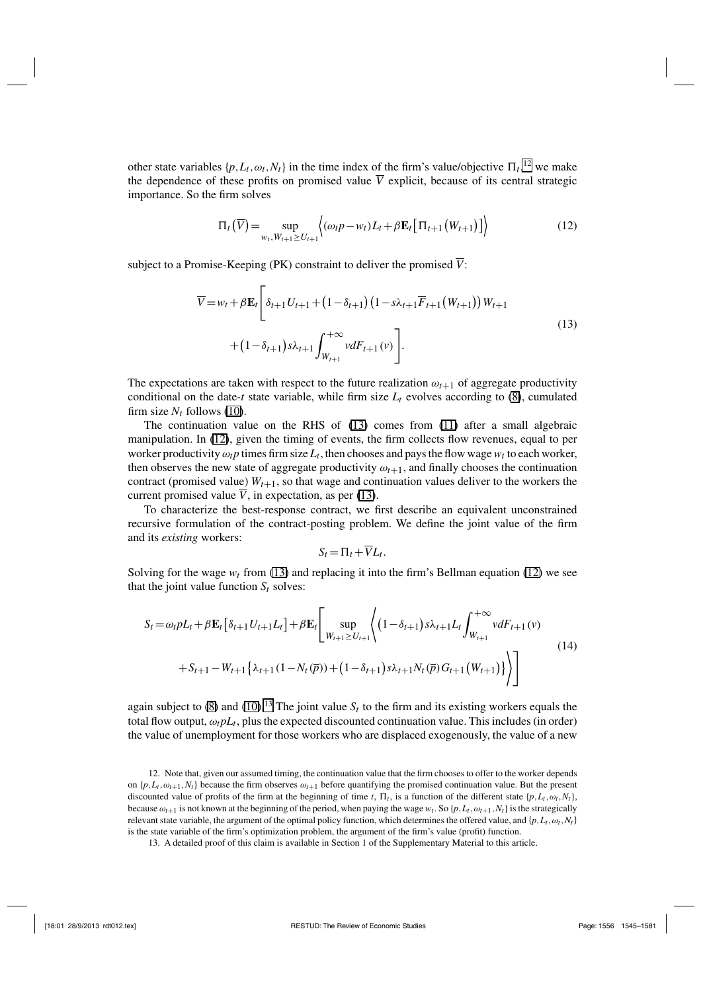other state variables  $\{p, L_t, \omega_t, N_t\}$  in the time index of the firm's value/objective  $\prod_t, k^2$  we make the dependence of these profits on promised value  $\overline{V}$  explicit, because of its central strategic importance. So the firm solves

$$
\Pi_t(\overline{V}) = \sup_{w_t, W_{t+1} \ge U_{t+1}} \left\{ (\omega_t p - w_t) L_t + \beta \mathbf{E}_t \left[ \Pi_{t+1} \left( W_{t+1} \right) \right] \right\} \tag{12}
$$

subject to a Promise-Keeping (PK) constraint to deliver the promised  $\overline{V}$ :

$$
\overline{V} = w_t + \beta \mathbf{E}_t \left[ \delta_{t+1} U_{t+1} + (1 - \delta_{t+1}) (1 - s \lambda_{t+1} \overline{F}_{t+1} (W_{t+1})) W_{t+1} + (1 - \delta_{t+1}) s \lambda_{t+1} \int_{W_{t+1}}^{+\infty} v dF_{t+1}(v) \right].
$$
\n(13)

The expectations are taken with respect to the future realization  $\omega_{t+1}$  of aggregate productivity conditional on the date-*t* state variable, while firm size  $L_t$  evolves according to (8), cumulated firm size  $N_t$  follows (10).

The continuation value on the RHS of (13) comes from (11) after a small algebraic manipulation. In (12), given the timing of events, the firm collects flow revenues, equal to per worker productivity  $\omega_t p$  times firm size  $L_t$ , then chooses and pays the flow wage  $w_t$  to each worker, then observes the new state of aggregate productivity  $\omega_{t+1}$ , and finally chooses the continuation contract (promised value)  $W_{t+1}$ , so that wage and continuation values deliver to the workers the current promised value  $\overline{V}$ , in expectation, as per (13).

To characterize the best-response contract, we first describe an equivalent unconstrained recursive formulation of the contract-posting problem. We define the joint value of the firm and its *existing* workers:

$$
S_t = \Pi_t + \overline{V}L_t.
$$

Solving for the wage  $w_t$  from (13) and replacing it into the firm's Bellman equation (12) we see that the joint value function  $S_t$  solves:

$$
S_{t} = \omega_{t} pL_{t} + \beta \mathbf{E}_{t} \left[ \delta_{t+1} U_{t+1} L_{t} \right] + \beta \mathbf{E}_{t} \left[ \sup_{W_{t+1} \geq U_{t+1}} \left\langle \left( 1 - \delta_{t+1} \right) s \lambda_{t+1} L_{t} \int_{W_{t+1}}^{+\infty} v dF_{t+1}(v) \right. \right.+ S_{t+1} - W_{t+1} \left\{ \lambda_{t+1} (1 - N_{t}(\overline{p})) + \left( 1 - \delta_{t+1} \right) s \lambda_{t+1} N_{t}(\overline{p}) G_{t+1}(W_{t+1}) \right\} \right)
$$
\n
$$
(14)
$$

again subject to (8) and (10).<sup>13</sup> The joint value  $S_t$  to the firm and its existing workers equals the total flow output,  $\omega_t p L_t$ , plus the expected discounted continuation value. This includes (in order) the value of unemployment for those workers who are displaced exogenously, the value of a new

<sup>12.</sup> Note that, given our assumed timing, the continuation value that the firm chooses to offer to the worker depends on  $\{p, L_t, \omega_{t+1}, N_t\}$  because the firm observes  $\omega_{t+1}$  before quantifying the promised continuation value. But the present discounted value of profits of the firm at the beginning of time *t*,  $\Pi_t$ , is a function of the different state  $\{p, L_t, \omega_t, N_t\}$ , because  $\omega_{t+1}$  is not known at the beginning of the period, when paying the wage  $w_t$ . So  $\{p, L_t, \omega_{t+1}, N_t\}$  is the strategically relevant state variable, the argument of the optimal policy function, which determines the offered value, and  $\{p, L_t, \omega_t, N_t\}$ is the state variable of the firm's optimization problem, the argument of the firm's value (profit) function.

<sup>13.</sup> A detailed proof of this claim is available in Section 1 of the Supplementary Material to this article.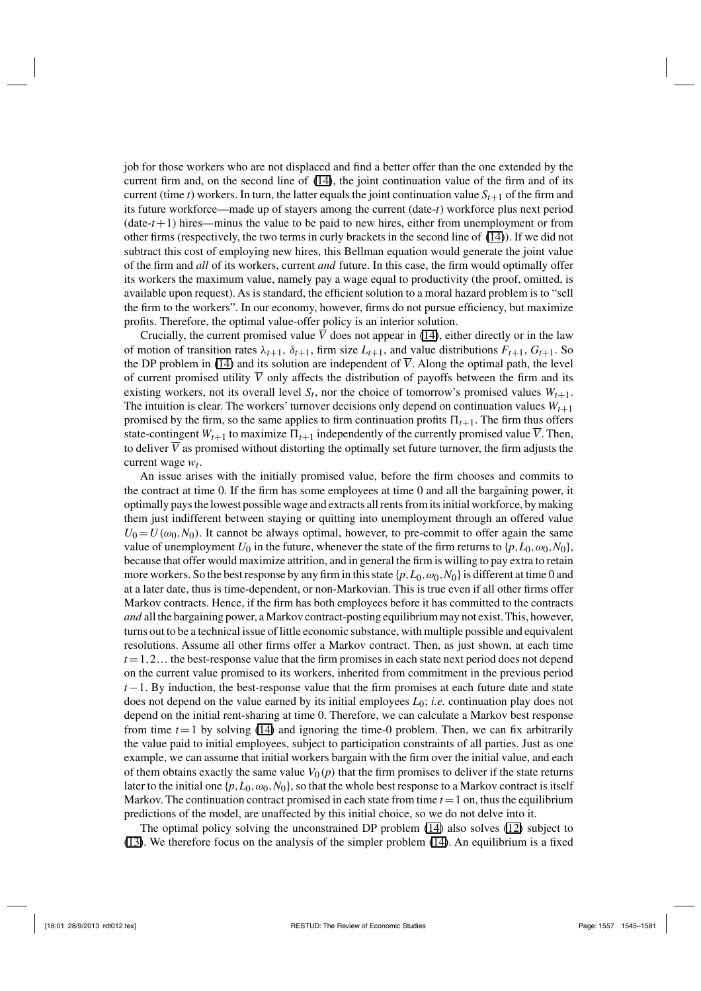job for those workers who are not displaced and find a better offer than the one extended by the current firm and, on the second line of (14), the joint continuation value of the firm and of its current (time *t*) workers. In turn, the latter equals the joint continuation value  $S_{t+1}$  of the firm and its future workforce—made up of stayers among the current (date-*t*) workforce plus next period  $(data-t+1)$  hires—minus the value to be paid to new hires, either from unemployment or from other firms (respectively, the two terms in curly brackets in the second line of (14)). If we did not subtract this cost of employing new hires, this Bellman equation would generate the joint value of the firm and *all* of its workers, current *and* future. In this case, the firm would optimally offer its workers the maximum value, namely pay a wage equal to productivity (the proof, omitted, is available upon request). As is standard, the efficient solution to a moral hazard problem is to "sell the firm to the workers". In our economy, however, firms do not pursue efficiency, but maximize profits. Therefore, the optimal value-offer policy is an interior solution.

Crucially, the current promised value  $\overline{V}$  does not appear in (14), either directly or in the law of motion of transition rates  $\lambda_{t+1}$ ,  $\delta_{t+1}$ , firm size  $L_{t+1}$ , and value distributions  $F_{t+1}$ ,  $G_{t+1}$ . So the DP problem in (14) and its solution are independent of  $\overline{V}$ . Along the optimal path, the level of current promised utility  $\overline{V}$  only affects the distribution of payoffs between the firm and its existing workers, not its overall level  $S_t$ , nor the choice of tomorrow's promised values  $W_{t+1}$ . The intuition is clear. The workers' turnover decisions only depend on continuation values  $W_{t+1}$ promised by the firm, so the same applies to firm continuation profits  $\Pi_{t+1}$ . The firm thus offers state-contingent  $W_{t+1}$  to maximize  $\Pi_{t+1}$  independently of the currently promised value  $\overline{V}$ . Then, to deliver  $\overline{V}$  as promised without distorting the optimally set future turnover, the firm adjusts the current wage  $w_t$ .

An issue arises with the initially promised value, before the firm chooses and commits to the contract at time 0. If the firm has some employees at time 0 and all the bargaining power, it optimally pays the lowest possible wage and extracts all rents from its initial workforce, by making them just indifferent between staying or quitting into unemployment through an offered value  $U_0 = U(\omega_0, N_0)$ . It cannot be always optimal, however, to pre-commit to offer again the same value of unemployment  $U_0$  in the future, whenever the state of the firm returns to  $\{p, L_0, \omega_0, N_0\}$ , because that offer would maximize attrition, and in general the firm is willing to pay extra to retain more workers. So the best response by any firm in this state  $\{p, L_0, \omega_0, N_0\}$  is different at time 0 and at a later date, thus is time-dependent, or non-Markovian. This is true even if all other firms offer Markov contracts. Hence, if the firm has both employees before it has committed to the contracts *and* all the bargaining power, a Markov contract-posting equilibrium may not exist. This, however, turns out to be a technical issue of little economic substance, with multiple possible and equivalent resolutions. Assume all other firms offer a Markov contract. Then, as just shown, at each time  $t = 1, 2...$  the best-response value that the firm promises in each state next period does not depend on the current value promised to its workers, inherited from commitment in the previous period *t* − 1. By induction, the best-response value that the firm promises at each future date and state does not depend on the value earned by its initial employees *L*0; *i.e.* continuation play does not depend on the initial rent-sharing at time 0. Therefore, we can calculate a Markov best response from time  $t = 1$  by solving (14) and ignoring the time-0 problem. Then, we can fix arbitrarily the value paid to initial employees, subject to participation constraints of all parties. Just as one example, we can assume that initial workers bargain with the firm over the initial value, and each of them obtains exactly the same value  $V_0(p)$  that the firm promises to deliver if the state returns later to the initial one  $\{p, L_0, \omega_0, N_0\}$ , so that the whole best response to a Markov contract is itself Markov. The continuation contract promised in each state from time  $t = 1$  on, thus the equilibrium predictions of the model, are unaffected by this initial choice, so we do not delve into it.

The optimal policy solving the unconstrained DP problem (14) also solves (12) subject to (13). We therefore focus on the analysis of the simpler problem (14). An equilibrium is a fixed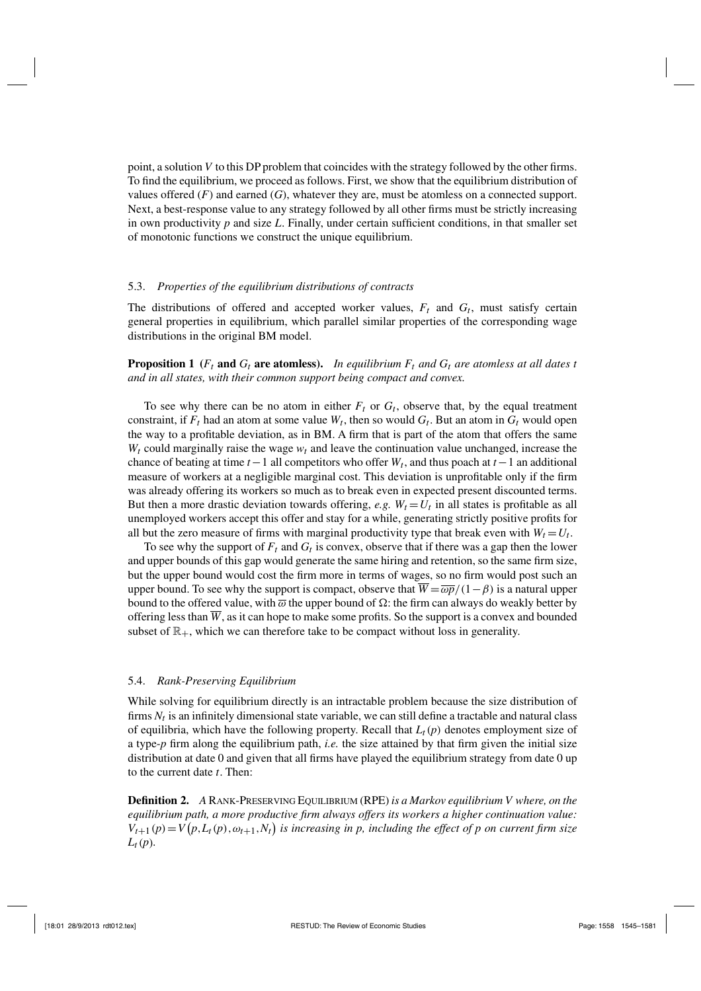point, a solution *V* to this DP problem that coincides with the strategy followed by the other firms. To find the equilibrium, we proceed as follows. First, we show that the equilibrium distribution of values offered (*F*) and earned (*G*), whatever they are, must be atomless on a connected support. Next, a best-response value to any strategy followed by all other firms must be strictly increasing in own productivity *p* and size *L*. Finally, under certain sufficient conditions, in that smaller set of monotonic functions we construct the unique equilibrium.

#### 5.3. *Properties of the equilibrium distributions of contracts*

The distributions of offered and accepted worker values,  $F_t$  and  $G_t$ , must satisfy certain general properties in equilibrium, which parallel similar properties of the corresponding wage distributions in the original BM model.

**Proposition 1** ( $F_t$  and  $G_t$  are atomless). In equilibrium  $F_t$  and  $G_t$  are atomless at all dates t *and in all states, with their common support being compact and convex.*

To see why there can be no atom in either  $F_t$  or  $G_t$ , observe that, by the equal treatment constraint, if  $F_t$  had an atom at some value  $W_t$ , then so would  $G_t$ . But an atom in  $G_t$  would open the way to a profitable deviation, as in BM. A firm that is part of the atom that offers the same  $W_t$  could marginally raise the wage  $w_t$  and leave the continuation value unchanged, increase the chance of beating at time  $t-1$  all competitors who offer  $W_t$ , and thus poach at  $t-1$  an additional measure of workers at a negligible marginal cost. This deviation is unprofitable only if the firm was already offering its workers so much as to break even in expected present discounted terms. But then a more drastic deviation towards offering, *e.g.*  $W_t = U_t$  in all states is profitable as all unemployed workers accept this offer and stay for a while, generating strictly positive profits for all but the zero measure of firms with marginal productivity type that break even with  $W_t = U_t$ .

To see why the support of  $F_t$  and  $G_t$  is convex, observe that if there was a gap then the lower and upper bounds of this gap would generate the same hiring and retention, so the same firm size, but the upper bound would cost the firm more in terms of wages, so no firm would post such an upper bound. To see why the support is compact, observe that  $\overline{W} = \overline{\omega p}/(1-\beta)$  is a natural upper bound to the offered value, with  $\overline{\omega}$  the upper bound of  $\Omega$ : the firm can always do weakly better by offering less than  $\overline{W}$ , as it can hope to make some profits. So the support is a convex and bounded subset of  $\mathbb{R}_+$ , which we can therefore take to be compact without loss in generality.

#### 5.4. *Rank-Preserving Equilibrium*

While solving for equilibrium directly is an intractable problem because the size distribution of firms *Nt* is an infinitely dimensional state variable, we can still define a tractable and natural class of equilibria, which have the following property. Recall that  $L_t(p)$  denotes employment size of a type-*p* firm along the equilibrium path, *i.e.* the size attained by that firm given the initial size distribution at date 0 and given that all firms have played the equilibrium strategy from date 0 up to the current date *t*. Then:

**Definition 2.** *<sup>A</sup>* Rank-Preserving Equilibrium (RPE) *is a Markov equilibrium V where, on the equilibrium path, a more productive firm always offers its workers a higher continuation value:*  $V_{t+1}(p) = V(p, L_t(p), \omega_{t+1}, N_t)$  is increasing in p, including the effect of p on current firm size *Lt*(*p*)*.*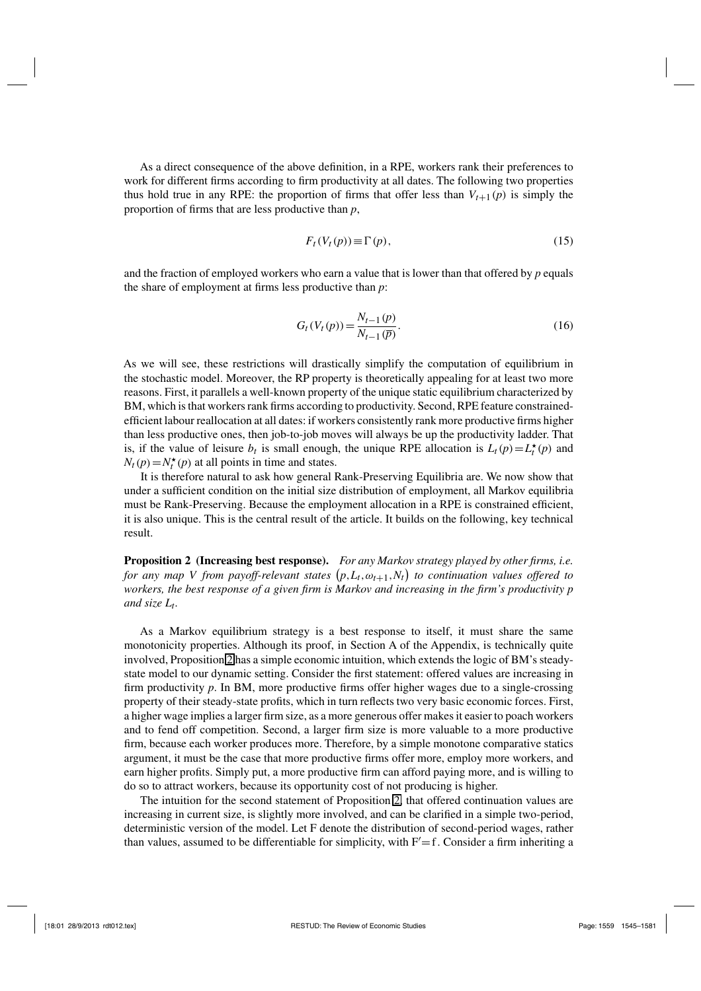As a direct consequence of the above definition, in a RPE, workers rank their preferences to work for different firms according to firm productivity at all dates. The following two properties thus hold true in any RPE: the proportion of firms that offer less than  $V_{t+1}(p)$  is simply the proportion of firms that are less productive than *p*,

$$
F_t(V_t(p)) \equiv \Gamma(p),\tag{15}
$$

and the fraction of employed workers who earn a value that is lower than that offered by *p* equals the share of employment at firms less productive than *p*:

$$
G_t(V_t(p)) = \frac{N_{t-1}(p)}{N_{t-1}(\overline{p})}.
$$
\n(16)

As we will see, these restrictions will drastically simplify the computation of equilibrium in the stochastic model. Moreover, the RP property is theoretically appealing for at least two more reasons. First, it parallels a well-known property of the unique static equilibrium characterized by BM, which is that workers rank firms according to productivity. Second, RPE feature constrainedefficient labour reallocation at all dates: if workers consistently rank more productive firms higher than less productive ones, then job-to-job moves will always be up the productivity ladder. That is, if the value of leisure  $b_t$  is small enough, the unique RPE allocation is  $L_t(p) = L_t^*(p)$  and  $N_t(p) = N_t^{\star}(p)$  at all points in time and states.

It is therefore natural to ask how general Rank-Preserving Equilibria are. We now show that under a sufficient condition on the initial size distribution of employment, all Markov equilibria must be Rank-Preserving. Because the employment allocation in a RPE is constrained efficient, it is also unique. This is the central result of the article. It builds on the following, key technical result.

**Proposition 2 (Increasing best response).** *For any Markov strategy played by other firms, i.e.* for any map V from payoff-relevant states  $(p, L_t, \omega_{t+1}, N_t)$  to continuation values offered to *workers, the best response of a given firm is Markov and increasing in the firm's productivity p and size Lt.*

As a Markov equilibrium strategy is a best response to itself, it must share the same monotonicity properties. Although its proof, in Section A of the Appendix, is technically quite involved, Proposition 2 has a simple economic intuition, which extends the logic of BM's steadystate model to our dynamic setting. Consider the first statement: offered values are increasing in firm productivity *p*. In BM, more productive firms offer higher wages due to a single-crossing property of their steady-state profits, which in turn reflects two very basic economic forces. First, a higher wage implies a larger firm size, as a more generous offer makes it easier to poach workers and to fend off competition. Second, a larger firm size is more valuable to a more productive firm, because each worker produces more. Therefore, by a simple monotone comparative statics argument, it must be the case that more productive firms offer more, employ more workers, and earn higher profits. Simply put, a more productive firm can afford paying more, and is willing to do so to attract workers, because its opportunity cost of not producing is higher.

The intuition for the second statement of Proposition 2, that offered continuation values are increasing in current size, is slightly more involved, and can be clarified in a simple two-period, deterministic version of the model. Let F denote the distribution of second-period wages, rather than values, assumed to be differentiable for simplicity, with  $F' = f$ . Consider a firm inheriting a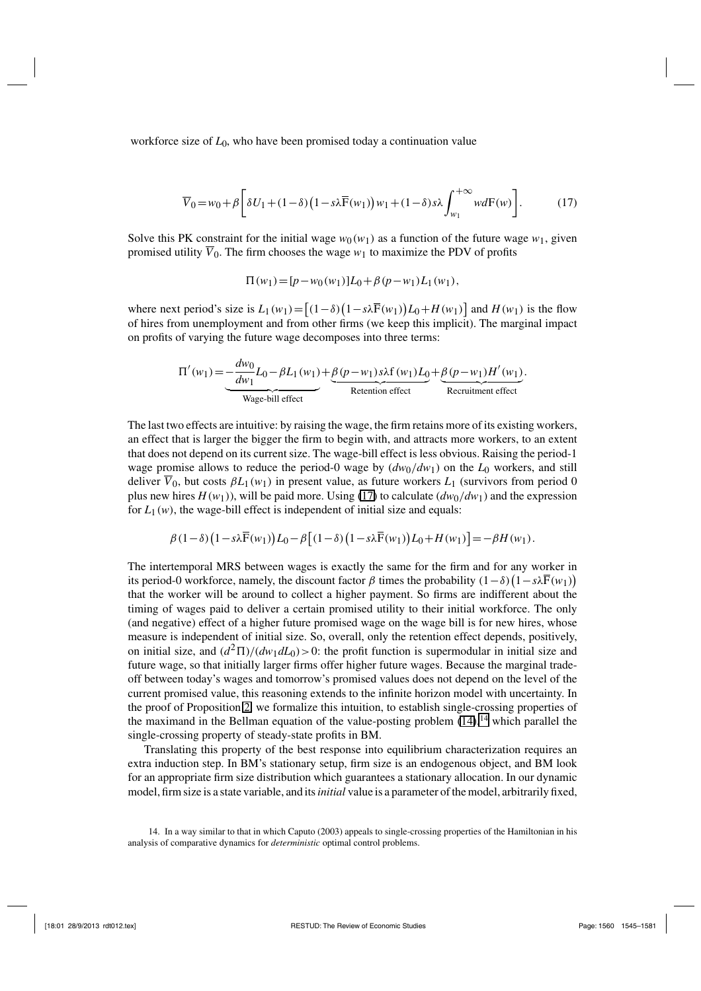workforce size of  $L_0$ , who have been promised today a continuation value

$$
\overline{V}_0 = w_0 + \beta \left[ \delta U_1 + (1 - \delta) \left( 1 - s \lambda \overline{F}(w_1) \right) w_1 + (1 - \delta) s \lambda \int_{w_1}^{+\infty} w dF(w) \right].
$$
 (17)

Solve this PK constraint for the initial wage  $w_0(w_1)$  as a function of the future wage  $w_1$ , given promised utility  $\overline{V}_0$ . The firm chooses the wage  $w_1$  to maximize the PDV of profits

$$
\Pi(w_1) = [p - w_0(w_1)]L_0 + \beta (p - w_1)L_1(w_1),
$$

where next period's size is  $L_1(w_1) = [(1 - \delta)(1 - s\lambda \overline{F}(w_1))L_0 + H(w_1)]$  and  $H(w_1)$  is the flow of hires from unemployment and from other firms (we keep this implicit). The marginal impact on profits of varying the future wage decomposes into three terms:

$$
\Pi'(w_1) = -\frac{dw_0}{dw_1}L_0 - \beta L_1(w_1) + \underbrace{\beta(p-w_1)s\lambda f(w_1)L_0}_{\text{Retention effect}} + \underbrace{\beta(p-w_1)H'(w_1)}_{\text{Recruitment effect}}.
$$

The last two effects are intuitive: by raising the wage, the firm retains more of its existing workers, an effect that is larger the bigger the firm to begin with, and attracts more workers, to an extent that does not depend on its current size. The wage-bill effect is less obvious. Raising the period-1 wage promise allows to reduce the period-0 wage by  $(dw_0/dw_1)$  on the  $L_0$  workers, and still deliver  $\overline{V}_0$ , but costs  $\beta L_1(w_1)$  in present value, as future workers  $L_1$  (survivors from period 0 plus new hires  $H(w_1)$ ), will be paid more. Using (17) to calculate  $(dw_0/dw_1)$  and the expression for  $L_1(w)$ , the wage-bill effect is independent of initial size and equals:

$$
\beta(1-\delta)\big(1-s\lambda\overline{\mathrm{F}}(w_1)\big)L_0-\beta\big[(1-\delta)\big(1-s\lambda\overline{\mathrm{F}}(w_1)\big)L_0+H(w_1)\big]=-\beta H(w_1).
$$

The intertemporal MRS between wages is exactly the same for the firm and for any worker in its period-0 workforce, namely, the discount factor  $\beta$  times the probability  $(1-\delta)(1-s\lambda\overline{F}(w_1))$ that the worker will be around to collect a higher payment. So firms are indifferent about the timing of wages paid to deliver a certain promised utility to their initial workforce. The only (and negative) effect of a higher future promised wage on the wage bill is for new hires, whose measure is independent of initial size. So, overall, only the retention effect depends, positively, on initial size, and  $\frac{d^2 \Pi}{(dw_1 dL_0)} > 0$ : the profit function is supermodular in initial size and future wage, so that initially larger firms offer higher future wages. Because the marginal tradeoff between today's wages and tomorrow's promised values does not depend on the level of the current promised value, this reasoning extends to the infinite horizon model with uncertainty. In the proof of Proposition 2, we formalize this intuition, to establish single-crossing properties of the maximand in the Bellman equation of the value-posting problem  $(14)$ , <sup>14</sup> which parallel the single-crossing property of steady-state profits in BM.

Translating this property of the best response into equilibrium characterization requires an extra induction step. In BM's stationary setup, firm size is an endogenous object, and BM look for an appropriate firm size distribution which guarantees a stationary allocation. In our dynamic model, firm size is a state variable, and its*initial* value is a parameter of the model, arbitrarily fixed,

14. In a way similar to that in which Caputo (2003) appeals to single-crossing properties of the Hamiltonian in his analysis of comparative dynamics for *deterministic* optimal control problems.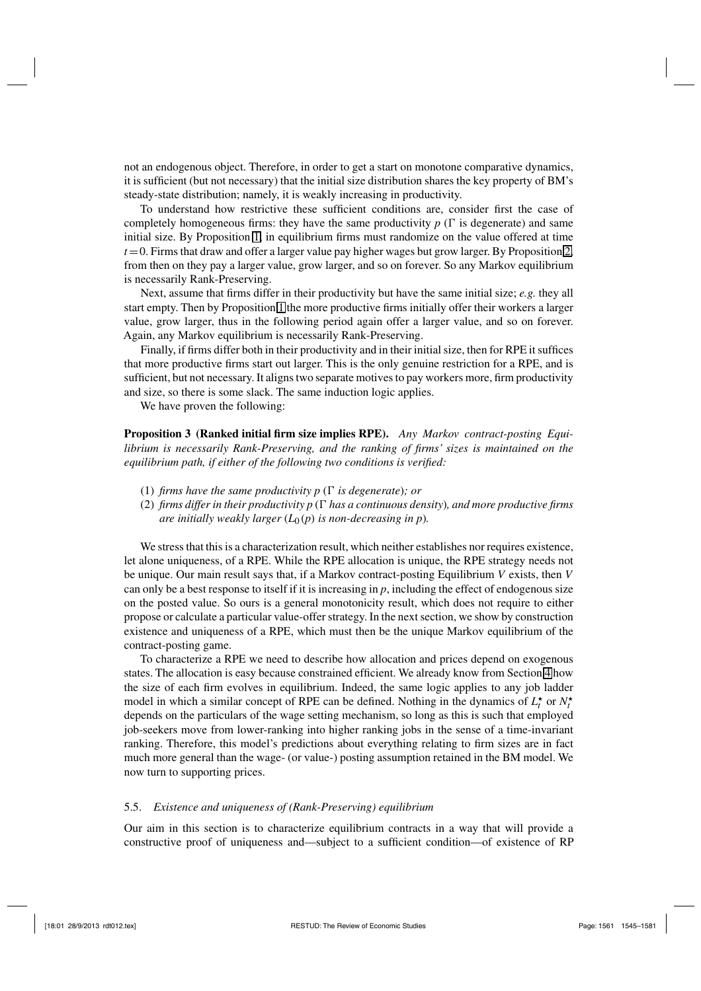not an endogenous object. Therefore, in order to get a start on monotone comparative dynamics, it is sufficient (but not necessary) that the initial size distribution shares the key property of BM's steady-state distribution; namely, it is weakly increasing in productivity.

To understand how restrictive these sufficient conditions are, consider first the case of completely homogeneous firms: they have the same productivity  $p(\Gamma)$  is degenerate) and same initial size. By Proposition 1, in equilibrium firms must randomize on the value offered at time  $t = 0$ . Firms that draw and offer a larger value pay higher wages but grow larger. By Proposition 2, from then on they pay a larger value, grow larger, and so on forever. So any Markov equilibrium is necessarily Rank-Preserving.

Next, assume that firms differ in their productivity but have the same initial size; *e.g.* they all start empty. Then by Proposition 1 the more productive firms initially offer their workers a larger value, grow larger, thus in the following period again offer a larger value, and so on forever. Again, any Markov equilibrium is necessarily Rank-Preserving.

Finally, if firms differ both in their productivity and in their initial size, then for RPE it suffices that more productive firms start out larger. This is the only genuine restriction for a RPE, and is sufficient, but not necessary. It aligns two separate motives to pay workers more, firm productivity and size, so there is some slack. The same induction logic applies.

We have proven the following:

**Proposition 3 (Ranked initial firm size implies RPE).** *Any Markov contract-posting Equilibrium is necessarily Rank-Preserving, and the ranking of firms' sizes is maintained on the equilibrium path, if either of the following two conditions is verified:*

- (1) *firms have the same productivity p*  $(\Gamma$  *is degenerate); or*
- (2) *firms differ in their productivity p* ( *has a continuous density*)*, and more productive firms are initially weakly larger*  $(L_0(p))$  *is non-decreasing in p*).

We stress that this is a characterization result, which neither establishes nor requires existence, let alone uniqueness, of a RPE. While the RPE allocation is unique, the RPE strategy needs not be unique. Our main result says that, if a Markov contract-posting Equilibrium *V* exists, then *V* can only be a best response to itself if it is increasing in  $p$ , including the effect of endogenous size on the posted value. So ours is a general monotonicity result, which does not require to either propose or calculate a particular value-offer strategy. In the next section, we show by construction existence and uniqueness of a RPE, which must then be the unique Markov equilibrium of the contract-posting game.

To characterize a RPE we need to describe how allocation and prices depend on exogenous states. The allocation is easy because constrained efficient. We already know from Section 4 how the size of each firm evolves in equilibrium. Indeed, the same logic applies to any job ladder model in which a similar concept of RPE can be defined. Nothing in the dynamics of  $L_t^*$  or  $N_t^*$ depends on the particulars of the wage setting mechanism, so long as this is such that employed job-seekers move from lower-ranking into higher ranking jobs in the sense of a time-invariant ranking. Therefore, this model's predictions about everything relating to firm sizes are in fact much more general than the wage- (or value-) posting assumption retained in the BM model. We now turn to supporting prices.

#### 5.5. *Existence and uniqueness of (Rank-Preserving) equilibrium*

Our aim in this section is to characterize equilibrium contracts in a way that will provide a constructive proof of uniqueness and—subject to a sufficient condition—of existence of RP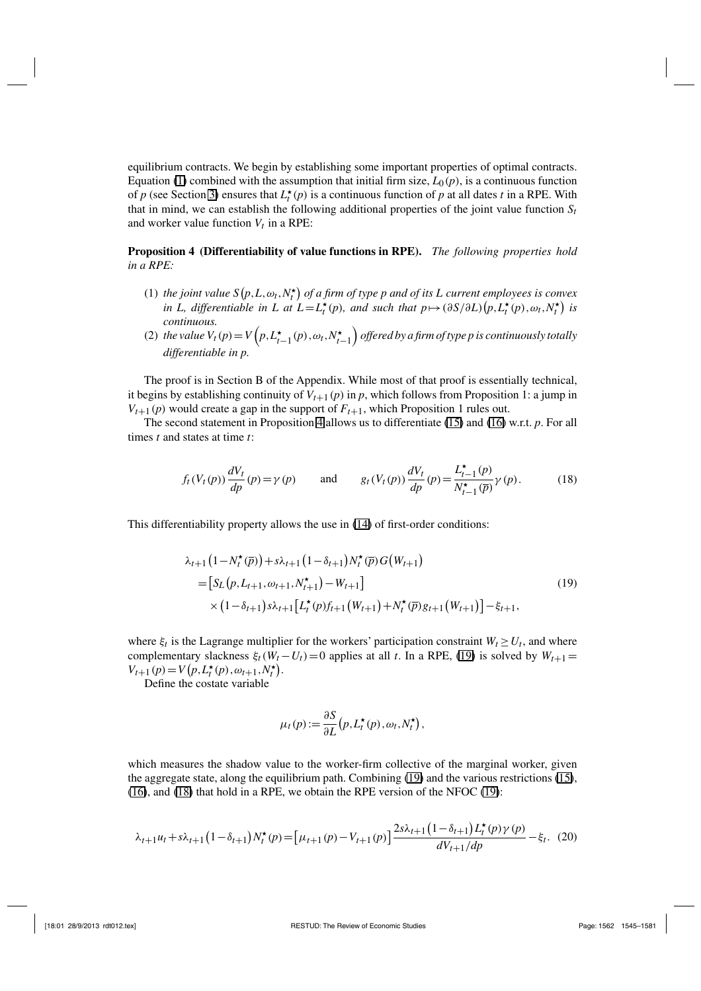equilibrium contracts. We begin by establishing some important properties of optimal contracts. Equation (1) combined with the assumption that initial firm size,  $L_0(p)$ , is a continuous function of *p* (see Section 3) ensures that  $L_t^*(p)$  is a continuous function of *p* at all dates *t* in a RPE. With that in mind, we can establish the following additional properties of the joint value function  $S_t$ and worker value function  $V_t$  in a RPE:

#### **Proposition 4 (Differentiability of value functions in RPE).** *The following properties hold in a RPE:*

- (1) the joint value  $S(p, L, \omega_t, N_t^{\star})$  of a firm of type p and of its L current employees is convex *in L, differentiable in L at*  $L = L_t^*(p)$ *, and such that*  $p \mapsto (\partial S/\partial L)(p, L_t^*(p), \omega_t, N_t^*)$  *is continuous.*
- (2) *the value*  $V_t(p) = V\left(p, L_{t-1}^{\star}(p), \omega_t, N_{t-1}^{\star}\right)$  *offered by a firm of type p is continuously totally differentiable in p.*

The proof is in Section B of the Appendix. While most of that proof is essentially technical, it begins by establishing continuity of  $V_{t+1}(p)$  in p, which follows from Proposition 1: a jump in  $V_{t+1}(p)$  would create a gap in the support of  $F_{t+1}$ , which Proposition 1 rules out.

The second statement in Proposition 4 allows us to differentiate (15) and (16) w.r.t. *p*. For all times *t* and states at time *t*:

$$
f_t(V_t(p))\frac{dV_t}{dp}(p) = \gamma(p) \quad \text{and} \quad g_t(V_t(p))\frac{dV_t}{dp}(p) = \frac{L_{t-1}^{\star}(p)}{N_{t-1}^{\star}(\overline{p})}\gamma(p). \quad (18)
$$

This differentiability property allows the use in (14) of first-order conditions:

$$
\lambda_{t+1} (1 - N_t^{\star}(\overline{p})) + s\lambda_{t+1} (1 - \delta_{t+1}) N_t^{\star}(\overline{p}) G(W_{t+1})
$$
\n
$$
= [S_L(p, L_{t+1}, \omega_{t+1}, N_{t+1}^{\star}) - W_{t+1}]
$$
\n
$$
\times (1 - \delta_{t+1}) s\lambda_{t+1} [L_t^{\star}(p) f_{t+1}(W_{t+1}) + N_t^{\star}(\overline{p}) g_{t+1}(W_{t+1})] - \xi_{t+1},
$$
\n(19)

where  $\xi_t$  is the Lagrange multiplier for the workers' participation constraint  $W_t \ge U_t$ , and where complementary slackness  $\xi_t(W_t - U_t) = 0$  applies at all *t*. In a RPE, (19) is solved by  $W_{t+1} =$  $V_{t+1}(p) = V(p, L_t^{\star}(p), \omega_{t+1}, N_t^{\star}).$ 

Define the costate variable

$$
\mu_t(p) := \frac{\partial S}{\partial L} (p, L_t^{\star}(p), \omega_t, N_t^{\star}),
$$

which measures the shadow value to the worker-firm collective of the marginal worker, given the aggregate state, along the equilibrium path. Combining (19) and the various restrictions (15), (16), and (18) that hold in a RPE, we obtain the RPE version of the NFOC (19):

$$
\lambda_{t+1}u_t + s\lambda_{t+1} \left(1 - \delta_{t+1}\right) N_t^{\star}(p) = \left[\mu_{t+1}(p) - V_{t+1}(p)\right] \frac{2s\lambda_{t+1}\left(1 - \delta_{t+1}\right)L_t^{\star}(p)\gamma(p)}{dV_{t+1}/dp} - \xi_t. \tag{20}
$$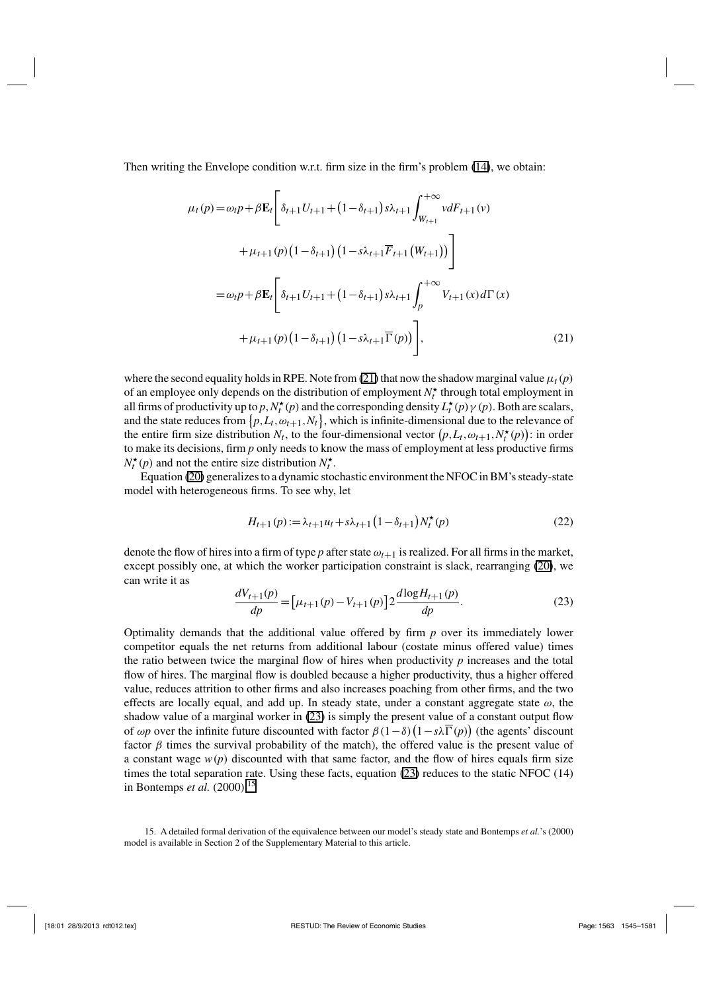Then writing the Envelope condition w.r.t. firm size in the firm's problem (14), we obtain:

$$
\mu_t(p) = \omega_t p + \beta \mathbf{E}_t \left[ \delta_{t+1} U_{t+1} + (1 - \delta_{t+1}) s \lambda_{t+1} \int_{W_{t+1}}^{+\infty} v dF_{t+1}(v) + \mu_{t+1}(p) (1 - \delta_{t+1}) (1 - s \lambda_{t+1} \overline{F}_{t+1}(W_{t+1})) \right]
$$
  

$$
= \omega_t p + \beta \mathbf{E}_t \left[ \delta_{t+1} U_{t+1} + (1 - \delta_{t+1}) s \lambda_{t+1} \int_p^{+\infty} V_{t+1}(x) d\Gamma(x) + \mu_{t+1}(p) (1 - \delta_{t+1}) (1 - s \lambda_{t+1} \overline{\Gamma}(p)) \right],
$$
 (21)

where the second equality holds in RPE. Note from (21) that now the shadow marginal value  $\mu_t(p)$ of an employee only depends on the distribution of employment  $N_t^{\star}$  through total employment in all firms of productivity up to *p*,  $N_t^{\star}(p)$  and the corresponding density  $L_t^{\star}(p) \gamma(p)$ . Both are scalars, and the state reduces from  $\{p, L_t, \omega_{t+1}, N_t\}$ , which is infinite-dimensional due to the relevance of the entire firm size distribution  $N_t$ , to the four-dimensional vector  $(p, L_t, \omega_{t+1}, N_t^{\star}(p))$ : in order to make its decisions, firm *p* only needs to know the mass of employment at less productive firms  $N_t^{\star}(p)$  and not the entire size distribution  $N_t^{\star}$ .

Equation (20) generalizes to a dynamic stochastic environment the NFOC in BM's steady-state model with heterogeneous firms. To see why, let

$$
H_{t+1}(p) := \lambda_{t+1} u_t + s\lambda_{t+1} \left(1 - \delta_{t+1}\right) N_t^{\star}(p) \tag{22}
$$

denote the flow of hires into a firm of type  $p$  after state  $\omega_{t+1}$  is realized. For all firms in the market, except possibly one, at which the worker participation constraint is slack, rearranging (20), we can write it as

$$
\frac{dV_{t+1}(p)}{dp} = \left[\mu_{t+1}(p) - V_{t+1}(p)\right] 2 \frac{d \log H_{t+1}(p)}{dp}.
$$
\n(23)

Optimality demands that the additional value offered by firm *p* over its immediately lower competitor equals the net returns from additional labour (costate minus offered value) times the ratio between twice the marginal flow of hires when productivity *p* increases and the total flow of hires. The marginal flow is doubled because a higher productivity, thus a higher offered value, reduces attrition to other firms and also increases poaching from other firms, and the two effects are locally equal, and add up. In steady state, under a constant aggregate state  $\omega$ , the shadow value of a marginal worker in (23) is simply the present value of a constant output flow of  $\omega p$  over the infinite future discounted with factor  $\beta(1-\delta)(1-s\lambda\overline{\Gamma}(p))$  (the agents' discount factor  $\beta$  times the survival probability of the match), the offered value is the present value of a constant wage  $w(p)$  discounted with that same factor, and the flow of hires equals firm size times the total separation rate. Using these facts, equation (23) reduces to the static NFOC (14) in Bontemps *et al.* (2000).<sup>15</sup>

<sup>15.</sup> A detailed formal derivation of the equivalence between our model's steady state and Bontemps *et al.*'s (2000) model is available in Section 2 of the Supplementary Material to this article.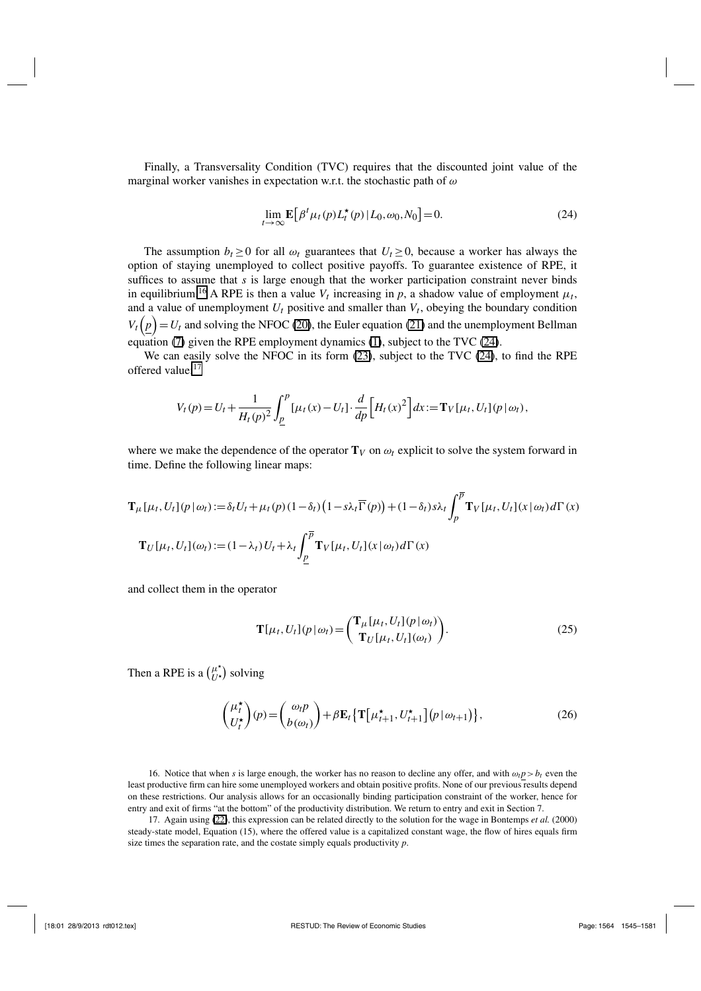Finally, a Transversality Condition (TVC) requires that the discounted joint value of the marginal worker vanishes in expectation w.r.t. the stochastic path of  $\omega$ 

$$
\lim_{t \to \infty} \mathbf{E} \left[ \beta^t \mu_t(p) L_t^*(p) \, | \, L_0, \omega_0, N_0 \right] = 0. \tag{24}
$$

The assumption  $b_t \geq 0$  for all  $\omega_t$  guarantees that  $U_t \geq 0$ , because a worker has always the option of staying unemployed to collect positive payoffs. To guarantee existence of RPE, it suffices to assume that *s* is large enough that the worker participation constraint never binds in equilibrium.<sup>16</sup> A RPE is then a value  $V_t$  increasing in  $p$ , a shadow value of employment  $\mu_t$ , and a value of unemployment  $U_t$  positive and smaller than  $V_t$ , obeying the boundary condition  $V_t(p) = U_t$  and solving the NFOC (20), the Euler equation (21) and the unemployment Bellman equation (7) given the RPE employment dynamics (1), subject to the TVC (24).

We can easily solve the NFOC in its form (23), subject to the TVC (24), to find the RPE offered value:<sup>17</sup>

$$
V_t(p) = U_t + \frac{1}{H_t(p)^2} \int_{\underline{p}}^p [\mu_t(x) - U_t] \cdot \frac{d}{dp} [H_t(x)^2] dx := \mathbf{T}_V[\mu_t, U_t](p \, | \, \omega_t),
$$

where we make the dependence of the operator  $T_V$  on  $\omega_t$  explicit to solve the system forward in time. Define the following linear maps:

$$
\mathbf{T}_{\mu}[\mu_t, U_t](p \mid \omega_t) := \delta_t U_t + \mu_t(p) (1 - \delta_t) \left(1 - s\lambda_t \overline{\Gamma}(p)\right) + (1 - \delta_t) s\lambda_t \int_p^{\overline{p}} \mathbf{T}_V[\mu_t, U_t](x \mid \omega_t) d\Gamma(x)
$$

$$
\mathbf{T}_U[\mu_t, U_t](\omega_t) := (1 - \lambda_t) U_t + \lambda_t \int_{\underline{p}}^{\overline{p}} \mathbf{T}_V[\mu_t, U_t](x \mid \omega_t) d\Gamma(x)
$$

and collect them in the operator

$$
\mathbf{T}[\mu_t, U_t](p \,|\, \omega_t) = \begin{pmatrix} \mathbf{T}_{\mu}[\mu_t, U_t](p \,|\, \omega_t) \\ \mathbf{T}_{U}[\mu_t, U_t](\omega_t) \end{pmatrix} . \tag{25}
$$

Then a RPE is a  $\binom{\mu^*}{U^*}$  solving

$$
\begin{pmatrix} \mu_t^{\star} \\ U_t^{\star} \end{pmatrix} (p) = \begin{pmatrix} \omega_t p \\ b(\omega_t) \end{pmatrix} + \beta \mathbf{E}_t \{ \mathbf{T} \left[ \mu_{t+1}^{\star}, U_{t+1}^{\star} \right] (p \, | \, \omega_{t+1}) \}, \tag{26}
$$

16. Notice that when *s* is large enough, the worker has no reason to decline any offer, and with  $\omega_t p > b_t$  even the least productive firm can hire some unemployed workers and obtain positive profits. None of our previous results depend on these restrictions. Our analysis allows for an occasionally binding participation constraint of the worker, hence for entry and exit of firms "at the bottom" of the productivity distribution. We return to entry and exit in Section 7.

17. Again using (22), this expression can be related directly to the solution for the wage in Bontemps *et al.* (2000) steady-state model, Equation (15), where the offered value is a capitalized constant wage, the flow of hires equals firm size times the separation rate, and the costate simply equals productivity *p*.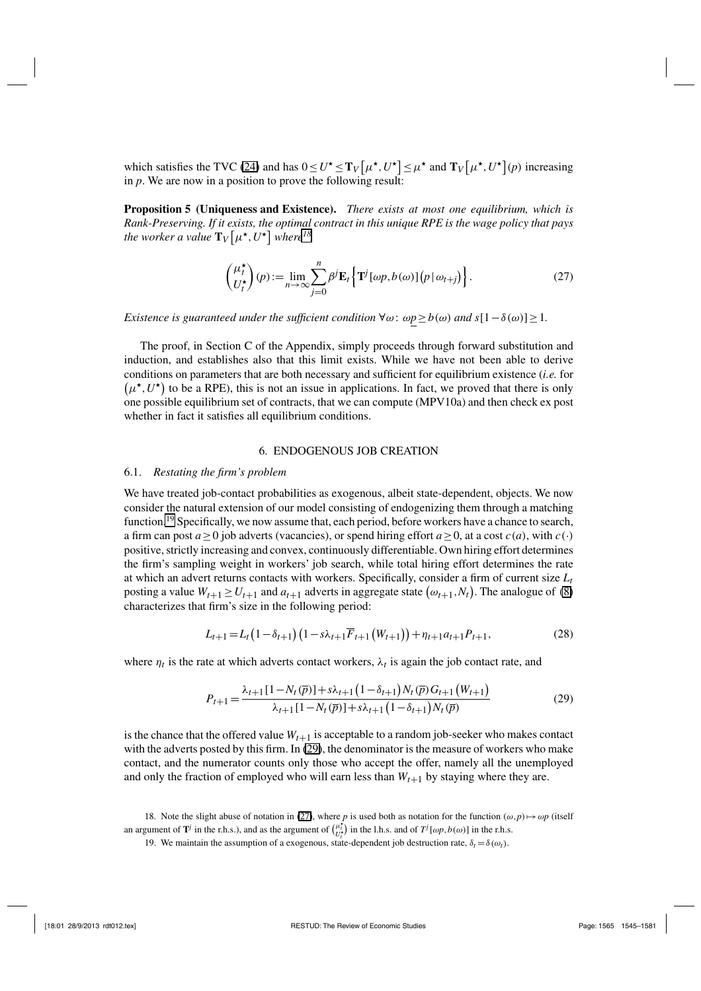which satisfies the TVC (24) and has  $0 \le U^* \le T_V \left[ \mu^*, U^* \right] \le \mu^*$  and  $T_V \left[ \mu^*, U^* \right] (p)$  increasing in *p*. We are now in a position to prove the following result:

**Proposition 5 (Uniqueness and Existence).** *There exists at most one equilibrium, which is Rank-Preserving. If it exists, the optimal contract in this unique RPE is the wage policy that pays* the worker a value  $\mathbf{T}_{V}\big[\mu^{\star},U^{\star}\big]$  where<sup>18</sup>

$$
\begin{pmatrix} \mu_t^{\star} \\ U_t^{\star} \end{pmatrix} (p) := \lim_{n \to \infty} \sum_{j=0}^n \beta^j \mathbf{E}_t \left\{ \mathbf{T}^j [\omega p, b(\omega)] \big( p | \omega_{t+j} \big) \right\}.
$$
 (27)

*Existence is guaranteed under the sufficient condition*  $\forall \omega$ :  $\omega p \ge b(\omega)$  *and*  $s[1-\delta(\omega)] \ge 1$ *.* 

The proof, in Section C of the Appendix, simply proceeds through forward substitution and induction, and establishes also that this limit exists. While we have not been able to derive conditions on parameters that are both necessary and sufficient for equilibrium existence (*i.e.* for  $(\mu^{\star}, U^{\star})$  to be a RPE), this is not an issue in applications. In fact, we proved that there is only one possible equilibrium set of contracts, that we can compute (MPV10a) and then check ex post whether in fact it satisfies all equilibrium conditions.

#### 6. ENDOGENOUS JOB CREATION

#### 6.1. *Restating the firm's problem*

We have treated job-contact probabilities as exogenous, albeit state-dependent, objects. We now consider the natural extension of our model consisting of endogenizing them through a matching function.<sup>19</sup> Specifically, we now assume that, each period, before workers have a chance to search, a firm can post  $a > 0$  job adverts (vacancies), or spend hiring effort  $a > 0$ , at a cost  $c(a)$ , with  $c(\cdot)$ positive, strictly increasing and convex, continuously differentiable. Own hiring effort determines the firm's sampling weight in workers' job search, while total hiring effort determines the rate at which an advert returns contacts with workers. Specifically, consider a firm of current size  $L_t$ posting a value  $W_{t+1} \ge U_{t+1}$  and  $a_{t+1}$  adverts in aggregate state  $(\omega_{t+1}, N_t)$ . The analogue of (8) characterizes that firm's size in the following period:

$$
L_{t+1} = L_t \left(1 - \delta_{t+1}\right) \left(1 - s\lambda_{t+1} \overline{F}_{t+1} \left(W_{t+1}\right)\right) + \eta_{t+1} a_{t+1} P_{t+1},\tag{28}
$$

where  $\eta_t$  is the rate at which adverts contact workers,  $\lambda_t$  is again the job contact rate, and

$$
P_{t+1} = \frac{\lambda_{t+1} [1 - N_t(\overline{p})] + s\lambda_{t+1} (1 - \delta_{t+1}) N_t(\overline{p}) G_{t+1} (W_{t+1})}{\lambda_{t+1} [1 - N_t(\overline{p})] + s\lambda_{t+1} (1 - \delta_{t+1}) N_t(\overline{p})}
$$
(29)

is the chance that the offered value  $W_{t+1}$  is acceptable to a random job-seeker who makes contact with the adverts posted by this firm. In (29), the denominator is the measure of workers who make contact, and the numerator counts only those who accept the offer, namely all the unemployed and only the fraction of employed who will earn less than  $W_{t+1}$  by staying where they are.

<sup>18.</sup> Note the slight abuse of notation in (27), where *p* is used both as notation for the function  $(\omega, p) \mapsto \omega p$  (itself an argument of **T**<sup>*j*</sup> in the r.h.s.), and as the argument of  $\begin{pmatrix} \mu_t^* \\ U_t^* \end{pmatrix}$  in the l.h.s. and of  $T^j[\omega p, b(\omega)]$  in the r.h.s.

<sup>19.</sup> We maintain the assumption of a exogenous, state-dependent job destruction rate,  $\delta_t = \delta(\omega_t)$ .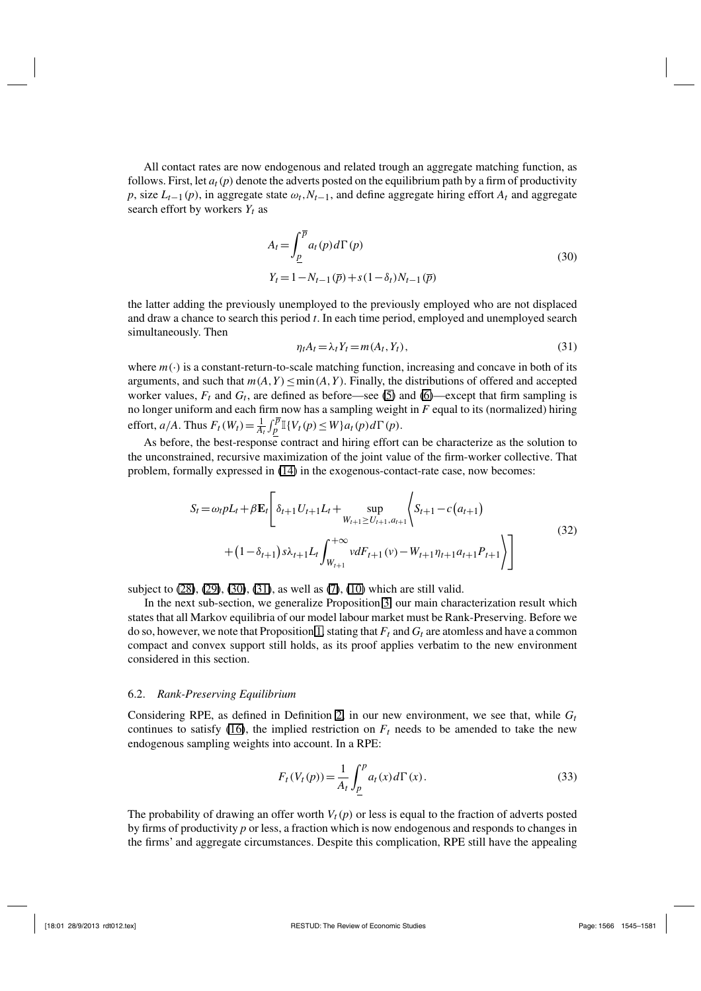All contact rates are now endogenous and related trough an aggregate matching function, as follows. First, let  $a_t(p)$  denote the adverts posted on the equilibrium path by a firm of productivity *p*, size  $L_{t-1}(p)$ , in aggregate state  $\omega_t$ ,  $N_{t-1}$ , and define aggregate hiring effort  $A_t$  and aggregate search effort by workers  $Y_t$  as

$$
A_{t} = \int_{\underline{p}}^{\overline{p}} a_{t}(p) d\Gamma(p)
$$
  
\n
$$
Y_{t} = 1 - N_{t-1}(\overline{p}) + s(1 - \delta_{t})N_{t-1}(\overline{p})
$$
\n(30)

the latter adding the previously unemployed to the previously employed who are not displaced and draw a chance to search this period *t*. In each time period, employed and unemployed search simultaneously. Then

$$
\eta_t A_t = \lambda_t Y_t = m(A_t, Y_t),\tag{31}
$$

where  $m(\cdot)$  is a constant-return-to-scale matching function, increasing and concave in both of its arguments, and such that  $m(A, Y) \leq min(A, Y)$ . Finally, the distributions of offered and accepted worker values,  $F_t$  and  $G_t$ , are defined as before—see (5) and (6)—except that firm sampling is no longer uniform and each firm now has a sampling weight in *F* equal to its (normalized) hiring effort,  $a/A$ . Thus  $F_t(W_t) = \frac{1}{A_t} \int_P^{\overline{p}} \mathbb{I}\{V_t(p) \leq W\} a_t(p) d\Gamma(p)$ .

As before, the best-response contract and hiring effort can be characterize as the solution to the unconstrained, recursive maximization of the joint value of the firm-worker collective. That problem, formally expressed in (14) in the exogenous-contact-rate case, now becomes:

$$
S_{t} = \omega_{t} pL_{t} + \beta \mathbf{E}_{t} \left[ \delta_{t+1} U_{t+1} L_{t} + \sup_{W_{t+1} \ge U_{t+1}, a_{t+1}} \left\langle S_{t+1} - c(a_{t+1}) \right\rangle + (1 - \delta_{t+1}) s \lambda_{t+1} L_{t} \int_{W_{t+1}}^{+\infty} v dF_{t+1}(v) - W_{t+1} \eta_{t+1} a_{t+1} P_{t+1} \right\rangle \right]
$$
\n
$$
(32)
$$

subject to (28), (29), (30), (31), as well as (7), (10) which are still valid.

In the next sub-section, we generalize Proposition 3, our main characterization result which states that all Markov equilibria of our model labour market must be Rank-Preserving. Before we do so, however, we note that Proposition 1, stating that  $F_t$  and  $G_t$  are atomless and have a common compact and convex support still holds, as its proof applies verbatim to the new environment considered in this section.

#### 6.2. *Rank-Preserving Equilibrium*

Considering RPE, as defined in Definition 2, in our new environment, we see that, while *Gt* continues to satisfy (16), the implied restriction on  $F_t$  needs to be amended to take the new endogenous sampling weights into account. In a RPE:

$$
F_t(V_t(p)) = \frac{1}{A_t} \int_{\underline{p}}^p a_t(x) d\Gamma(x).
$$
 (33)

The probability of drawing an offer worth  $V_t(p)$  or less is equal to the fraction of adverts posted by firms of productivity *p* or less, a fraction which is now endogenous and responds to changes in the firms' and aggregate circumstances. Despite this complication, RPE still have the appealing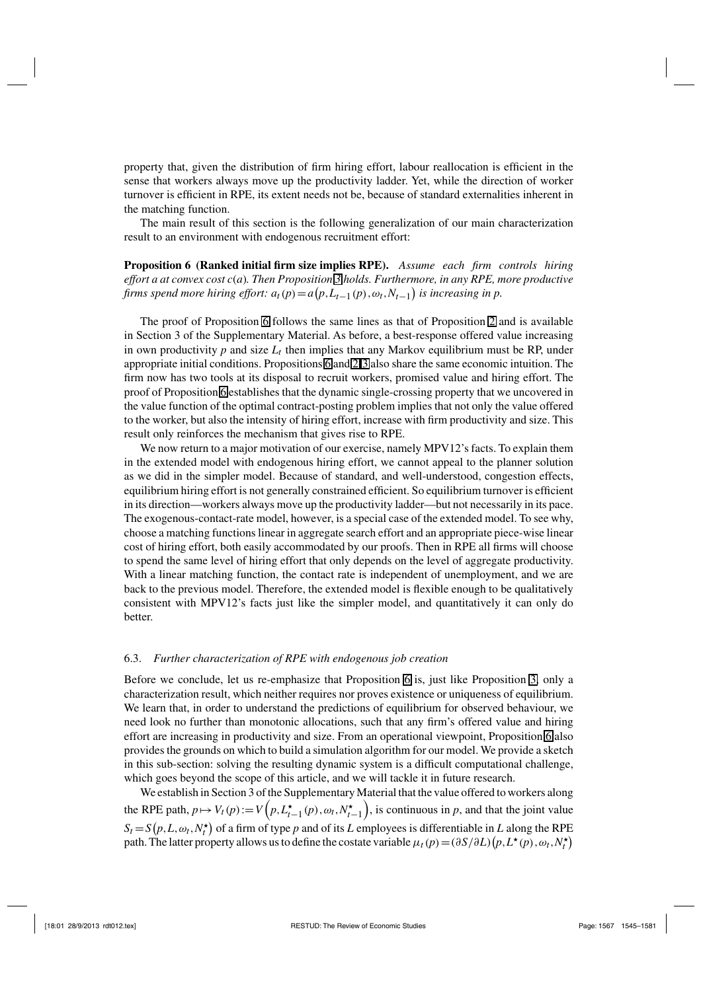property that, given the distribution of firm hiring effort, labour reallocation is efficient in the sense that workers always move up the productivity ladder. Yet, while the direction of worker turnover is efficient in RPE, its extent needs not be, because of standard externalities inherent in the matching function.

The main result of this section is the following generalization of our main characterization result to an environment with endogenous recruitment effort:

**Proposition 6 (Ranked initial firm size implies RPE).** *Assume each firm controls hiring effort a at convex cost c*(*a*)*. Then Proposition 3 holds. Furthermore, in any RPE, more productive firms spend more hiring effort:*  $a_t(p) = a(p, L_{t-1}(p), \omega_t, N_{t-1})$  *is increasing in p.* 

The proof of Proposition 6 follows the same lines as that of Proposition 2 and is available in Section 3 of the Supplementary Material. As before, a best-response offered value increasing in own productivity  $p$  and size  $L_t$  then implies that any Markov equilibrium must be RP, under appropriate initial conditions. Propositions 6 and 2-3 also share the same economic intuition. The firm now has two tools at its disposal to recruit workers, promised value and hiring effort. The proof of Proposition 6 establishes that the dynamic single-crossing property that we uncovered in the value function of the optimal contract-posting problem implies that not only the value offered to the worker, but also the intensity of hiring effort, increase with firm productivity and size. This result only reinforces the mechanism that gives rise to RPE.

We now return to a major motivation of our exercise, namely MPV12's facts. To explain them in the extended model with endogenous hiring effort, we cannot appeal to the planner solution as we did in the simpler model. Because of standard, and well-understood, congestion effects, equilibrium hiring effort is not generally constrained efficient. So equilibrium turnover is efficient in its direction—workers always move up the productivity ladder—but not necessarily in its pace. The exogenous-contact-rate model, however, is a special case of the extended model. To see why, choose a matching functions linear in aggregate search effort and an appropriate piece-wise linear cost of hiring effort, both easily accommodated by our proofs. Then in RPE all firms will choose to spend the same level of hiring effort that only depends on the level of aggregate productivity. With a linear matching function, the contact rate is independent of unemployment, and we are back to the previous model. Therefore, the extended model is flexible enough to be qualitatively consistent with MPV12's facts just like the simpler model, and quantitatively it can only do better.

#### 6.3. *Further characterization of RPE with endogenous job creation*

Before we conclude, let us re-emphasize that Proposition 6 is, just like Proposition 3, only a characterization result, which neither requires nor proves existence or uniqueness of equilibrium. We learn that, in order to understand the predictions of equilibrium for observed behaviour, we need look no further than monotonic allocations, such that any firm's offered value and hiring effort are increasing in productivity and size. From an operational viewpoint, Proposition 6 also provides the grounds on which to build a simulation algorithm for our model. We provide a sketch in this sub-section: solving the resulting dynamic system is a difficult computational challenge, which goes beyond the scope of this article, and we will tackle it in future research.

We establish in Section 3 of the Supplementary Material that the value offered to workers along the RPE path,  $p \mapsto V_t(p) := V\left(p, L_{t-1}^\star(p), \omega_t, N_{t-1}^\star\right)$ ), is continuous in  $p$ , and that the joint value  $S_t = S(p, L, \omega_t, N_t^{\star})$  of a firm of type *p* and of its *L* employees is differentiable in *L* along the RPE path. The latter property allows us to define the costate variable  $\mu_t(p) = (\partial S/\partial L)(p, L^*(p), \omega_t, N_t^*)$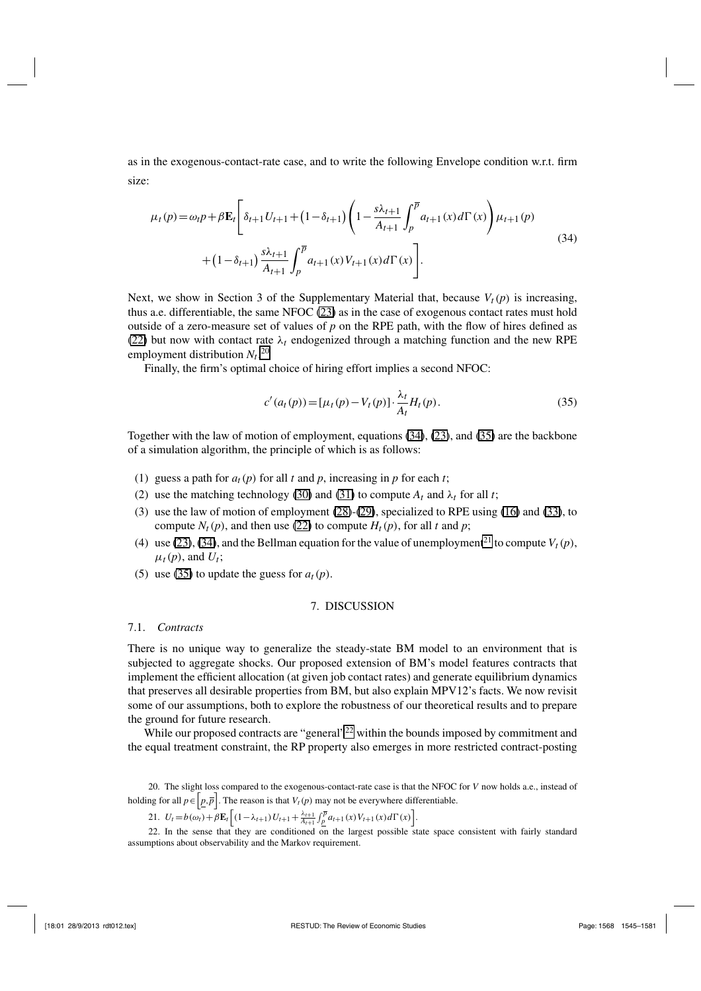as in the exogenous-contact-rate case, and to write the following Envelope condition w.r.t. firm size:

$$
\mu_t(p) = \omega_t p + \beta \mathbf{E}_t \left[ \delta_{t+1} U_{t+1} + (1 - \delta_{t+1}) \left( 1 - \frac{s \lambda_{t+1}}{A_{t+1}} \int_p^{\overline{p}} a_{t+1}(x) d\Gamma(x) \right) \mu_{t+1}(p) + (1 - \delta_{t+1}) \frac{s \lambda_{t+1}}{A_{t+1}} \int_p^{\overline{p}} a_{t+1}(x) V_{t+1}(x) d\Gamma(x) \right].
$$
\n(34)

Next, we show in Section 3 of the Supplementary Material that, because  $V_t(p)$  is increasing, thus a.e. differentiable, the same NFOC (23) as in the case of exogenous contact rates must hold outside of a zero-measure set of values of  $p$  on the RPE path, with the flow of hires defined as (22) but now with contact rate  $\lambda_t$  endogenized through a matching function and the new RPE employment distribution  $N_t$ .<sup>20</sup>

Finally, the firm's optimal choice of hiring effort implies a second NFOC:

$$
c'(a_t(p)) = [\mu_t(p) - V_t(p)] \cdot \frac{\lambda_t}{A_t} H_t(p).
$$
\n(35)

Together with the law of motion of employment, equations (34), (23), and (35) are the backbone of a simulation algorithm, the principle of which is as follows:

- (1) guess a path for  $a_t(p)$  for all *t* and *p*, increasing in *p* for each *t*;
- (2) use the matching technology (30) and (31) to compute  $A_t$  and  $\lambda_t$  for all *t*;
- (3) use the law of motion of employment (28)-(29), specialized to RPE using (16) and (33), to compute  $N_t(p)$ , and then use (22) to compute  $H_t(p)$ , for all *t* and *p*;
- (4) use (23), (34), and the Bellman equation for the value of unemployment<sup>21</sup> to compute  $V_t(p)$ ,  $\mu_t(p)$ , and  $U_t$ ;
- (5) use (35) to update the guess for  $a_t(p)$ .

#### 7. DISCUSSION

#### 7.1. *Contracts*

There is no unique way to generalize the steady-state BM model to an environment that is subjected to aggregate shocks. Our proposed extension of BM's model features contracts that implement the efficient allocation (at given job contact rates) and generate equilibrium dynamics that preserves all desirable properties from BM, but also explain MPV12's facts. We now revisit some of our assumptions, both to explore the robustness of our theoretical results and to prepare the ground for future research.

While our proposed contracts are "general"<sup>22</sup> within the bounds imposed by commitment and the equal treatment constraint, the RP property also emerges in more restricted contract-posting

20. The slight loss compared to the exogenous-contact-rate case is that the NFOC for *V* now holds a.e., instead of holding for all  $p \in [p, \overline{p}]$ . The reason is that  $V_t(p)$  may not be everywhere differentiable.

21.  $U_t = b(\omega_t) + \beta \mathbf{E}_t \left[ (1 - \lambda_{t+1}) U_{t+1} + \frac{\lambda_{t+1}}{A_{t+1}} \int_{p}^{\overline{p}} a_{t+1}(x) V_{t+1}(x) d\Gamma(x) \right].$ 

22. In the sense that they are conditioned on the largest possible state space consistent with fairly standard assumptions about observability and the Markov requirement.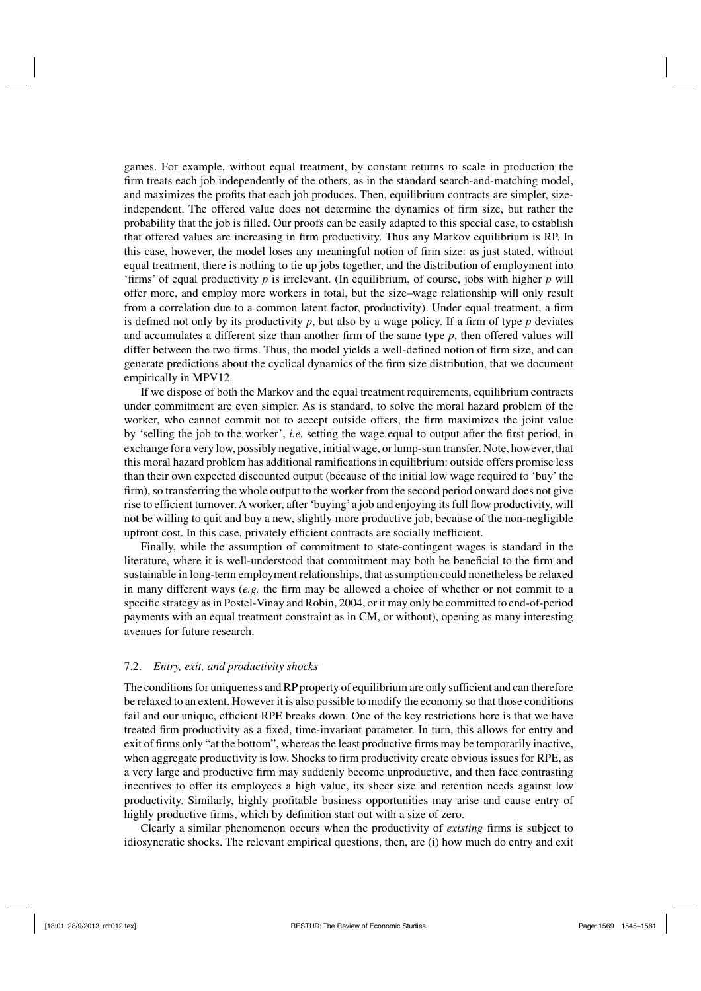games. For example, without equal treatment, by constant returns to scale in production the firm treats each job independently of the others, as in the standard search-and-matching model, and maximizes the profits that each job produces. Then, equilibrium contracts are simpler, sizeindependent. The offered value does not determine the dynamics of firm size, but rather the probability that the job is filled. Our proofs can be easily adapted to this special case, to establish that offered values are increasing in firm productivity. Thus any Markov equilibrium is RP. In this case, however, the model loses any meaningful notion of firm size: as just stated, without equal treatment, there is nothing to tie up jobs together, and the distribution of employment into 'firms' of equal productivity *p* is irrelevant. (In equilibrium, of course, jobs with higher *p* will offer more, and employ more workers in total, but the size–wage relationship will only result from a correlation due to a common latent factor, productivity). Under equal treatment, a firm is defined not only by its productivity  $p$ , but also by a wage policy. If a firm of type  $p$  deviates and accumulates a different size than another firm of the same type  $p$ , then offered values will differ between the two firms. Thus, the model yields a well-defined notion of firm size, and can generate predictions about the cyclical dynamics of the firm size distribution, that we document empirically in MPV12.

If we dispose of both the Markov and the equal treatment requirements, equilibrium contracts under commitment are even simpler. As is standard, to solve the moral hazard problem of the worker, who cannot commit not to accept outside offers, the firm maximizes the joint value by 'selling the job to the worker', *i.e.* setting the wage equal to output after the first period, in exchange for a very low, possibly negative, initial wage, or lump-sum transfer. Note, however, that this moral hazard problem has additional ramifications in equilibrium: outside offers promise less than their own expected discounted output (because of the initial low wage required to 'buy' the firm), so transferring the whole output to the worker from the second period onward does not give rise to efficient turnover. A worker, after 'buying'a job and enjoying its full flow productivity, will not be willing to quit and buy a new, slightly more productive job, because of the non-negligible upfront cost. In this case, privately efficient contracts are socially inefficient.

Finally, while the assumption of commitment to state-contingent wages is standard in the literature, where it is well-understood that commitment may both be beneficial to the firm and sustainable in long-term employment relationships, that assumption could nonetheless be relaxed in many different ways (*e.g.* the firm may be allowed a choice of whether or not commit to a specific strategy as in Postel-Vinay and Robin, 2004, or it may only be committed to end-of-period payments with an equal treatment constraint as in CM, or without), opening as many interesting avenues for future research.

#### 7.2. *Entry, exit, and productivity shocks*

The conditions for uniqueness and RP property of equilibrium are only sufficient and can therefore be relaxed to an extent. However it is also possible to modify the economy so that those conditions fail and our unique, efficient RPE breaks down. One of the key restrictions here is that we have treated firm productivity as a fixed, time-invariant parameter. In turn, this allows for entry and exit of firms only "at the bottom", whereas the least productive firms may be temporarily inactive, when aggregate productivity is low. Shocks to firm productivity create obvious issues for RPE, as a very large and productive firm may suddenly become unproductive, and then face contrasting incentives to offer its employees a high value, its sheer size and retention needs against low productivity. Similarly, highly profitable business opportunities may arise and cause entry of highly productive firms, which by definition start out with a size of zero.

Clearly a similar phenomenon occurs when the productivity of *existing* firms is subject to idiosyncratic shocks. The relevant empirical questions, then, are (i) how much do entry and exit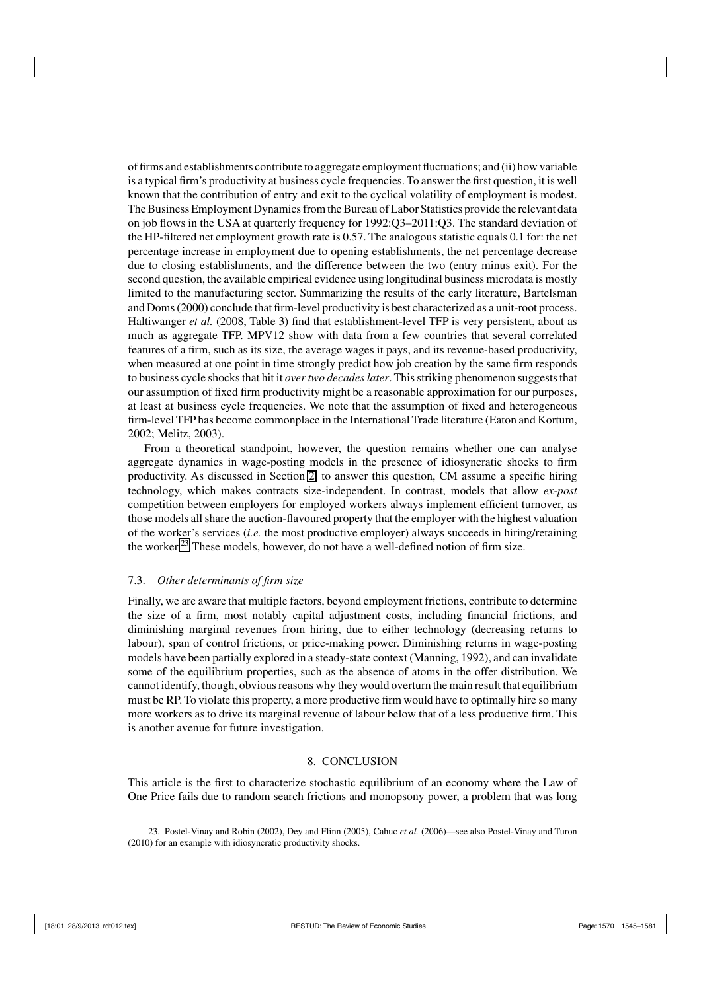of firms and establishments contribute to aggregate employment fluctuations; and (ii) how variable is a typical firm's productivity at business cycle frequencies. To answer the first question, it is well known that the contribution of entry and exit to the cyclical volatility of employment is modest. The Business Employment Dynamics from the Bureau of Labor Statistics provide the relevant data on job flows in the USA at quarterly frequency for 1992:Q3–2011:Q3. The standard deviation of the HP-filtered net employment growth rate is 0.57. The analogous statistic equals 0.1 for: the net percentage increase in employment due to opening establishments, the net percentage decrease due to closing establishments, and the difference between the two (entry minus exit). For the second question, the available empirical evidence using longitudinal business microdata is mostly limited to the manufacturing sector. Summarizing the results of the early literature, Bartelsman and Doms (2000) conclude that firm-level productivity is best characterized as a unit-root process. Haltiwanger *et al.* (2008, Table 3) find that establishment-level TFP is very persistent, about as much as aggregate TFP. MPV12 show with data from a few countries that several correlated features of a firm, such as its size, the average wages it pays, and its revenue-based productivity, when measured at one point in time strongly predict how job creation by the same firm responds to business cycle shocks that hit it *over two decades later*. This striking phenomenon suggests that our assumption of fixed firm productivity might be a reasonable approximation for our purposes, at least at business cycle frequencies. We note that the assumption of fixed and heterogeneous firm-level TFP has become commonplace in the International Trade literature (Eaton and Kortum, 2002; Melitz, 2003).

From a theoretical standpoint, however, the question remains whether one can analyse aggregate dynamics in wage-posting models in the presence of idiosyncratic shocks to firm productivity. As discussed in Section 2, to answer this question, CM assume a specific hiring technology, which makes contracts size-independent. In contrast, models that allow *ex-post* competition between employers for employed workers always implement efficient turnover, as those models all share the auction-flavoured property that the employer with the highest valuation of the worker's services (*i.e.* the most productive employer) always succeeds in hiring/retaining the worker.<sup>23</sup> These models, however, do not have a well-defined notion of firm size.

#### 7.3. *Other determinants of firm size*

Finally, we are aware that multiple factors, beyond employment frictions, contribute to determine the size of a firm, most notably capital adjustment costs, including financial frictions, and diminishing marginal revenues from hiring, due to either technology (decreasing returns to labour), span of control frictions, or price-making power. Diminishing returns in wage-posting models have been partially explored in a steady-state context (Manning, 1992), and can invalidate some of the equilibrium properties, such as the absence of atoms in the offer distribution. We cannot identify, though, obvious reasons why they would overturn the main result that equilibrium must be RP. To violate this property, a more productive firm would have to optimally hire so many more workers as to drive its marginal revenue of labour below that of a less productive firm. This is another avenue for future investigation.

#### 8. CONCLUSION

This article is the first to characterize stochastic equilibrium of an economy where the Law of One Price fails due to random search frictions and monopsony power, a problem that was long

<sup>23.</sup> Postel-Vinay and Robin (2002), Dey and Flinn (2005), Cahuc *et al.* (2006)—see also Postel-Vinay and Turon (2010) for an example with idiosyncratic productivity shocks.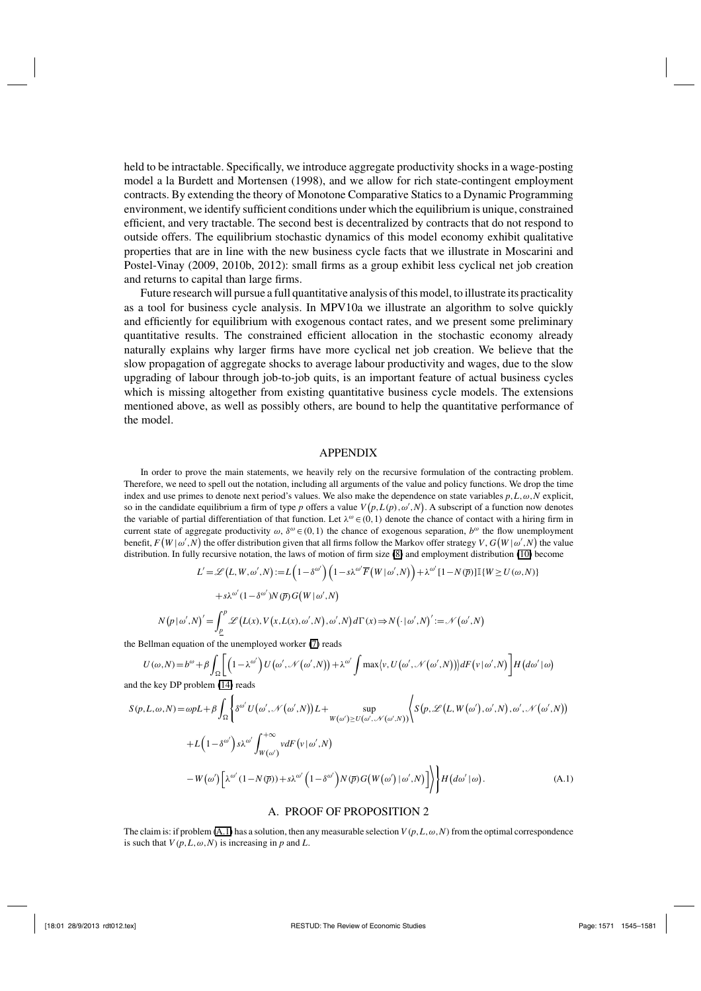held to be intractable. Specifically, we introduce aggregate productivity shocks in a wage-posting model a la Burdett and Mortensen (1998), and we allow for rich state-contingent employment contracts. By extending the theory of Monotone Comparative Statics to a Dynamic Programming environment, we identify sufficient conditions under which the equilibrium is unique, constrained efficient, and very tractable. The second best is decentralized by contracts that do not respond to outside offers. The equilibrium stochastic dynamics of this model economy exhibit qualitative properties that are in line with the new business cycle facts that we illustrate in Moscarini and Postel-Vinay (2009, 2010b, 2012): small firms as a group exhibit less cyclical net job creation and returns to capital than large firms.

Future research will pursue a full quantitative analysis of this model, to illustrate its practicality as a tool for business cycle analysis. In MPV10a we illustrate an algorithm to solve quickly and efficiently for equilibrium with exogenous contact rates, and we present some preliminary quantitative results. The constrained efficient allocation in the stochastic economy already naturally explains why larger firms have more cyclical net job creation. We believe that the slow propagation of aggregate shocks to average labour productivity and wages, due to the slow upgrading of labour through job-to-job quits, is an important feature of actual business cycles which is missing altogether from existing quantitative business cycle models. The extensions mentioned above, as well as possibly others, are bound to help the quantitative performance of the model.

#### APPENDIX

In order to prove the main statements, we heavily rely on the recursive formulation of the contracting problem. Therefore, we need to spell out the notation, including all arguments of the value and policy functions. We drop the time index and use primes to denote next period's values. We also make the dependence on state variables *p*,*L*,ω,*N* explicit, so in the candidate equilibrium a firm of type *p* offers a value  $V(p, L(p), \omega', N)$ . A subscript of a function now denotes the variable of partial differentiation of that function. Let  $\lambda^{\omega} \in (0,1)$  denote the chance of contact with a hiring firm in current state of aggregate productivity  $\omega$ ,  $\delta^{\omega} \in (0,1)$  the chance of exogenous separation,  $b^{\omega}$  the flow unemployment benefit,  $F(W|\omega',N)$  the offer distribution given that all firms follow the Markov offer strategy *V*,  $G(W|\omega',N)$  the value distribution. In fully recursive notation, the laws of motion of firm size (8) and employment distribution (10) become

$$
L' = \mathcal{L}(L, W, \omega', N) := L\left(1 - \delta^{\omega'}\right) \left(1 - s\lambda^{\omega'}\overline{F}\left(W \mid \omega', N\right)\right) + \lambda^{\omega'}\left[1 - N\left(\overline{p}\right)\right]\mathbb{I}\left\{W \ge U\left(\omega, N\right)\right\}
$$

$$
+ s\lambda^{\omega'}\left(1 - \delta^{\omega'}\right)N\left(\overline{p}\right)G\left(W \mid \omega', N\right)
$$

$$
N\left(p \mid \omega', N\right)' = \int_{p}^{p} \mathcal{L}\left(L(x), V\left(x, L(x), \omega', N\right), \omega', N\right) d\Gamma\left(x\right) \Rightarrow N\left(\cdot \mid \omega', N\right)' := \mathcal{N}\left(\omega', N\right)
$$

the Bellman equation of the unemployed worker (7) reads

$$
U(\omega, N) = b^{\omega} + \beta \int_{\Omega} \left[ \left( 1 - \lambda^{\omega'} \right) U(\omega', \mathcal{N}(\omega', N)) + \lambda^{\omega'} \int \max \left\{ v, U(\omega', \mathcal{N}(\omega', N)) \right\} dF(v|\omega', N) \right] H(d\omega'|\omega)
$$

and the key DP problem (14) reads

$$
S(p, L, \omega, N) = \omega pL + \beta \int_{\Omega} \left\{ \delta^{\omega'} U(\omega', \mathcal{N}(\omega', N)) L + \sup_{W(\omega') \ge U(\omega', \mathcal{N}(\omega', N))} \left\langle S(p, \mathcal{L}(L, W(\omega'), \omega', N), \omega', \mathcal{N}(\omega', N)) \right\rangle \right\} + L\left(1 - \delta^{\omega'}\right) s\lambda^{\omega'} \int_{W(\omega')}^{+\infty} v dF(v|\omega', N) - W(\omega') \left[\lambda^{\omega'} (1 - N(\overline{p})) + s\lambda^{\omega'} \left(1 - \delta^{\omega'}\right) N(\overline{p}) G(W(\omega')|\omega', N)\right] \right\rbrace + H(d\omega'|\omega).
$$
\n(A.1)

#### A. PROOF OF PROPOSITION 2

The claim is: if problem (A.1) has a solution, then any measurable selection  $V(p, L, \omega, N)$  from the optimal correspondence is such that  $V(p, L, \omega, N)$  is increasing in *p* and *L*.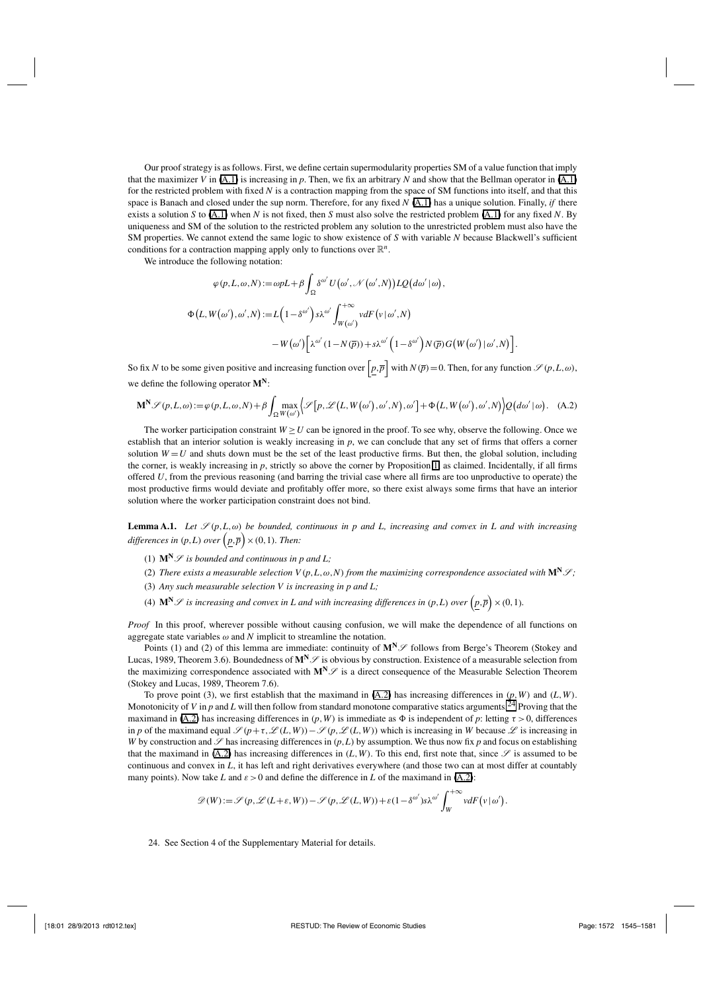Our proof strategy is as follows. First, we define certain supermodularity properties SM of a value function that imply that the maximizer *V* in (A.1) is increasing in *p*. Then, we fix an arbitrary *N* and show that the Bellman operator in (A.1) for the restricted problem with fixed *N* is a contraction mapping from the space of SM functions into itself, and that this space is Banach and closed under the sup norm. Therefore, for any fixed *N* (A.1) has a unique solution. Finally, *if* there exists a solution *S* to (A.1) when *N* is not fixed, then *S* must also solve the restricted problem (A.1) for any fixed *N*. By uniqueness and SM of the solution to the restricted problem any solution to the unrestricted problem must also have the SM properties. We cannot extend the same logic to show existence of *S* with variable *N* because Blackwell's sufficient conditions for a contraction mapping apply only to functions over  $\mathbb{R}^n$ .

We introduce the following notation:

$$
\varphi(p, L, \omega, N) := \omega pL + \beta \int_{\Omega} \delta^{\omega'} U(\omega', \mathcal{N}(\omega', N)) LQ(d\omega' | \omega),
$$
  

$$
\Phi(L, W(\omega'), \omega', N) := L\left(1 - \delta^{\omega'}\right) s\lambda^{\omega'} \int_{W(\omega')}^{+\infty} v dF(v|\omega', N)
$$
  

$$
-W(\omega')\left[\lambda^{\omega'}(1 - N(\overline{p})) + s\lambda^{\omega'}\left(1 - \delta^{\omega'}\right)N(\overline{p})G(W(\omega')|\omega', N)\right]
$$

So fix *N* to be some given positive and increasing function over  $\left[p,\overline{p}\right]$  with  $N(\overline{p})=0$ . Then, for any function  $\mathscr{S}(p,L,\omega)$ , we define the following operator **MN**:

.

$$
\mathbf{M}^{\mathbf{N}}\mathcal{S}(p,L,\omega) := \varphi(p,L,\omega,N) + \beta \int_{\Omega} \max_{W(\omega')}\Big\{ \mathcal{S}\big[p,\mathcal{L}\big(L,W\big(\omega',0\big),\omega',N\big),\omega'\big] + \Phi\big(L,W\big(\omega',0\big),\omega',N\big) \Big\} Q\big(d\omega' \,|\,\omega\big). \tag{A.2}
$$

The worker participation constraint  $W \ge U$  can be ignored in the proof. To see why, observe the following. Once we establish that an interior solution is weakly increasing in *p*, we can conclude that any set of firms that offers a corner solution  $W = U$  and shuts down must be the set of the least productive firms. But then, the global solution, including the corner, is weakly increasing in *p*, strictly so above the corner by Proposition 1, as claimed. Incidentally, if all firms offered *U*, from the previous reasoning (and barring the trivial case where all firms are too unproductive to operate) the most productive firms would deviate and profitably offer more, so there exist always some firms that have an interior solution where the worker participation constraint does not bind.

**Lemma A.1.** *Let*  $\mathscr{S}(p,L,\omega)$  *be bounded, continuous in p and L, increasing and convex in L and with increasing differences in*  $(p, L)$  *over*  $(p, \overline{p}) \times (0, 1)$ *. Then:* 

- (1)  $\mathbf{M}^{\mathbf{N}}\mathcal{S}$  *is bounded and continuous in p and L*;
- (2) There exists a measurable selection  $V(p, L, \omega, N)$  from the maximizing correspondence associated with  $\mathbf{M}^{\mathbf{N}}\mathcal{S}$ ;
- (3) *Any such measurable selection V is increasing in p and L;*
- (4)  $\mathbf{M}^{\mathbf{N}}\mathcal{S}$  *is increasing and convex in L and with increasing differences in*  $(p, L)$  *over*  $(p, \overline{p}) \times (0, 1)$ *.*

*Proof* In this proof, wherever possible without causing confusion, we will make the dependence of all functions on aggregate state variables  $\omega$  and  $N$  implicit to streamline the notation.

Points (1) and (2) of this lemma are immediate: continuity of  $M^N\mathscr{S}$  follows from Berge's Theorem (Stokey and Lucas, 1989, Theorem 3.6). Boundedness of  $M^N\mathcal{S}$  is obvious by construction. Existence of a measurable selection from the maximizing correspondence associated with  $M^N\mathscr{S}$  is a direct consequence of the Measurable Selection Theorem (Stokey and Lucas, 1989, Theorem 7.6).

To prove point (3), we first establish that the maximand in (A.2) has increasing differences in  $(p, W)$  and  $(L, W)$ . Monotonicity of *V* in *p* and *L* will then follow from standard monotone comparative statics arguments.<sup>24</sup> Proving that the maximand in (A.2) has increasing differences in  $(p, W)$  is immediate as  $\Phi$  is independent of  $p$ : letting  $\tau > 0$ , differences in *p* of the maximand equal  $\mathscr{S}(p+\tau,\mathscr{L}(L,W))-\mathscr{S}(p,\mathscr{L}(L,W))$  which is increasing in *W* because  $\mathscr{L}$  is increasing in *W* by construction and  $\mathscr S$  has increasing differences in  $(p, L)$  by assumption. We thus now fix *p* and focus on establishing that the maximand in (A.2) has increasing differences in  $(L, W)$ . To this end, first note that, since  $\mathscr S$  is assumed to be continuous and convex in *L*, it has left and right derivatives everywhere (and those two can at most differ at countably many points). Now take L and  $\varepsilon > 0$  and define the difference in L of the maximand in (A.2):

$$
\mathscr{D}(W) := \mathscr{S}(p, \mathscr{L}(L+\varepsilon, W)) - \mathscr{S}(p, \mathscr{L}(L, W)) + \varepsilon(1 - \delta^{\omega'})s\lambda^{\omega'} \int_{W}^{+\infty} v dF(v|\omega').
$$

24. See Section 4 of the Supplementary Material for details.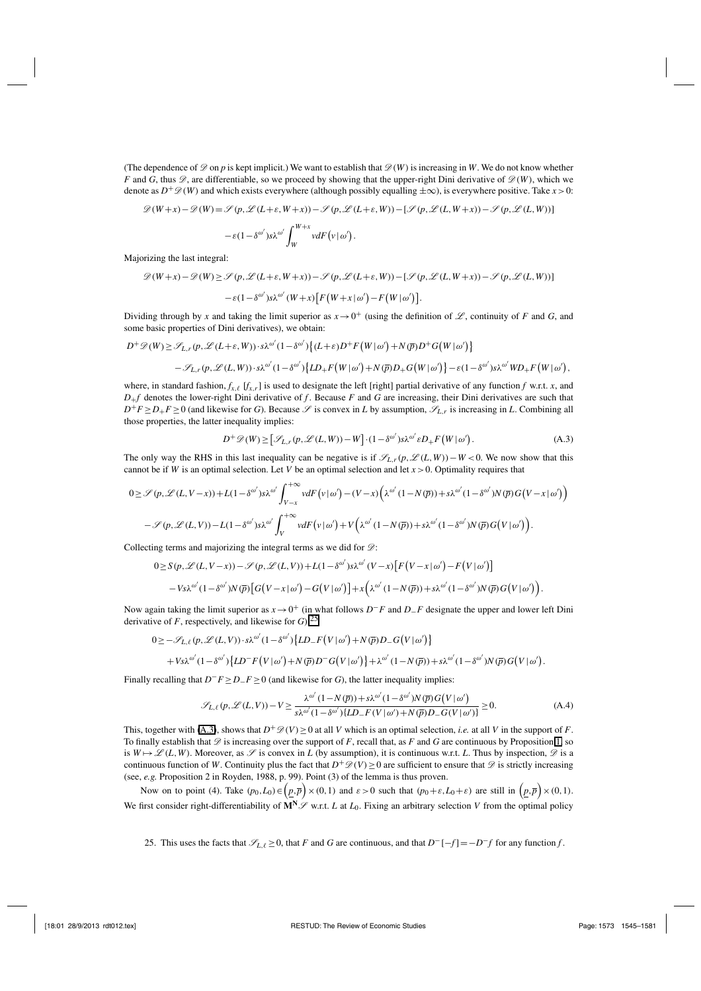(The dependence of  $\mathscr D$  on p is kept implicit.) We want to establish that  $\mathscr D(W)$  is increasing in W. We do not know whether *F* and *G*, thus  $\mathscr{D}$ , are differentiable, so we proceed by showing that the upper-right Dini derivative of  $\mathscr{D}(W)$ , which we denote as  $D^+\mathscr{D}(W)$  and which exists everywhere (although possibly equalling  $\pm\infty$ ), is everywhere positive. Take *x* > 0:

$$
\mathcal{D}(W+x) - \mathcal{D}(W) = \mathcal{S}(p, \mathcal{L}(L+\varepsilon, W+x)) - \mathcal{S}(p, \mathcal{L}(L+\varepsilon, W)) - [\mathcal{S}(p, \mathcal{L}(L, W+x)) - \mathcal{S}(p, \mathcal{L}(L, W))]
$$

$$
-\varepsilon(1 - \delta^{\omega'})s\lambda^{\omega'} \int_{W}^{W+x} v dF(v|\omega').
$$

Majorizing the last integral:

$$
\mathscr{D}(W+x) - \mathscr{D}(W) \ge \mathscr{S}(p, \mathscr{L}(L+\varepsilon, W+x)) - \mathscr{S}(p, \mathscr{L}(L+\varepsilon, W)) - [\mathscr{S}(p, \mathscr{L}(L, W+x)) - \mathscr{S}(p, \mathscr{L}(L, W))]
$$

$$
-\varepsilon(1-\delta^{\omega'})s\lambda^{\omega'}(W+x)\Big[F(W+x|\omega') - F(W|\omega')\Big].
$$

Dividing through by *x* and taking the limit superior as  $x \to 0^+$  (using the definition of *L*, continuity of *F* and *G*, and some basic properties of Dini derivatives), we obtain:

$$
D^{+} \mathscr{D}(W) \geq \mathscr{S}_{L,r}(p, \mathscr{L}(L+\varepsilon, W)) \cdot s\lambda^{\omega'} (1-\delta^{\omega'}) \left\{ (L+\varepsilon)D^{+}F(W|\omega') + N(\overline{p})D^{+}G(W|\omega') \right\}
$$
  

$$
- \mathscr{S}_{L,r}(p, \mathscr{L}(L,W)) \cdot s\lambda^{\omega'} (1-\delta^{\omega'}) \left\{ LD_{+}F(W|\omega') + N(\overline{p})D_{+}G(W|\omega') \right\} - \varepsilon (1-\delta^{\omega'}) s\lambda^{\omega'} W D_{+}F(W|\omega'),
$$

where, in standard fashion,  $f_{x,\ell}$  [ $f_{x,r}$ ] is used to designate the left [right] partial derivative of any function *f* w.r.t. *x*, and  $D_{+}f$  denotes the lower-right Dini derivative of *f*. Because *F* and *G* are increasing, their Dini derivatives are such that  $D^+F \geq D_+F \geq 0$  (and likewise for *G*). Because  $\mathscr{S}$  is convex in *L* by assumption,  $\mathscr{S}_{L,r}$  is increasing in *L*. Combining all those properties, the latter inequality implies:

$$
D^{+}\mathscr{D}(W) \geq [\mathscr{S}_{L,r}(p,\mathscr{L}(L,W)) - W] \cdot (1 - \delta^{\omega'}) s \lambda^{\omega'} \varepsilon D_{+} F(W | \omega'). \tag{A.3}
$$

The only way the RHS in this last inequality can be negative is if  $\mathcal{S}_{L,r}(p, \mathcal{L}(L,W)) - W < 0$ . We now show that this cannot be if *W* is an optimal selection. Let *V* be an optimal selection and let  $x > 0$ . Optimality requires that

$$
0 \geq \mathcal{S}(p, \mathcal{L}(L, V-x)) + L(1 - \delta^{\omega'}) s \lambda^{\omega'} \int_{V-x}^{+\infty} v dF(v|\omega') - (V-x) \left( \lambda^{\omega'} (1 - N(\overline{p})) + s \lambda^{\omega'} (1 - \delta^{\omega'}) N(\overline{p}) G(V-x|\omega') \right) - \mathcal{S}(p, \mathcal{L}(L, V)) - L(1 - \delta^{\omega'}) s \lambda^{\omega'} \int_{V}^{+\infty} v dF(v|\omega') + V \left( \lambda^{\omega'} (1 - N(\overline{p})) + s \lambda^{\omega'} (1 - \delta^{\omega'}) N(\overline{p}) G(V|\omega') \right).
$$

Collecting terms and majorizing the integral terms as we did for  $\mathcal{D}$ :

$$
0 \geq S(p, \mathscr{L}(L, V-x)) - \mathscr{S}(p, \mathscr{L}(L, V)) + L(1 - \delta^{\omega'}) s \lambda^{\omega'}(V-x) \left[ F(V-x | \omega') - F(V | \omega') \right] - V s \lambda^{\omega'}(1 - \delta^{\omega'}) N(\overline{p}) \left[ G(V-x | \omega') - G(V | \omega') \right] + x \left( \lambda^{\omega'}(1 - N(\overline{p})) + s \lambda^{\omega'}(1 - \delta^{\omega'}) N(\overline{p}) G(V | \omega') \right).
$$

Now again taking the limit superior as *x*→0<sup>+</sup> (in what follows *D*−*F* and *D*−*F* designate the upper and lower left Dini derivative of *F*, respectively, and likewise for  $G$ ):<sup>25</sup>

$$
0 \geq -\mathscr{S}_{L,\ell}(p,\mathscr{L}(L,V)) \cdot s\lambda^{\omega'}(1-\delta^{\omega'}) \{LD_{-}F(V|\omega')+N(\overline{p})D_{-}G(V|\omega')\}
$$
  
+  $Vs\lambda^{\omega'}(1-\delta^{\omega'}) \{LD_{-}F(V|\omega')+N(\overline{p})D_{-}G(V|\omega')\} + \lambda^{\omega'}(1-N(\overline{p}))+s\lambda^{\omega'}(1-\delta^{\omega'})N(\overline{p})G(V|\omega').$ 

Finally recalling that *D*−*F* ≥*D*−*F* ≥0 (and likewise for *G*), the latter inequality implies:

$$
\mathcal{S}_{L,\ell}(p,\mathcal{L}(L,V)) - V \ge \frac{\lambda^{\omega'}(1 - N(\overline{p})) + s\lambda^{\omega'}(1 - \delta^{\omega'})N(\overline{p})G(V|\omega')}{s\lambda^{\omega'}(1 - \delta^{\omega'})\{LD_{-}F(V|\omega') + N(\overline{p})D_{-}G(V|\omega')\}} \ge 0.
$$
\n(A.4)

This, together with (A.3), shows that  $D^+\mathscr{D}(V) \ge 0$  at all *V* which is an optimal selection, *i.e.* at all *V* in the support of *F*. To finally establish that  $\mathscr D$  is increasing over the support of *F*, recall that, as *F* and *G* are continuous by Proposition 1, so is  $W \mapsto \mathscr{L}(L, W)$ . Moreover, as  $\mathscr{S}$  is convex in *L* (by assumption), it is continuous w.r.t. *L*. Thus by inspection,  $\mathscr{D}$  is a continuous function of *W*. Continuity plus the fact that  $D^+\mathscr{D}(V) \geq 0$  are sufficient to ensure that  $\mathscr D$  is strictly increasing (see, *e.g.* Proposition 2 in Royden, 1988, p. 99). Point (3) of the lemma is thus proven.

Now on to point (4). Take  $(p_0, L_0) \in (p, \bar{p}) \times (0, 1)$  and  $\varepsilon > 0$  such that  $(p_0 + \varepsilon, L_0 + \varepsilon)$  are still in  $(p, \bar{p}) \times (0, 1)$ . We first consider right-differentiability of  $M^N \mathscr{S}$  w.r.t. *L* at  $L_0$ . Fixing an arbitrary selection *V* from the optimal policy

25. This uses the facts that  $\mathcal{S}_{L,\ell} \geq 0$ , that *F* and *G* are continuous, and that  $D^{-}[-f] = -D^{-}f$  for any function *f*.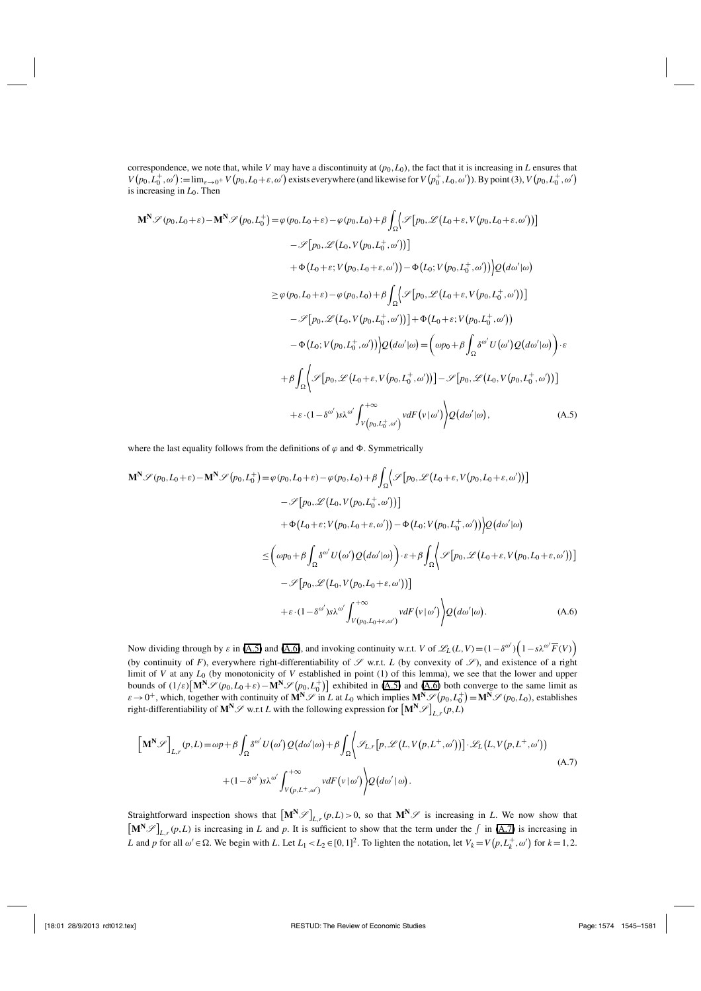correspondence, we note that, while *V* may have a discontinuity at  $(p_0, L_0)$ , the fact that it is increasing in *L* ensures that  $V(p_0, L_0^+, \omega') := \lim_{\varepsilon \to 0^+} V(p_0, L_0 + \varepsilon, \omega')$  exists everywhere (and likewise for  $V(p_0^+, L_0, \omega')$ ). By point (3),  $V(p_0, L_0^+, \omega')$ is increasing in *L*0. Then

$$
\mathbf{M}^{\mathbf{N}}\mathscr{S}(p_{0},L_{0}+\varepsilon)-\mathbf{M}^{\mathbf{N}}\mathscr{S}(p_{0},L_{0}^{+})=\varphi(p_{0},L_{0}+\varepsilon)-\varphi(p_{0},L_{0})+\beta\int_{\Omega}\left\{\mathscr{S}[p_{0},\mathscr{L}(L_{0}+\varepsilon,V(p_{0},L_{0}+\varepsilon,\omega'))]\right\}-\mathscr{S}[p_{0},\mathscr{L}(L_{0},V(p_{0},L_{0}^{+},\omega'))]+\Phi(L_{0}+\varepsilon;V(p_{0},L_{0}+\varepsilon,\omega'))-\Phi(L_{0};V(p_{0},L_{0}^{+},\omega')))\rho(d\omega'|\omega)\geq\varphi(p_{0},L_{0}+\varepsilon)-\varphi(p_{0},L_{0})+\beta\int_{\Omega}\left\{\mathscr{S}[p_{0},\mathscr{L}(L_{0}+\varepsilon,V(p_{0},L_{0}^{+},\omega'))]\right\}-\mathscr{S}[p_{0},\mathscr{L}(L_{0},V(p_{0},L_{0}^{+},\omega'))]+\Phi(L_{0}+\varepsilon;V(p_{0},L_{0}^{+},\omega'))-\Phi(L_{0};V(p_{0},L_{0}^{+},\omega')))\rho(d\omega'|\omega)=\left(\omega p_{0}+\beta\int_{\Omega}\delta^{\omega'}U(\omega')Q(d\omega'|\omega)\right)\cdot\varepsilon+\beta\int_{\Omega}\left\{\mathscr{S}[p_{0},\mathscr{L}(L_{0}+\varepsilon,V(p_{0},L_{0}^{+},\omega'))]-\mathscr{S}[p_{0},\mathscr{L}(L_{0},V(p_{0},L_{0}^{+},\omega'))]\right\}+\varepsilon\cdot(1-\delta^{\omega'})s\lambda^{\omega'}\int_{V(p_{0},L_{0}^{+},\omega)}^{+\infty}v dF(v|\omega')\rho(d\omega'|\omega), \qquad (A.5)
$$

where the last equality follows from the definitions of  $\varphi$  and  $\Phi$ . Symmetrically

$$
\mathbf{M}^{\mathbf{N}}\mathscr{S}(p_{0},L_{0}+\varepsilon)-\mathbf{M}^{\mathbf{N}}\mathscr{S}(p_{0},L_{0}^{+})=\varphi(p_{0},L_{0}+\varepsilon)-\varphi(p_{0},L_{0})+\beta\int_{\Omega}\Big\{\mathscr{S}[p_{0},\mathscr{L}(L_{0}+\varepsilon,V(p_{0},L_{0}+\varepsilon,\omega'))]\Big\}-\mathscr{S}[p_{0},\mathscr{L}(L_{0},V(p_{0},L_{0}^{+},\omega'))]+\Phi(L_{0}+\varepsilon;V(p_{0},L_{0}+\varepsilon,\omega'))-\Phi(L_{0};V(p_{0},L_{0}^{+},\omega')))\varrho(d\omega'|\omega)\leq\Big(\omega p_{0}+\beta\int_{\Omega}\delta^{\omega'}U(\omega')\mathscr{Q}(d\omega'|\omega)\Big)\cdot\varepsilon+\beta\int_{\Omega}\Big\{\mathscr{S}[p_{0},\mathscr{L}(L_{0}+\varepsilon,V(p_{0},L_{0}+\varepsilon,\omega'))]-\mathscr{S}[p_{0},\mathscr{L}(L_{0},V(p_{0},L_{0}+\varepsilon,\omega'))]+\varepsilon\cdot(1-\delta^{\omega'})s\lambda^{\omega'}\int_{V(p_{0},L_{0}+\varepsilon,\omega')}^{+\infty}v dF(v|\omega')\Big)\mathscr{Q}(d\omega'|\omega). \tag{A.6}
$$

Now dividing through by  $\varepsilon$  in (A.5) and (A.6), and invoking continuity w.r.t. *V* of  $\mathscr{L}_L(L,V) = (1 - \delta^{\omega'}) (1 - s\lambda^{\omega'} \overline{F}(V))$ (by continuity of *F*), everywhere right-differentiability of  $\mathscr S$  w.r.t. *L* (by convexity of  $\mathscr S$ ), and existence of a right limit of *V* at any *L*<sup>0</sup> (by monotonicity of *V* established in point (1) of this lemma), we see that the lower and upper bounds of  $(1/\varepsilon)$   $\left[\mathbf{M}^{\mathbf{N}}\mathscr{S}(p_0, L_0+\varepsilon)-\mathbf{M}^{\mathbf{N}}\mathscr{S}(p_0, L_0^{\dagger})\right]$  exhibited in (A.5) and (A.6) both converge to the same limit as  $\varepsilon \to 0^+$ , which, together with continuity of  $\mathbf{M}^N \mathcal{S}$  in *L* at *L*<sub>0</sub> which implies  $\mathbf{M}^N \mathcal{S}(p_0, L_0^+) = \mathbf{M}^N \mathcal{S}(p_0, L_0)$ , establishes right-differentiability of  $M^N\mathscr{S}$  w.r.t *L* with the following expression for  $\left[M^N\mathscr{S}\right]_{L,r}(p,L)$ 

$$
\left[\mathbf{M}^{\mathbf{N}}\mathcal{S}\right]_{L,r}(p,L) = \omega p + \beta \int_{\Omega} \delta^{\omega'} U(\omega') Q(d\omega'|\omega) + \beta \int_{\Omega} \left\langle \mathcal{S}_{L,r}[p,\mathcal{L}(L,V(p,L^{+},\omega'))] \cdot \mathcal{L}_{L}(L,V(p,L^{+},\omega')) \right\rangle + (1 - \delta^{\omega'}) s\lambda^{\omega'} \int_{V(p,L^{+},\omega')} v dF(v|\omega') \left\langle Q(d\omega'|\omega) \right\rangle.
$$
\n(A.7)

Straightforward inspection shows that  $\left[\mathbf{M}^{\mathbf{N}}\mathcal{S}\right]_{L,r}(p,L) > 0$ , so that  $\mathbf{M}^{\mathbf{N}}\mathcal{S}$  is increasing in *L*. We now show that  $\left[\mathbf{M}^{\mathbf{N}}\mathscr{S}\right]_{L,r}(p,L)$  is increasing in *L* and *p*. It is sufficient to show that the term under the  $\int$  in (A.7) is increasing in *L* and *p* for all  $\omega' \in \Omega$ . We begin with *L*. Let  $L_1 < L_2 \in [0, 1]^2$ . To lighten the notation, let  $V_k = V(p, L_k^+, \omega')$  for  $k = 1, 2$ .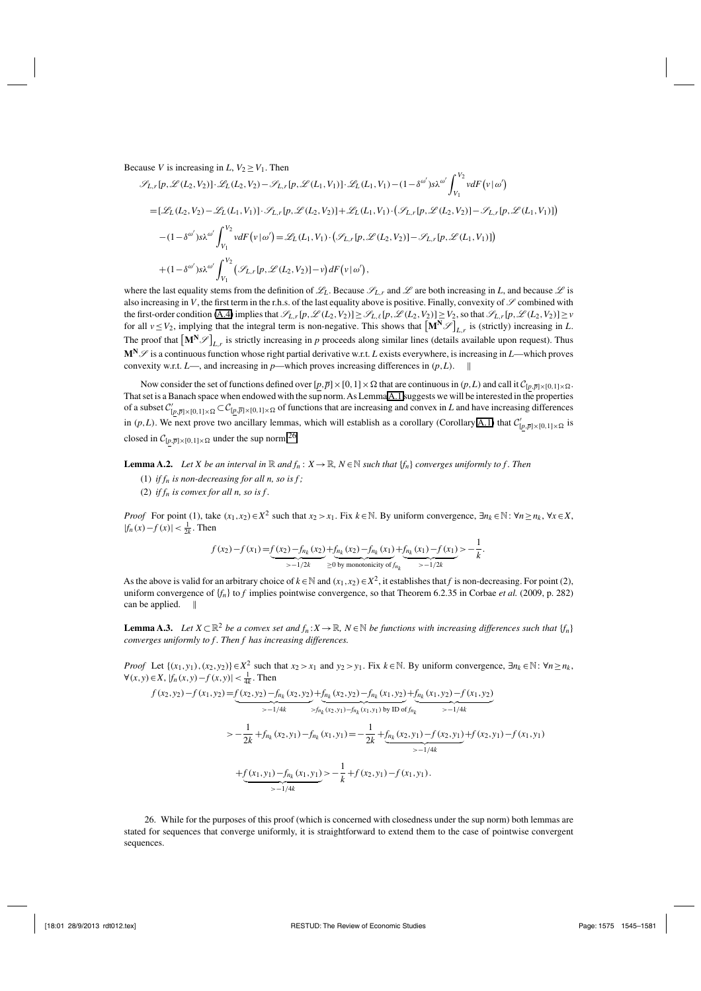Because *V* is increasing in *L*,  $V_2 \geq V_1$ . Then

$$
\mathcal{I}_{L,r}[p, \mathcal{L}(L_2, V_2)] \cdot \mathcal{L}_L(L_2, V_2) - \mathcal{I}_{L,r}[p, \mathcal{L}(L_1, V_1)] \cdot \mathcal{L}_L(L_1, V_1) - (1 - \delta^{\omega'}) s \lambda^{\omega'} \int_{V_1}^{V_2} v dF(v|\omega')
$$
  
\n
$$
= [\mathcal{L}_L(L_2, V_2) - \mathcal{L}_L(L_1, V_1)] \cdot \mathcal{I}_{L,r}[p, \mathcal{L}(L_2, V_2)] + \mathcal{L}_L(L_1, V_1) \cdot (\mathcal{I}_{L,r}[p, \mathcal{L}(L_2, V_2)] - \mathcal{I}_{L,r}[p, \mathcal{L}(L_1, V_1)]]
$$
  
\n
$$
- (1 - \delta^{\omega'}) s \lambda^{\omega'} \int_{V_1}^{V_2} v dF(v|\omega') = \mathcal{L}_L(L_1, V_1) \cdot (\mathcal{I}_{L,r}[p, \mathcal{L}(L_2, V_2)] - \mathcal{I}_{L,r}[p, \mathcal{L}(L_1, V_1)]
$$
  
\n
$$
+ (1 - \delta^{\omega'}) s \lambda^{\omega'} \int_{V_1}^{V_2} (\mathcal{I}_{L,r}[p, \mathcal{L}(L_2, V_2)] - v) dF(v|\omega'),
$$

where the last equality stems from the definition of  $\mathcal{L}_L$ . Because  $\mathcal{L}_L$ *r* and  $\mathcal{L}$  are both increasing in *L*, and because  $\mathcal{L}$  is also increasing in  $V$ , the first term in the r.h.s. of the last equality above is positive. Finally, convexity of  $\mathscr S$  combined with the first-order condition (A.4) implies that  $\mathscr{S}_{L,r}[p,\mathscr{L}(L_2,V_2)] \geq \mathscr{S}_{L,\ell}[p,\mathscr{L}(L_2,V_2)] \geq V_2$ , so that  $\mathscr{S}_{L,r}[p,\mathscr{L}(L_2,V_2)] \geq V_2$ for all  $v \leq V_2$ , implying that the integral term is non-negative. This shows that  $\left[\mathbf{M}^{\mathbf{N}}\mathcal{S}\right]_{L,r}$  is (strictly) increasing in *L*. The proof that  $[M^N \mathscr{S}]_{L,r}$  is strictly increasing in *p* proceeds along similar lines (details available upon request). Thus **MN**S is a continuous function whose right partial derivative w.r.t. *L* exists everywhere, is increasing in *L*—which proves convexity w.r.t.  $L$ —, and increasing in *p*—which proves increasing differences in  $(p, L)$ .

Now consider the set of functions defined over  $[p,\overline{p}]\times[0,1]\times\Omega$  that are continuous in  $(p,L)$  and call it  $\mathcal{C}_{[p,\overline{p}]\times[0,1]\times\Omega}$ . That set is a Banach space when endowed with the sup norm. As Lemma A.1 suggests we will be interested in the properties of a subset  $C'_{[p,\bar{p}]\times[0,1]\times\Omega} \subset C_{[p,\bar{p}]\times[0,1]\times\Omega}$  of functions that are increasing and convex in *L* and have increasing differences in (*p*,*L*). We next prove two ancillary lemmas, which will establish as a corollary (Corollary A.1) that  $C'_{[p,\bar{p}]\times[0,1]\times\Omega}$  is closed in  $C_{[p,\overline{p}]\times[0,1]\times\Omega}$  under the sup norm.<sup>26</sup>

**Lemma A.2.** *Let X be an interval in*  $\mathbb{R}$  *and*  $f_n$ :  $X \to \mathbb{R}$ ,  $N \in \mathbb{N}$  *such that*  $\{f_n\}$  *converges uniformly to f. Then* 

- (1) *if*  $f_n$  *is non-decreasing for all n, so is*  $f$ ;
- (2) *if*  $f_n$  *is convex for all n, so is*  $f$ *.*

*Proof* For point (1), take  $(x_1, x_2) \in X^2$  such that  $x_2 > x_1$ . Fix  $k \in \mathbb{N}$ . By uniform convergence,  $\exists n_k \in \mathbb{N}$ :  $\forall n \ge n_k$ ,  $\forall x \in X$ ,  $|f_n(x) - f(x)| < \frac{1}{2k}$ . Then

$$
f(x_2)-f(x_1) = \underbrace{f(x_2)-f_{n_k}(x_2)}_{\geq -1/2k} + \underbrace{f_{n_k}(x_2)-f_{n_k}(x_1)}_{\geq 0 \text{ by monotonicity of } f_{n_k}} + \underbrace{f_{n_k}(x_1)-f(x_1)}_{\geq -1/2k} > -\frac{1}{k}.
$$

As the above is valid for an arbitrary choice of  $k \in \mathbb{N}$  and  $(x_1, x_2) \in X^2$ , it establishes that *f* is non-decreasing. For point (2), uniform convergence of {*fn*} to *f* implies pointwise convergence, so that Theorem 6.2.35 in Corbae *et al.* (2009, p. 282) can be applied. 

**Lemma A.3.** *Let*  $X \subset \mathbb{R}^2$  *be a convex set and*  $f_n: X \to \mathbb{R}$ ,  $N \in \mathbb{N}$  *be functions with increasing differences such that*  $\{f_n\}$ *converges uniformly to f . Then f has increasing differences.*

*Proof* Let  $\{(x_1,y_1),(x_2,y_2)\}\in X^2$  such that  $x_2 > x_1$  and  $y_2 > y_1$ . Fix  $k \in \mathbb{N}$ . By uniform convergence,  $\exists n_k \in \mathbb{N}$ :  $\forall n \geq n_k$ , ∀(*x*, *y*) ∈ *X*,  $|f_n(x, y) - f(x, y)| < \frac{1}{4k}$ . Then

$$
f(x_2, y_2) - f(x_1, y_2) = f(x_2, y_2) - f_{n_k}(x_2, y_2) + f_{n_k}(x_2, y_2) - f_{n_k}(x_1, y_2) + f_{n_k}(x_1, y_2) - f(x_1, y_2)
$$
  
\n
$$
= -\frac{1}{2k} + f_{n_k}(x_2, y_1) - f_{n_k}(x_1, y_1) \text{ by ID of } f_{n_k}
$$
  
\n
$$
= -\frac{1}{2k} + f_{n_k}(x_2, y_1) - f_{n_k}(x_1, y_1) = -\frac{1}{2k} + f_{n_k}(x_2, y_1) - f(x_2, y_1) + f(x_2, y_1) - f(x_1, y_1)
$$
  
\n
$$
+f(x_1, y_1) - f_{n_k}(x_1, y_1) = -\frac{1}{k} + f(x_2, y_1) - f(x_1, y_1).
$$

26. While for the purposes of this proof (which is concerned with closedness under the sup norm) both lemmas are stated for sequences that converge uniformly, it is straightforward to extend them to the case of pointwise convergent sequences.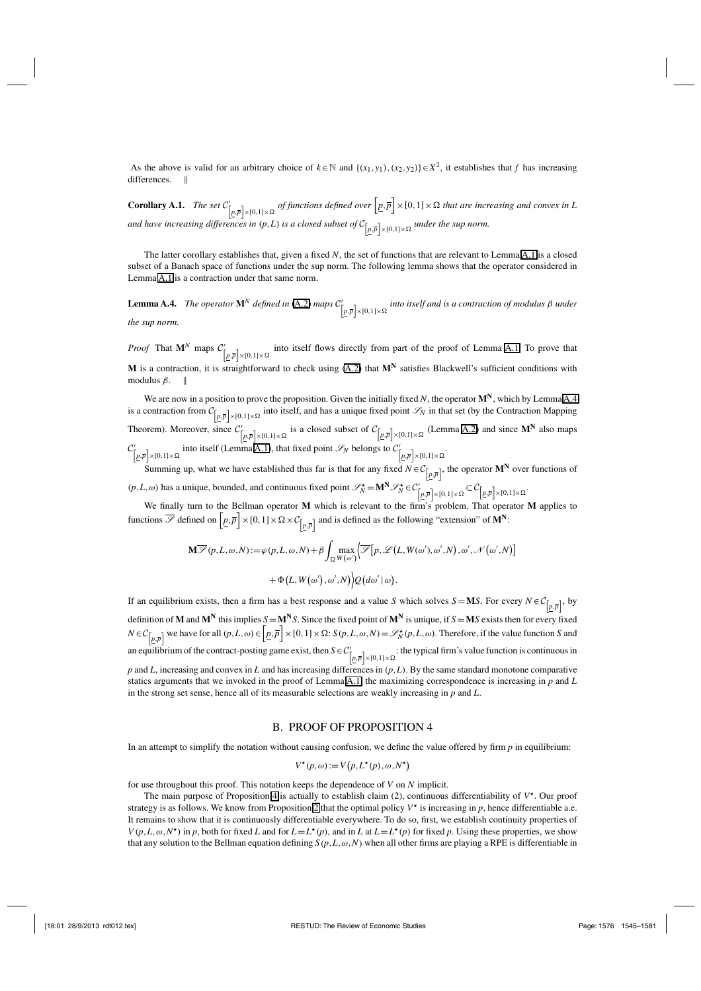As the above is valid for an arbitrary choice of  $k \in \mathbb{N}$  and  $\{(x_1, y_1), (x_2, y_2)\}\in X^2$ , it establishes that *f* has increasing differences. ||

**Corollary A.1.** *The set*  $C'_{[p,\bar{p}]\times[0,1]\times\Omega}$  *of functions defined over*  $[\underline{p},\bar{p}]\times[0,1]\times\Omega$  *that are increasing and convex in L* and have increasing differences in  $(p, L)$  is a closed subset of  $\mathcal{C}_{\left[p, \overline{p}\right] \times \left[0, 1\right] \times \Omega}$  under the sup norm.

The latter corollary establishes that, given a fixed *N*, the set of functions that are relevant to Lemma A.1 is a closed subset of a Banach space of functions under the sup norm. The following lemma shows that the operator considered in Lemma A.1 is a contraction under that same norm.

**Lemma A.4.** *The operator*  $\mathbf{M}^N$  *defined in* (A.2) *maps*  $\mathcal{C}'_{[p,\overline{p}]\times[0,1]\times\Omega}$  *into itself and is a contraction of modulus* β *under the sup norm.*

*Proof* That  $\mathbf{M}^N$  maps  $\mathcal{C}^{\prime}_{[p,\overline{p}]\times[0,1]\times\Omega}$  into itself flows directly from part of the proof of Lemma A.1. To prove that **M** is a contraction, it is straightforward to check using (A.2) that  $M<sup>N</sup>$  satisfies Blackwell's sufficient conditions with modulus  $\beta$ . ||

We are now in a position to prove the proposition. Given the initially fixed *N*, the operator **MN**, which by Lemma A.4 is a contraction from  $C_{[p,\overline{p}]\times[0,1]\times\Omega}$  into itself, and has a unique fixed point  $\mathscr{S}_N$  in that set (by the Contraction Mapping Theorem). Moreover, since  $C'_{\lceil p,\bar{p} \rceil \times [0,1] \times \Omega}$  is a closed subset of  $C_{\lceil p,\bar{p} \rceil \times [0,1] \times \Omega}$  (Lemma A.2) and since M<sup>N</sup> also maps  $\mathcal{C}'_{[p,\overline{p}]\times[0,1]\times\Omega}$  into itself (Lemma A.1), that fixed point  $\mathcal{S}_N$  belongs to  $\mathcal{C}'_{[p,\overline{p}]\times[0,1]\times\Omega}$ .

Summing up, what we have established thus far is that for any fixed  $N \in C_{[p,\bar{p}]}$ , the operator  $M^N$  over functions of  $(p, L, \omega)$  has a unique, bounded, and continuous fixed point  $\mathcal{S}_N^* = \mathbf{M}^N \mathcal{S}_N^* \in C_{\left[p, \overline{p}\right] \times [0, 1] \times \Omega} \subset C_{\left[p, \overline{p}\right] \times [0, 1] \times \Omega}$ 

We finally turn to the Bellman operator **M** which is relevant to the firm's problem. That operator **M** applies to functions  $\overline{\mathscr{S}}$  defined on  $\left[\underline{p}, \overline{p}\right] \times [0, 1] \times \Omega \times C_{\left[\overline{p}, \overline{p}\right]}$  and is defined as the fo

$$
\mathbf{M}\overline{\mathscr{S}}(p,L,\omega,N) := \varphi(p,L,\omega,N) + \beta \int_{\Omega} \max_{W(\omega')} \left\{ \overline{\mathscr{S}}[p,\mathscr{L}(L,W(\omega'),\omega',N),\omega',\mathscr{N}(\omega',N)] + \Phi(L,W(\omega'),\omega',N) \right\} Q(d\omega'|\omega).
$$

If an equilibrium exists, then a firm has a best response and a value *S* which solves  $S = MS$ . For every  $N \in C_{[p,\overline{p}]}$ , by definition of **M** and  $M^N$  this implies  $S = M^N S$ . Since the fixed point of  $M^N$  is unique, if  $S = MS$  exists then for every fixed  $N \in C_{\left[p,\overline{p}\right]}$  we have for all  $(p,L,\omega) \in \left[p,\overline{p}\right] \times [0,1] \times \Omega$ :  $S(p,L,\omega,N) = \mathcal{S}_N^*(p,L,\omega)$ . Therefore, if the value function *S* and an equilibrium of the contract-posting game exist, then  $S \in C'_{[p,\bar{p}]\times[0,1]\times\Omega}$ : the typical firm's value function is continuous in *p* and *L*, increasing and convex in *L* and has increasing differences in (*p*,*L*). By the same standard monotone comparative statics arguments that we invoked in the proof of Lemma A.1, the maximizing correspondence is increasing in *p* and *L* in the strong set sense, hence all of its measurable selections are weakly increasing in *p* and *L*.

#### B. PROOF OF PROPOSITION 4

In an attempt to simplify the notation without causing confusion, we define the value offered by firm  $p$  in equilibrium:

$$
V^{\star}(p,\omega) := V\big(p, L^{\star}(p), \omega, N^{\star}\big)
$$

for use throughout this proof. This notation keeps the dependence of *V* on *N* implicit.

The main purpose of Proposition 4 is actually to establish claim  $(2)$ , continuous differentiability of  $V^{\star}$ . Our proof strategy is as follows. We know from Proposition 2 that the optimal policy  $V^*$  is increasing in p, hence differentiable a.e. It remains to show that it is continuously differentiable everywhere. To do so, first, we establish continuity properties of  $V(p, L, \omega, N^*)$  in p, both for fixed *L* and for  $L = L^*(p)$ , and in *L* at  $L = L^*(p)$  for fixed p. Using these properties, we show that any solution to the Bellman equation defining  $S(p, L, \omega, N)$  when all other firms are playing a RPE is differentiable in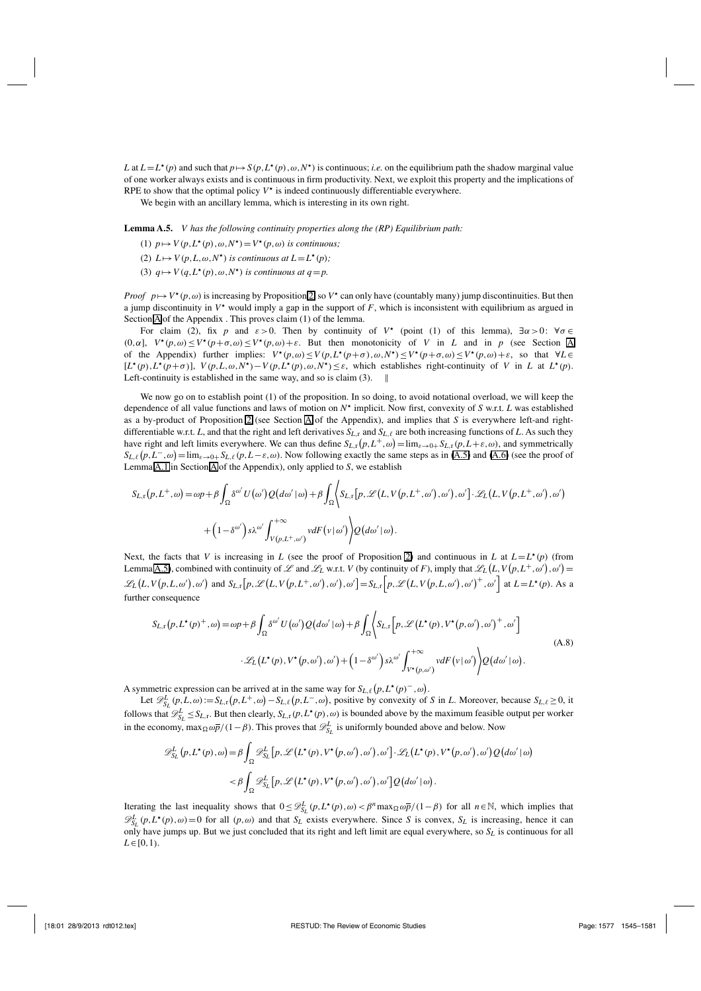*L* at  $L = L^*(p)$  and such that  $p \mapsto S(p, L^*(p), \omega, N^*)$  is continuous; *i.e.* on the equilibrium path the shadow marginal value of one worker always exists and is continuous in firm productivity. Next, we exploit this property and the implications of RPE to show that the optimal policy  $V^*$  is indeed continuously differentiable everywhere.

We begin with an ancillary lemma, which is interesting in its own right.

**Lemma A.5.** *V has the following continuity properties along the (RP) Equilibrium path:*

- (1)  $p \mapsto V(p, L^*(p), \omega, N^*) = V^*(p, \omega)$  *is continuous;*
- (2)  $L \mapsto V(p, L, \omega, N^{\star})$  *is continuous at*  $L = L^{\star}(p)$ *;*
- (3)  $q \mapsto V(q, L^*(p), \omega, N^*)$  *is continuous at q* = *p*.

*Proof*  $p \mapsto V^*(p, \omega)$  is increasing by Proposition 2, so  $V^*$  can only have (countably many) jump discontinuities. But then a jump discontinuity in  $V^*$  would imply a gap in the support of  $F$ , which is inconsistent with equilibrium as argued in Section A of the Appendix . This proves claim (1) of the lemma.

For claim (2), fix *p* and  $\varepsilon > 0$ . Then by continuity of *V*<sup>\*</sup> (point (1) of this lemma),  $\exists \alpha > 0$ :  $\forall \sigma \in$ (0, $\alpha$ ),  $V^*(p,\omega) \le V^*(p+\sigma,\omega) \le V^*(p,\omega) + \varepsilon$ . But then monotonicity of *V* in *L* and in *p* (see Section A of the Appendix) further implies:  $V^*(p, \omega) \le V(p, L^*(p+\sigma), \omega, N^*) \le V^*(p+\sigma, \omega) \le V^*(p, \omega) + \varepsilon$ , so that  $\forall L \in \mathbb{C}$  $[L^*(p), L^*(p+\sigma)], V(p, L, \omega, N^*)-V(p, L^*(p), \omega, N^*)\leq \varepsilon$ , which establishes right-continuity of V in L at  $L^*(p)$ . Left-continuity is established in the same way, and so is claim (3).

We now go on to establish point (1) of the proposition. In so doing, to avoid notational overload, we will keep the dependence of all value functions and laws of motion on  $N^*$  implicit. Now first, convexity of *S* w.r.t. *L* was established as a by-product of Proposition 2 (see Section A of the Appendix), and implies that *S* is everywhere left-and rightdifferentiable w.r.t. *L*, and that the right and left derivatives  $S_{L,r}$  and  $S_{L,\ell}$  are both increasing functions of *L*. As such they have right and left limits everywhere. We can thus define  $S_{L,\text{r}}(p,L^+,\omega) = \lim_{\varepsilon \to 0+} S_{L,\text{r}}(p,L+\varepsilon,\omega)$ , and symmetrically  $S_{L,\ell}(p, L^-,\omega) = \lim_{\varepsilon \to 0+} S_{L,\ell}(p, L-\varepsilon, \omega)$ . Now following exactly the same steps as in (A.5) and (A.6) (see the proof of Lemma A.1 in Section A of the Appendix), only applied to *S*, we establish

$$
S_{L,r}(p,L^+,\omega) = \omega p + \beta \int_{\Omega} \delta^{\omega'} U(\omega') Q(d\omega'|\omega) + \beta \int_{\Omega} \left\langle S_{L,r}[p,\mathscr{L}(L,V(p,L^+,\omega'),\omega'),\omega'] \cdot \mathscr{L}_L(L,V(p,L^+,\omega'),\omega') \right\rangle + \left(1 - \delta^{\omega'}\right) s\lambda^{\omega'} \int_{V(p,L^+,\omega')}^{+\infty} v dF(v|\omega') \left\langle Q(d\omega'|\omega) \right\rangle.
$$

Next, the facts that *V* is increasing in *L* (see the proof of Proposition 2) and continuous in *L* at  $L = L^*(p)$  (from Lemma A.5), combined with continuity of L and L<sub>L</sub> w.r.t. *V* (by continuity of *F*), imply that  $\mathscr{L}_L(L, V(p, L^+, \omega'), \omega') =$  $\mathscr{L}_L(L,V(p,L,\omega'),\omega')$  and  $S_{L,\Gamma}[p,\mathscr{L}(L,V(p,L^+,\omega'),\omega'),\omega'] = S_{L,\Gamma}[p,\mathscr{L}(L,V(p,L,\omega'),\omega')^+,\omega']$  at  $L=L^*(p)$ . As a further consequence

$$
S_{L,\mathbf{r}}(p, L^{\star}(p^{+}, \omega)) = \omega p + \beta \int_{\Omega} \delta^{\omega'} U(\omega') Q(d\omega' | \omega) + \beta \int_{\Omega} \left\langle S_{L,\mathbf{r}}\Big[p, \mathcal{L}\big(L^{\star}(p), V^{\star}(p, \omega'), \omega'\big)^{+}, \omega'\Big] \right. \\ \left. \cdot \mathcal{L}_{L}\big(L^{\star}(p), V^{\star}(p, \omega'), \omega'\big) + \big(1 - \delta^{\omega'}\big) s \lambda^{\omega'} \int_{V^{\star}(p, \omega')} v dF(v|\omega') \right\rangle Q(d\omega'|\omega). \tag{A.8}
$$

A symmetric expression can be arrived at in the same way for  $S_{L,\ell}(p, L^*(p)^-, \omega)$ .

Let  $\mathscr{D}_{S_L}^L(p, L, \omega) := S_{L, r}(p, L^+, \omega) - S_{L, \ell}(p, L^-, \omega)$ , positive by convexity of *S* in *L*. Moreover, because  $S_{L, \ell} \ge 0$ , it follows that  $\mathscr{D}_{S_L}^L \leq S_{L,\mathbf{r}}$ . But then clearly,  $S_{L,\mathbf{r}}(p,L^*(p),\omega)$  is bounded above by the maximum feasible output per worker in the economy, max $\Omega \omega \bar{p}/(1-\beta)$ . This proves that  $\mathcal{D}_{S_L}^L$  is uniformly bounded above and below. Now

$$
\mathcal{D}_{S_L}^L(p, L^*(p), \omega) = \beta \int_{\Omega} \mathcal{D}_{S_L}^L[p, \mathcal{L}(L^*(p), V^*(p, \omega'), \omega'), \omega'] \cdot \mathcal{L}_L(L^*(p), V^*(p, \omega'), \omega') \mathcal{Q}(d\omega' | \omega)
$$

$$
< \beta \int_{\Omega} \mathcal{D}_{S_L}^L[p, \mathcal{L}(L^*(p), V^*(p, \omega'), \omega'), \omega'] \mathcal{Q}(d\omega' | \omega).
$$

Iterating the last inequality shows that  $0 \leq \mathcal{D}_{S_L}^L(p, L^*(p), \omega) < \beta^n \max_{\Omega} \omega \overline{p}/(1-\beta)$  for all  $n \in \mathbb{N}$ , which implies that  $\mathscr{D}_{S_L}^L(p, L^*(p), \omega) = 0$  for all  $(p, \omega)$  and that  $S_L$  exists everywhere. Since *S* is convex,  $S_L$  is increasing, hence it can only have jumps up. But we just concluded that its right and left limit are equal everywhere, so  $S_L$  is continuous for all  $L \in [0,1)$ .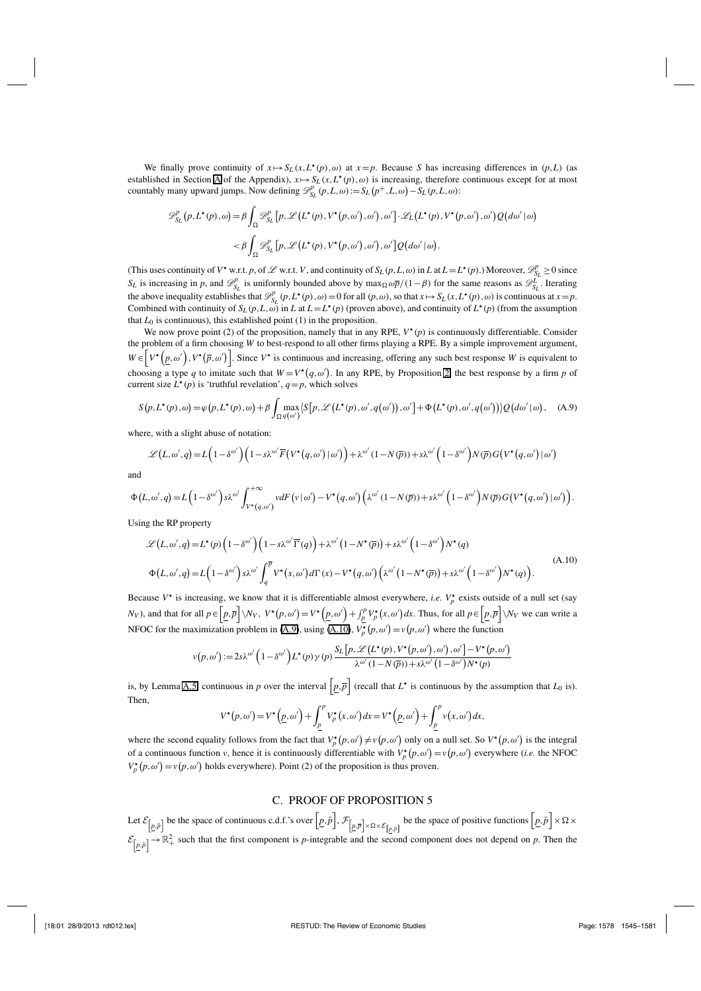We finally prove continuity of  $x \mapsto S_L(x, L^*(p), \omega)$  at  $x = p$ . Because *S* has increasing differences in  $(p, L)$  (as established in Section A of the Appendix),  $x \mapsto S_L(x, L^*(p), \omega)$  is increasing, therefore continuous except for at most countably many upward jumps. Now defining  $\mathscr{D}_{S_L}^p(p, L, \omega) := S_L(p^+, L, \omega) - S_L(p, L, \omega)$ :

$$
\mathcal{D}_{S_{L}}^{p}(p, L^{\star}(p), \omega) = \beta \int_{\Omega} \mathcal{D}_{S_{L}}^{p}[p, \mathcal{L}(L^{\star}(p), V^{\star}(p, \omega'), \omega'), \omega'] \cdot \mathcal{L}_{L}(L^{\star}(p), V^{\star}(p, \omega'), \omega') \mathcal{Q}(d\omega' | \omega)
$$
  

$$
< \beta \int_{\Omega} \mathcal{D}_{S_{L}}^{p}[p, \mathcal{L}(L^{\star}(p), V^{\star}(p, \omega'), \omega'), \omega'] \mathcal{Q}(d\omega' | \omega).
$$

(This uses continuity of *V*<sup>\*</sup> w.r.t. *p*, of  $\mathcal{L}$  w.r.t. *V*, and continuity of  $S_L(p, L, \omega)$  in *L* at  $L = L^*(p)$ .) Moreover,  $\mathcal{D}_{S_L}^p \ge 0$  since *SL* is increasing in *p*, and  $\mathscr{D}_{S_L}^p$  is uniformly bounded above by max $\Omega \omega \overline{p}/(1-\beta)$  for the same reasons as  $\mathscr{D}_{S_L}^L$ . Iterating the above inequality establishes that  $\mathcal{D}_{S_L}^p(p, L^*(p), \omega) = 0$  for all  $(p, \omega)$ , so that  $x \mapsto S_L(x, L^*(p), \omega)$  is continuous at  $x = p$ . Combined with continuity of  $S_L(p, L, \omega)$  in *L* at  $L = L^*(p)$  (proven above), and continuity of  $L^*(p)$  (from the assumption that  $L_0$  is continuous), this established point  $(1)$  in the proposition.

We now prove point (2) of the proposition, namely that in any RPE,  $V^*(p)$  is continuously differentiable. Consider the problem of a firm choosing *W* to best-respond to all other firms playing a RPE. By a simple improvement argument,  $W \in \left[ V^{\star}(p,\omega'), V^{\star}(\overline{p},\omega') \right]$ . Since  $V^{\star}$  is continuous and increasing, offering any such best response *W* is equivalent to choosing a type q to imitate such that  $W = V^*(q, \omega')$ . In any RPE, by Proposition 2, the best response by a firm p of current size  $L^*(p)$  is 'truthful revelation',  $q = p$ , which solves

$$
S(p, L^{\star}(p), \omega) = \varphi(p, L^{\star}(p), \omega) + \beta \int_{\Omega} \max_{q(\omega')} \langle S[p, \mathcal{L}(L^{\star}(p), \omega', q(\omega')), \omega'] + \Phi(L^{\star}(p), \omega', q(\omega')) \rangle Q(d\omega' | \omega), \quad (A.9)
$$

where, with a slight abuse of notation:

$$
\mathcal{L}(L,\omega',q) = L\Big(1-\delta^{\omega'}\Big)\Big(1-s\lambda^{\omega'}\overline{F}\big(V^{\star}(q,\omega')\,|\,\omega'\big)\Big) + \lambda^{\omega'}(1-N(\overline{p}))+s\lambda^{\omega'}\Big(1-\delta^{\omega'}\Big)N(\overline{p})\,G\big(V^{\star}(q,\omega')\,|\,\omega'\big)
$$

and

$$
\Phi\left(L,\omega',q\right)=L\left(1-\delta^{\omega'}\right)s\lambda^{\omega'}\int_{V^\star(q,\omega')}^{+\infty}v dF\left(v\,|\,\omega'\right)-V^\star\left(q,\omega'\right)\left(\lambda^{\omega'}\left(1-N\left(\overline{p}\right)\right)+s\lambda^{\omega'}\left(1-\delta^{\omega'}\right)N\left(\overline{p}\right)G\left(V^\star\left(q,\omega'\right)\,|\,\omega'\right)\right).
$$

Using the RP property

$$
\mathcal{L}(L,\omega',q) = L^{\star}(p)\left(1-\delta^{\omega'}\right)\left(1-s\lambda^{\omega'}\overline{\Gamma}(q)\right) + \lambda^{\omega'}\left(1-N^{\star}(\overline{p})\right) + s\lambda^{\omega'}\left(1-\delta^{\omega'}\right)N^{\star}(q)
$$
\n
$$
\Phi\left(L,\omega',q\right) = L\left(1-\delta^{\omega'}\right)s\lambda^{\omega'}\int_{q}^{\overline{p}}V^{\star}\left(x,\omega'\right)d\Gamma\left(x\right) - V^{\star}\left(q,\omega'\right)\left(\lambda^{\omega'}\left(1-N^{\star}(\overline{p})\right) + s\lambda^{\omega'}\left(1-\delta^{\omega'}\right)N^{\star}(q)\right).
$$
\n(A.10)

Because  $V^*$  is increasing, we know that it is differentiable almost everywhere, *i.e.*  $V_p^*$  exists outside of a null set (say  $N_V$ ), and that for all  $p \in \left[ \underline{p}, \overline{p} \right] \backslash N_V$ ,  $V^*(p, \omega') = V^*(\underline{p}, \omega') + \int_p^p V_p^*(x, \omega') dx$ . Thus, for all  $p \in \left[ \underline{p}, \overline{p} \right] \backslash N_V$  we can write a NFOC for the maximization problem in (A.9), using (A.10),  $V_p^{\star}(p, \omega') = v(p, \omega')$  where the function

$$
v(p,\omega') := 2s\lambda^{\omega'}\left(1 - \delta^{\omega'}\right)L^{\star}(p)\gamma(p)\frac{S_L\left[p,\mathscr{L}\left(L^{\star}(p),V^{\star}\left(p,\omega'\right),\omega'\right],\omega'\right]-V^{\star}\left(p,\omega'\right)}{\lambda^{\omega'}(1-N(\overline{p}))+s\lambda^{\omega'}(1-\delta^{\omega'})N^{\star}(p)}
$$

is, by Lemma A.5, continuous in *p* over the interval  $\left[p,\overline{p}\right]$  (recall that  $L^*$  is continuous by the assumption that  $L_0$  is). Then,

$$
V^{\star}(p,\omega') = V^{\star}\left(\underline{p},\omega'\right) + \int_{\underline{p}}^{p} V_{p}^{\star}(x,\omega') dx = V^{\star}\left(\underline{p},\omega'\right) + \int_{\underline{p}}^{p} v(x,\omega') dx,
$$

where the second equality follows from the fact that  $V_p^{\star}(p,\omega') \neq v(p,\omega')$  only on a null set. So  $V^{\star}(p,\omega')$  is the integral of a continuous function *v*, hence it is continuously differentiable with  $V_p^*(p, \omega') = v(p, \omega')$  everywhere (*i.e.* the NFOC  $V_p^*(p, \omega') = v(p, \omega')$  holds everywhere). Point (2) of the proposition is thus proven.

#### C. PROOF OF PROPOSITION 5

Let  $\mathcal{E}_{\left[\underline{p}, \overline{p}\right]}$  be the space of continuous c.d.f.'s over  $\left[\underline{p}, \overline{p}\right]$ ,  $\mathcal{F}_{\left[\underline{p}, \overline{p}\right] \times \Omega \times \mathcal{E}_{\left[\underline{p}, \overline{p}\right]}$  be the space of positive functions  $\left[\underline{p}, \overline{p}\right] \times \Omega \times$  $\mathcal{E}_{\left[p,\bar{p}\right]} \to \mathbb{R}^2_+$  such that the first component is *p*-integrable and the second component does not depend on *p*. Then the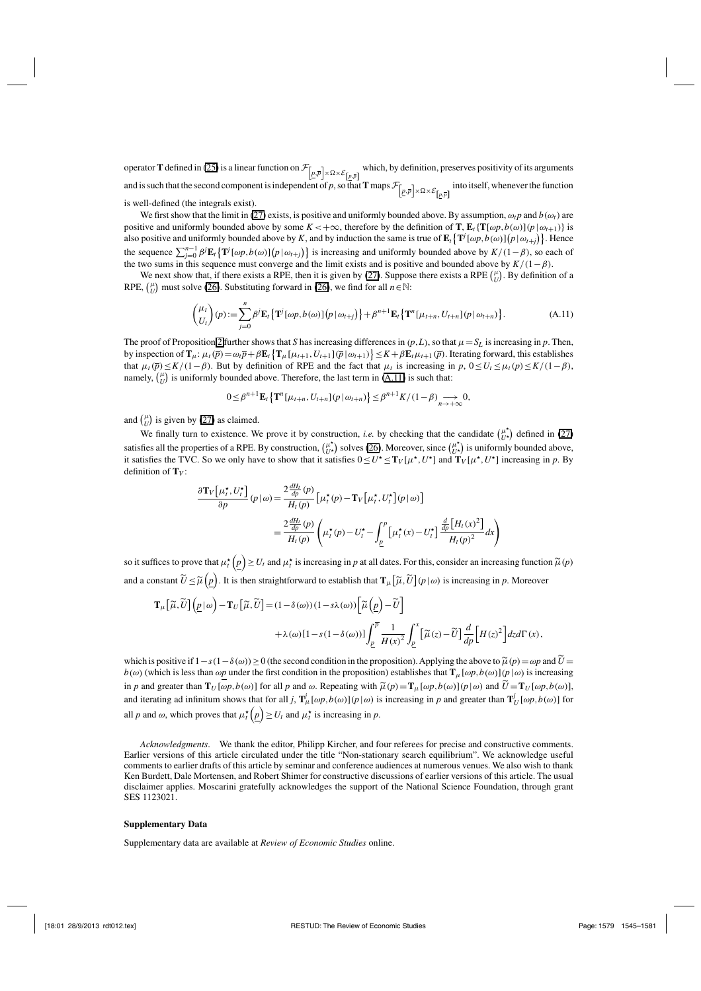operator **T** defined in (25) is a linear function on  $\mathcal{F}_{\left[\underline{p},\overline{p}\right]\times\Omega\times\mathcal{E}_{\left[\underline{p},\overline{p}\right]}}$  which, by definition, preserves positivity of its arguments and is such that the second component is independent of *p*, so that **T** maps  $\mathcal{F}_{\left[\underline{p},\overline{p}\right]\times\Omega\times\mathcal{E}_{\left[\underline{p},\overline{p}\right]}}$  into itself, whenever the function is well-defined (the integrals exist).

We first show that the limit in (27) exists, is positive and uniformly bounded above. By assumption,  $\omega_t p$  and  $b(\omega_t)$  are positive and uniformly bounded above by some  $K < +\infty$ , therefore by the definition of **T**,  $\mathbf{E}_t\{\mathbf{T}[\omega p, b(\omega)](p|\omega_{t+1})\}$  is also positive and uniformly bounded above by *K*, and by induction the same is true of  $\mathbf{E}_t\{\mathbf{T}^j[\omega p, b(\omega)](p|\omega_{t+j})\}$ . Hence the sequence  $\sum_{j=0}^{n-1} \beta^j \mathbf{E}_t \{ \mathbf{T}^j[\omega p, b(\omega)] \{ p | \omega_{t+j} \} \}$  is increasing and uniformly bounded above by  $K/(1-\beta)$ , so each of the two sums in this sequence must converge and the limit exists and is positive and bounded above by  $K/(1-\beta)$ .

We next show that, if there exists a RPE, then it is given by (27). Suppose there exists a RPE  $\binom{\mu}{U}$ . By definition of a RPE,  $\binom{\mu}{U}$  must solve (26). Substituting forward in (26), we find for all *n* ∈ N:

$$
\begin{pmatrix} \mu_t \\ U_t \end{pmatrix} (p) := \sum_{j=0}^n \beta^j \mathbf{E}_t \{ \mathbf{T}^j [\omega p, b(\omega)] \big( p \, | \, \omega_{t+j} \big) \} + \beta^{n+1} \mathbf{E}_t \{ \mathbf{T}^n [\mu_{t+n}, U_{t+n}] \big( p \, | \, \omega_{t+n} \big) \}.
$$
 (A.11)

The proof of Proposition 2 further shows that *S* has increasing differences in  $(p, L)$ , so that  $\mu = S_L$  is increasing in  $p$ . Then, by inspection of  $\mathbf{T}_{\mu}: \mu_{t}(\overline{p}) = \omega_{t}\overline{p} + \beta \mathbf{E}_{t} \left\{ \mathbf{T}_{\mu}[\mu_{t+1}, U_{t+1}|\overline{p}|\omega_{t+1}) \right\} \leq K + \beta \mathbf{E}_{t}\mu_{t+1}(\overline{p}).$  Iterating forward, this establishes that  $\mu_t(\overline{p}) \leq K/(1-\beta)$ . But by definition of RPE and the fact that  $\mu_t$  is increasing in  $p$ ,  $0 \leq U_t \leq \mu_t(p) \leq K/(1-\beta)$ , namely,  $\binom{\mu}{U}$  is uniformly bounded above. Therefore, the last term in (A.11) is such that:

$$
0 \leq \beta^{n+1} \mathbf{E}_t \left\{ \mathbf{T}^n[\mu_{t+n}, U_{t+n}](p \, | \, \omega_{t+n}) \right\} \leq \beta^{n+1} K / (1 - \beta) \underset{n \to +\infty}{\longrightarrow} 0,
$$

and  $\binom{\mu}{U}$  is given by (27) as claimed.

We finally turn to existence. We prove it by construction, *i.e.* by checking that the candidate  $\begin{pmatrix} \mu^* \\ U^* \end{pmatrix}$  defined in (27) satisfies all the properties of a RPE. By construction,  $\begin{pmatrix} \mu^* \\ U^* \end{pmatrix}$  solves (26). Moreover, since  $\begin{pmatrix} \mu^* \\ U^* \end{pmatrix}$  is uniformly bounded above, it satisfies the TVC. So we only have to show that it satisfies  $0 \le U^* \le T_V[\mu^*, U^*]$  and  $T_V[\mu^*, U^*]$  increasing in p. By definition of **T***<sup>V</sup>* :

$$
\frac{\partial \mathbf{T}_{V} \left[\mu_{t}^{\star}, U_{t}^{\star}\right]}{\partial p} (p | \omega) = \frac{2 \frac{dH_{t}}{dp} (p)}{H_{t}(p)} \left[\mu_{t}^{\star}(p) - \mathbf{T}_{V} \left[\mu_{t}^{\star}, U_{t}^{\star}\right] (p | \omega)\right]
$$
\n
$$
= \frac{2 \frac{dH_{t}}{dp} (p)}{H_{t}(p)} \left(\mu_{t}^{\star}(p) - U_{t}^{\star} - \int_{\underline{p}}^{p} \left[\mu_{t}^{\star}(x) - U_{t}^{\star}\right] \frac{\frac{d}{dp} \left[H_{t}(x)^{2}\right]}{H_{t}(p)^{2}} dx\right)
$$

so it suffices to prove that  $\mu_t^\star(\underline{p}) \ge U_t$  and  $\mu_t^\star$  is increasing in *p* at all dates. For this, consider an increasing function  $\tilde{\mu}(p)$ and a constant  $\widetilde{U}\!\leq\!\widetilde{\mu}\!\left(p\right)$ . It is then straightforward to establish that  $\mathbf{T}_{\mu}\!\left[\widetilde{\mu},\widetilde{U}\right]\!\left(p\,|\,\omega\right)$  is increasing in  $p$ . Moreover

$$
\mathbf{T}_{\mu} \left[ \widetilde{\mu}, \widetilde{U} \right] \left( \underline{p} \, | \, \omega \right) - \mathbf{T}_{U} \left[ \widetilde{\mu}, \widetilde{U} \right] = (1 - \delta(\omega))(1 - s\lambda(\omega)) \left[ \widetilde{\mu} \left( \underline{p} \right) - \widetilde{U} \right] \n+ \lambda(\omega) \left[ 1 - s(1 - \delta(\omega)) \right] \int_{\underline{p}}^{\overline{p}} \frac{1}{H(x)^2} \int_{\underline{p}}^{x} \left[ \widetilde{\mu}(z) - \widetilde{U} \right] \frac{d}{dp} \left[ H(z)^2 \right] dz d\Gamma(x),
$$

which is positive if  $1-s(1-\delta(\omega))\geq 0$  (the second condition in the proposition). Applying the above to  $\tilde{\mu}(p) = \omega p$  and  $\tilde{U} =$  $b(\omega)$  (which is less than  $\omega p$  under the first condition in the proposition) establishes that  $\mathbf{T}_{\mu}[\omega p, b(\omega)](p|\omega)$  is increasing in *p* and greater than  $\mathbf{T}_U[\omega p, b(\omega)]$  for all *p* and  $\omega$ . Repeating with  $\widetilde{\mu}(p) = \mathbf{T}_\mu[\omega p, b(\omega)](p|\omega)$  and  $\widetilde{U} = \mathbf{T}_U[\omega p, b(\omega)]$ , and iterating ad infinitum shows that for all *j*,  $\mathbf{T}_{\mu}^{j}[\omega p, b(\omega)](p|\omega)$  is increasing in *p* and greater than  $\mathbf{T}_{U}^{j}[\omega p, b(\omega)]$  for all *p* and  $\omega$ , which proves that  $\mu_t^{\star}(\underline{p}) \ge U_t$  and  $\mu_t^{\star}$  is increasing in *p*.

*Acknowledgments*. We thank the editor, Philipp Kircher, and four referees for precise and constructive comments. Earlier versions of this article circulated under the title "Non-stationary search equilibrium". We acknowledge useful comments to earlier drafts of this article by seminar and conference audiences at numerous venues. We also wish to thank Ken Burdett, Dale Mortensen, and Robert Shimer for constructive discussions of earlier versions of this article. The usual disclaimer applies. Moscarini gratefully acknowledges the support of the National Science Foundation, through grant SES 1123021.

#### **Supplementary Data**

Supplementary data are available at *Review of Economic Studies* online.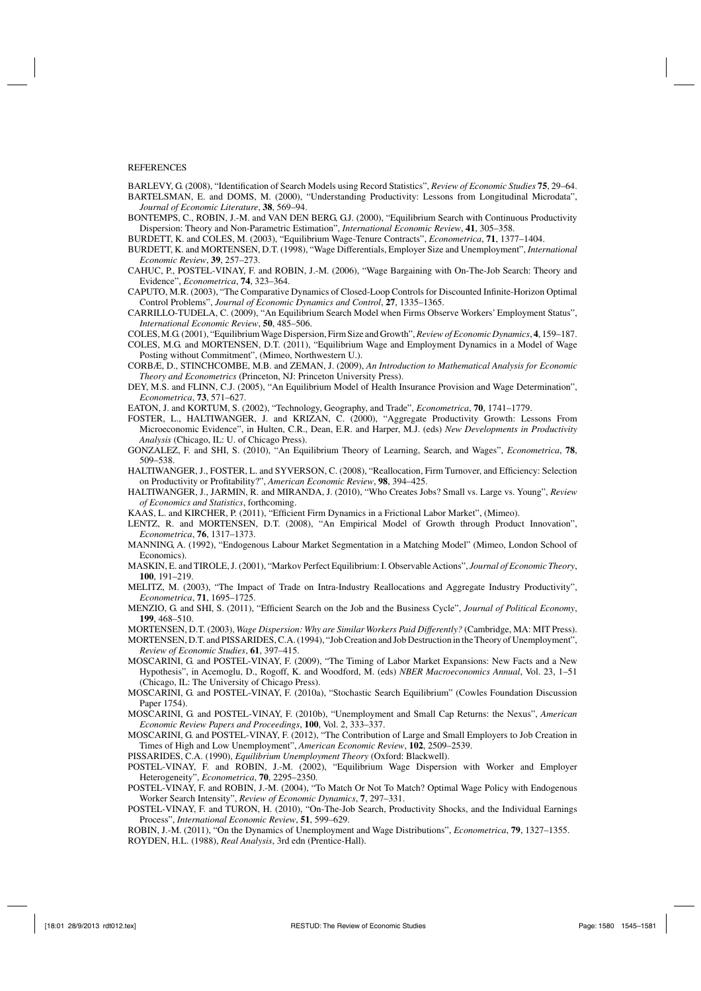#### REFERENCES

- BARLEVY, G. (2008), "Identification of Search Models using Record Statistics", *Review of Economic Studies* **75**, 29–64.
- BARTELSMAN, E. and DOMS, M. (2000), "Understanding Productivity: Lessons from Longitudinal Microdata", *Journal of Economic Literature*, **38**, 569–94.
- BONTEMPS, C., ROBIN, J.-M. and VAN DEN BERG, G.J. (2000), "Equilibrium Search with Continuous Productivity Dispersion: Theory and Non-Parametric Estimation", *International Economic Review*, **41**, 305–358.
- BURDETT, K. and COLES, M. (2003), "Equilibrium Wage-Tenure Contracts", *Econometrica*, **71**, 1377–1404.
- BURDETT, K. and MORTENSEN, D.T. (1998), "Wage Differentials, Employer Size and Unemployment", *International Economic Review*, **39**, 257–273.
- CAHUC, P., POSTEL-VINAY, F. and ROBIN, J.-M. (2006), "Wage Bargaining with On-The-Job Search: Theory and Evidence", *Econometrica*, **74**, 323–364.
- CAPUTO, M.R. (2003), "The Comparative Dynamics of Closed-Loop Controls for Discounted Infinite-Horizon Optimal Control Problems", *Journal of Economic Dynamics and Control*, **27**, 1335–1365.
- CARRILLO-TUDELA, C. (2009), "An Equilibrium Search Model when Firms Observe Workers' Employment Status", *International Economic Review*, **50**, 485–506.
- COLES, M.G. (2001), "Equilibrium Wage Dispersion, Firm Size and Growth",*Review of Economic Dynamics*, **4**, 159–187.
- COLES, M.G. and MORTENSEN, D.T. (2011), "Equilibrium Wage and Employment Dynamics in a Model of Wage Posting without Commitment", (Mimeo, Northwestern U.).
- CORBÆ, D., STINCHCOMBE, M.B. and ZEMAN, J. (2009), *An Introduction to Mathematical Analysis for Economic Theory and Econometrics* (Princeton, NJ: Princeton University Press).
- DEY, M.S. and FLINN, C.J. (2005), "An Equilibrium Model of Health Insurance Provision and Wage Determination", *Econometrica*, **73**, 571–627.
- EATON, J. and KORTUM, S. (2002), "Technology, Geography, and Trade", *Econometrica*, **70**, 1741–1779.
- FOSTER, L., HALTIWANGER, J. and KRIZAN, C. (2000), "Aggregate Productivity Growth: Lessons From Microeconomic Evidence", in Hulten, C.R., Dean, E.R. and Harper, M.J. (eds) *New Developments in Productivity Analysis* (Chicago, IL: U. of Chicago Press).
- GONZALEZ, F. and SHI, S. (2010), "An Equilibrium Theory of Learning, Search, and Wages", *Econometrica*, **78**, 509–538.
- HALTIWANGER, J., FOSTER, L. and SYVERSON, C. (2008), "Reallocation, Firm Turnover, and Efficiency: Selection on Productivity or Profitability?", *American Economic Review*, **98**, 394–425.
- HALTIWANGER, J., JARMIN, R. and MIRANDA, J. (2010), "Who Creates Jobs? Small vs. Large vs. Young", *Review of Economics and Statistics*, forthcoming.
- KAAS, L. and KIRCHER, P. (2011), "Efficient Firm Dynamics in a Frictional Labor Market", (Mimeo).
- LENTZ, R. and MORTENSEN, D.T. (2008), "An Empirical Model of Growth through Product Innovation", *Econometrica*, **76**, 1317–1373.
- MANNING, A. (1992), "Endogenous Labour Market Segmentation in a Matching Model" (Mimeo, London School of Economics).
- MASKIN, E. and TIROLE, J. (2001), "Markov Perfect Equilibrium: I. Observable Actions", *Journal of Economic Theory*, **100**, 191–219.
- MELITZ, M. (2003), "The Impact of Trade on Intra-Industry Reallocations and Aggregate Industry Productivity", *Econometrica*, **71**, 1695–1725.

MENZIO, G. and SHI, S. (2011), "Efficient Search on the Job and the Business Cycle", *Journal of Political Economy*, **199**, 468–510.

- MORTENSEN, D.T. (2003), *Wage Dispersion: Why are Similar Workers Paid Differently?* (Cambridge, MA: MIT Press).
- MORTENSEN, D.T. and PISSARIDES, C.A. (1994), "Job Creation and Job Destruction in the Theory of Unemployment", *Review of Economic Studies*, **61**, 397–415.
- MOSCARINI, G. and POSTEL-VINAY, F. (2009), "The Timing of Labor Market Expansions: New Facts and a New Hypothesis", in Acemoglu, D., Rogoff, K. and Woodford, M. (eds) *NBER Macroeconomics Annual*, Vol. 23, 1–51 (Chicago, IL: The University of Chicago Press).
- MOSCARINI, G. and POSTEL-VINAY, F. (2010a), "Stochastic Search Equilibrium" (Cowles Foundation Discussion Paper 1754).
- MOSCARINI, G. and POSTEL-VINAY, F. (2010b), "Unemployment and Small Cap Returns: the Nexus", *American Economic Review Papers and Proceedings*, **100**, Vol. 2, 333–337.
- MOSCARINI, G. and POSTEL-VINAY, F. (2012), "The Contribution of Large and Small Employers to Job Creation in Times of High and Low Unemployment", *American Economic Review*, **102**, 2509–2539.
- PISSARIDES, C.A. (1990), *Equilibrium Unemployment Theory* (Oxford: Blackwell).
- POSTEL-VINAY, F. and ROBIN, J.-M. (2002), "Equilibrium Wage Dispersion with Worker and Employer Heterogeneity", *Econometrica*, **70**, 2295–2350.
- POSTEL-VINAY, F. and ROBIN, J.-M. (2004), "To Match Or Not To Match? Optimal Wage Policy with Endogenous Worker Search Intensity", *Review of Economic Dynamics*, **7**, 297–331.
- POSTEL-VINAY, F. and TURON, H. (2010), "On-The-Job Search, Productivity Shocks, and the Individual Earnings Process", *International Economic Review*, **51**, 599–629.
- ROBIN, J.-M. (2011), "On the Dynamics of Unemployment and Wage Distributions", *Econometrica*, **79**, 1327–1355. ROYDEN, H.L. (1988), *Real Analysis*, 3rd edn (Prentice-Hall).